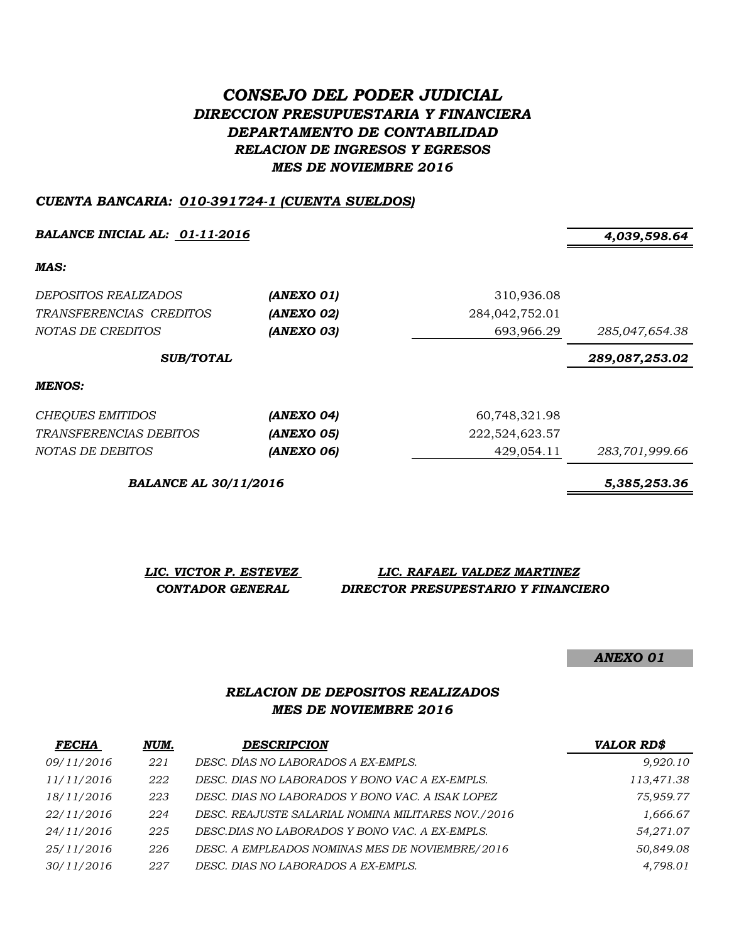# *CONSEJO DEL PODER JUDICIAL DIRECCION PRESUPUESTARIA Y FINANCIERA DEPARTAMENTO DE CONTABILIDAD RELACION DE INGRESOS Y EGRESOS MES DE NOVIEMBRE 2016*

#### *CUENTA BANCARIA: 010-391724-1 (CUENTA SUELDOS)*

*BALANCE INICIAL AL: 01-11-2016 4,039,598.64*

*MAS:*

| <i>DEPOSITOS REALIZADOS</i><br>TRANSFERENCIAS CREDITOS<br>NOTAS DE CREDITOS | (ANEXO 01)<br>(ANEXO 02)<br>(ANEXO 03) | 310,936.08<br>284,042,752.01<br>693,966.29 | 285,047,654.38 |
|-----------------------------------------------------------------------------|----------------------------------------|--------------------------------------------|----------------|
| <b>SUB/TOTAL</b>                                                            |                                        | 289,087,253.02                             |                |
| <b>MENOS:</b>                                                               |                                        |                                            |                |
| CHEQUES EMITIDOS                                                            | (ANEXO 04)                             | 60,748,321.98                              |                |
| <i>TRANSFERENCIAS DEBITOS</i>                                               | (ANEXO 05)                             | 222,524,623.57                             |                |
| NOTAS DE DEBITOS                                                            | (ANEXO 06)                             | 429,054.11                                 | 283,701,999.66 |

*BALANCE AL 30/11/2016 5,385,253.36*

*LIC. VICTOR P. ESTEVEZ LIC. RAFAEL VALDEZ MARTINEZ CONTADOR GENERAL DIRECTOR PRESUPESTARIO Y FINANCIERO*

*ANEXO 01*

### *RELACION DE DEPOSITOS REALIZADOS MES DE NOVIEMBRE 2016*

| <b>FECHA</b> | NUM. | <b>DESCRIPCION</b>                                 | <b>VALOR RD\$</b> |
|--------------|------|----------------------------------------------------|-------------------|
| 09/11/2016   | 221  | DESC. DÍAS NO LABORADOS A EX-EMPLS.                | 9,920.10          |
| 11/11/2016   | 222  | DESC. DIAS NO LABORADOS Y BONO VAC A EX-EMPLS.     | 113,471.38        |
| 18/11/2016   | 223  | DESC. DIAS NO LABORADOS Y BONO VAC. A ISAK LOPEZ   | 75,959.77         |
| 22/11/2016   | 224  | DESC. REAJUSTE SALARIAL NOMINA MILITARES NOV./2016 | 1,666.67          |
| 24/11/2016   | 225  | DESC.DIAS NO LABORADOS Y BONO VAC. A EX-EMPLS.     | 54,271.07         |
| 25/11/2016   | 226  | DESC. A EMPLEADOS NOMINAS MES DE NOVIEMBRE/2016    | 50,849.08         |
| 30/11/2016   | 227  | DESC. DIAS NO LABORADOS A EX-EMPLS.                | 4,798.01          |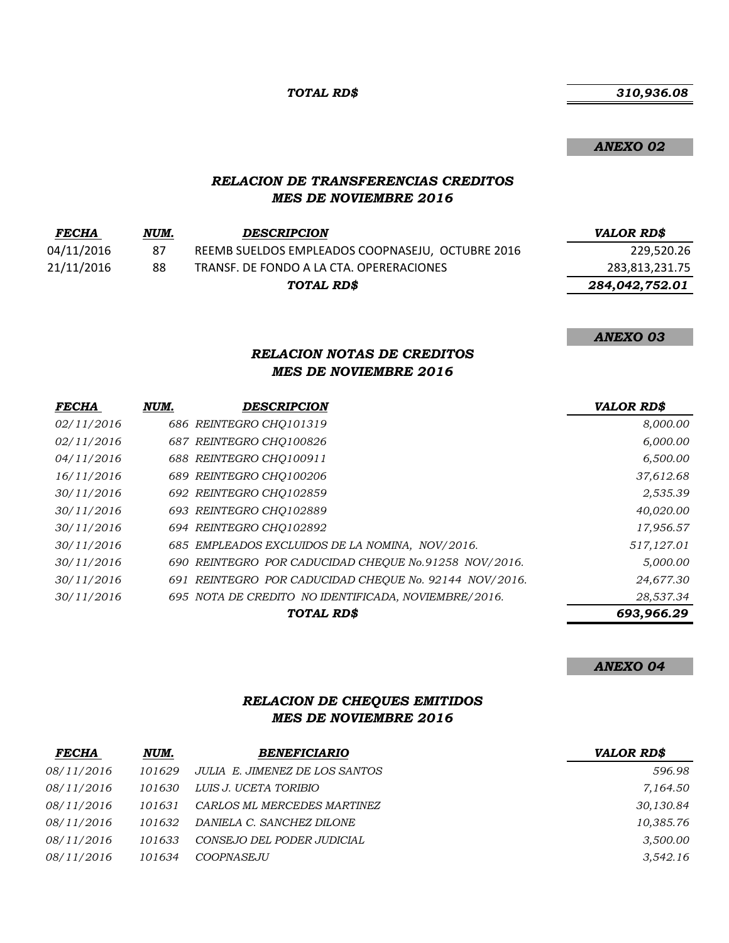*TOTAL RD\$*

 *310,936.08*

*ANEXO 02*

#### *RELACION DE TRANSFERENCIAS CREDITOS MES DE NOVIEMBRE 2016*

| <b>FECHA</b> | NUM. | <b>DESCRIPCION</b>                               | <b>VALOR RD\$</b> |
|--------------|------|--------------------------------------------------|-------------------|
| 04/11/2016   | 87   | REEMB SUELDOS EMPLEADOS COOPNASEJU, OCTUBRE 2016 | 229,520.26        |
| 21/11/2016   | 88   | TRANSF. DE FONDO A LA CTA. OPERERACIONES         | 283,813,231.75    |
|              |      | TOTAL RD\$                                       | 284,042,752.01    |

*ANEXO 03*

### *RELACION NOTAS DE CREDITOS MES DE NOVIEMBRE 2016*

| <b>FECHA</b> | NUM. | DESCRIPCION                                            | <b>VALOR RD\$</b> |
|--------------|------|--------------------------------------------------------|-------------------|
| 02/11/2016   |      | 686 REINTEGRO CHQ101319                                | 8,000.00          |
| 02/11/2016   |      | 687 REINTEGRO CHQ100826                                | 6,000.00          |
| 04/11/2016   |      | 688 REINTEGRO CHO100911                                | 6,500.00          |
| 16/11/2016   |      | 689 REINTEGRO CHO100206                                | 37,612.68         |
| 30/11/2016   |      | 692 REINTEGRO CHO102859                                | 2,535.39          |
| 30/11/2016   |      | 693 REINTEGRO CHQ102889                                | 40,020.00         |
| 30/11/2016   |      | 694 REINTEGRO CHO102892                                | 17,956.57         |
| 30/11/2016   |      | 685 EMPLEADOS EXCLUIDOS DE LA NOMINA, NOV/2016.        | 517,127.01        |
| 30/11/2016   |      | 690 REINTEGRO POR CADUCIDAD CHEOUE No.91258 NOV/2016.  | 5,000.00          |
| 30/11/2016   |      | 691 REINTEGRO POR CADUCIDAD CHEOUE No. 92144 NOV/2016. | 24,677.30         |
| 30/11/2016   |      | 695 NOTA DE CREDITO NO IDENTIFICADA, NOVIEMBRE/2016.   | 28,537.34         |
|              |      | TOTAL RD\$                                             | 693,966.29        |

*ANEXO 04*

### *RELACION DE CHEQUES EMITIDOS MES DE NOVIEMBRE 2016*

| <b>FECHA</b> | NUM.   | <b>BENEFICIARIO</b>            | <b>VALOR RD\$</b> |
|--------------|--------|--------------------------------|-------------------|
| 08/11/2016   | 101629 | JULIA E. JIMENEZ DE LOS SANTOS | 596.98            |
| 08/11/2016   | 101630 | LUIS J. UCETA TORIBIO          | 7,164.50          |
| 08/11/2016   | 101631 | CARLOS ML MERCEDES MARTINEZ    | 30,130.84         |
| 08/11/2016   | 101632 | DANIELA C. SANCHEZ DILONE      | 10,385.76         |
| 08/11/2016   | 101633 | CONSEJO DEL PODER JUDICIAL     | 3,500.00          |
| 08/11/2016   | 101634 | COOPNASE.JU                    | 3.542.16          |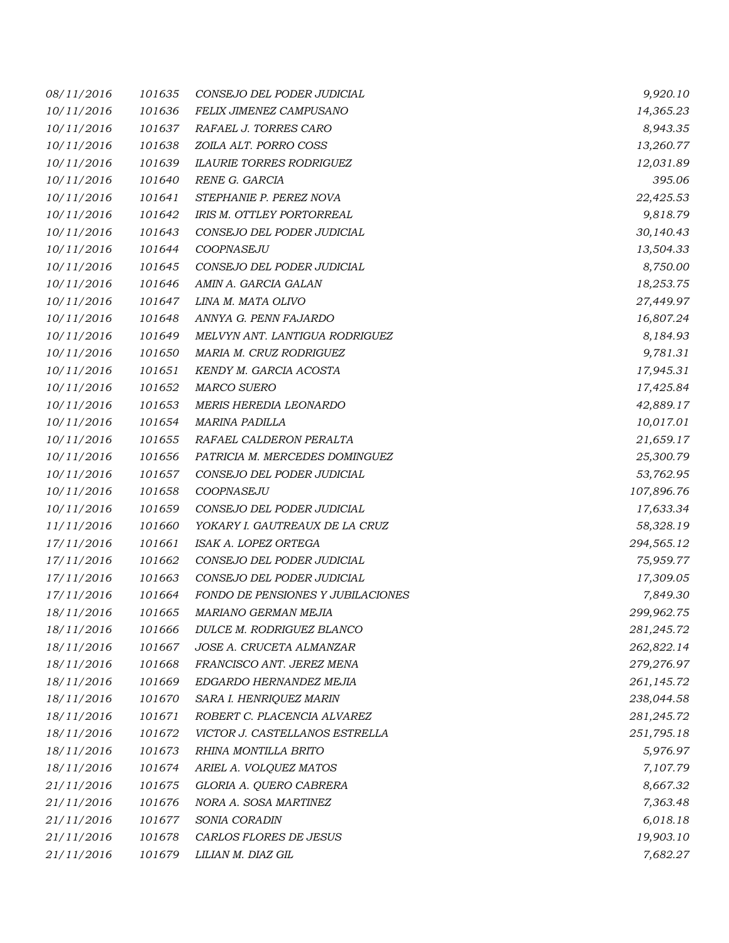| 08/11/2016 | 101635 | CONSEJO DEL PODER JUDICIAL        | 9,920.10   |
|------------|--------|-----------------------------------|------------|
| 10/11/2016 | 101636 | FELIX JIMENEZ CAMPUSANO           | 14,365.23  |
| 10/11/2016 | 101637 | RAFAEL J. TORRES CARO             | 8,943.35   |
| 10/11/2016 | 101638 | ZOILA ALT. PORRO COSS             | 13,260.77  |
| 10/11/2016 | 101639 | <b>ILAURIE TORRES RODRIGUEZ</b>   | 12,031.89  |
| 10/11/2016 | 101640 | RENE G. GARCIA                    | 395.06     |
| 10/11/2016 | 101641 | STEPHANIE P. PEREZ NOVA           | 22,425.53  |
| 10/11/2016 | 101642 | IRIS M. OTTLEY PORTORREAL         | 9,818.79   |
| 10/11/2016 | 101643 | CONSEJO DEL PODER JUDICIAL        | 30,140.43  |
| 10/11/2016 | 101644 | COOPNASEJU                        | 13,504.33  |
| 10/11/2016 | 101645 | CONSEJO DEL PODER JUDICIAL        | 8,750.00   |
| 10/11/2016 | 101646 | AMIN A. GARCIA GALAN              | 18,253.75  |
| 10/11/2016 | 101647 | LINA M. MATA OLIVO                | 27,449.97  |
| 10/11/2016 | 101648 | ANNYA G. PENN FAJARDO             | 16,807.24  |
| 10/11/2016 | 101649 | MELVYN ANT. LANTIGUA RODRIGUEZ    | 8,184.93   |
| 10/11/2016 | 101650 | MARIA M. CRUZ RODRIGUEZ           | 9,781.31   |
| 10/11/2016 | 101651 | KENDY M. GARCIA ACOSTA            | 17,945.31  |
| 10/11/2016 | 101652 | <b>MARCO SUERO</b>                | 17,425.84  |
| 10/11/2016 | 101653 | MERIS HEREDIA LEONARDO            | 42,889.17  |
| 10/11/2016 | 101654 | <b>MARINA PADILLA</b>             | 10,017.01  |
| 10/11/2016 | 101655 | RAFAEL CALDERON PERALTA           | 21,659.17  |
| 10/11/2016 | 101656 | PATRICIA M. MERCEDES DOMINGUEZ    | 25,300.79  |
| 10/11/2016 | 101657 | CONSEJO DEL PODER JUDICIAL        | 53,762.95  |
| 10/11/2016 | 101658 | COOPNASEJU                        | 107,896.76 |
| 10/11/2016 | 101659 | CONSEJO DEL PODER JUDICIAL        | 17,633.34  |
| 11/11/2016 | 101660 | YOKARY I. GAUTREAUX DE LA CRUZ    | 58,328.19  |
| 17/11/2016 | 101661 | ISAK A. LOPEZ ORTEGA              | 294,565.12 |
| 17/11/2016 | 101662 | CONSEJO DEL PODER JUDICIAL        | 75,959.77  |
| 17/11/2016 | 101663 | CONSEJO DEL PODER JUDICIAL        | 17,309.05  |
| 17/11/2016 | 101664 | FONDO DE PENSIONES Y JUBILACIONES | 7,849.30   |
| 18/11/2016 | 101665 | MARIANO GERMAN MEJIA              | 299,962.75 |
| 18/11/2016 | 101666 | DULCE M. RODRIGUEZ BLANCO         | 281,245.72 |
| 18/11/2016 | 101667 | JOSE A. CRUCETA ALMANZAR          | 262,822.14 |
| 18/11/2016 | 101668 | FRANCISCO ANT. JEREZ MENA         | 279,276.97 |
| 18/11/2016 | 101669 | EDGARDO HERNANDEZ MEJIA           | 261,145.72 |
| 18/11/2016 | 101670 | SARA I. HENRIQUEZ MARIN           | 238,044.58 |
| 18/11/2016 | 101671 | ROBERT C. PLACENCIA ALVAREZ       | 281,245.72 |
| 18/11/2016 | 101672 | VICTOR J. CASTELLANOS ESTRELLA    | 251,795.18 |
| 18/11/2016 | 101673 | RHINA MONTILLA BRITO              | 5,976.97   |
| 18/11/2016 | 101674 | ARIEL A. VOLQUEZ MATOS            | 7,107.79   |
| 21/11/2016 | 101675 | GLORIA A. QUERO CABRERA           | 8,667.32   |
| 21/11/2016 | 101676 | NORA A. SOSA MARTINEZ             | 7,363.48   |
| 21/11/2016 | 101677 | SONIA CORADIN                     | 6,018.18   |
| 21/11/2016 | 101678 | CARLOS FLORES DE JESUS            | 19,903.10  |
| 21/11/2016 | 101679 | LILIAN M. DIAZ GIL                | 7,682.27   |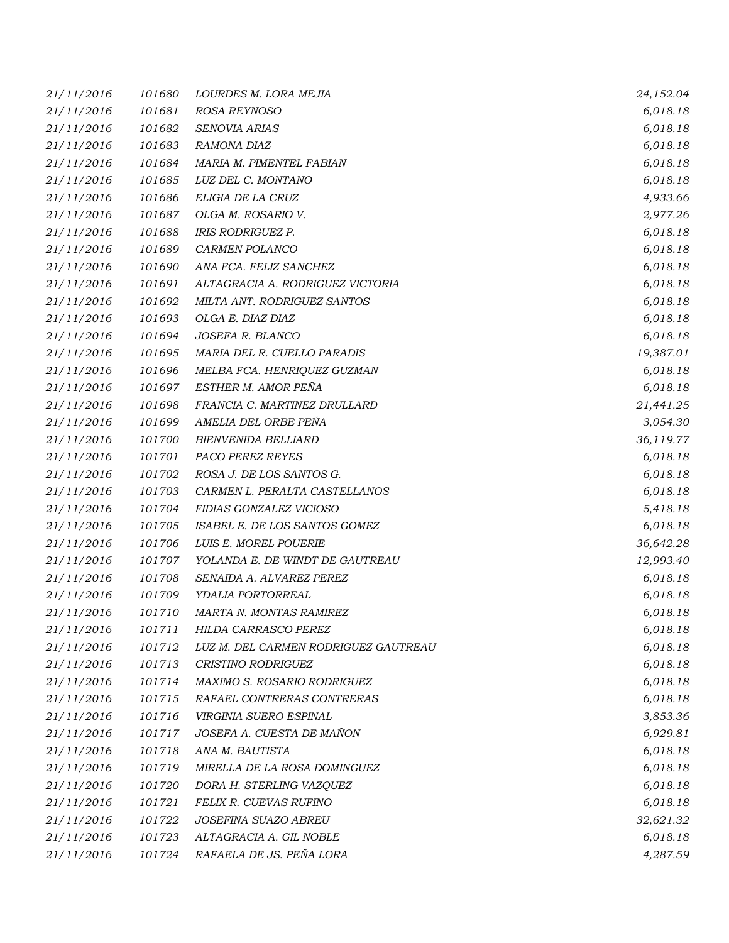| 21/11/2016 | 101680 | LOURDES M. LORA MEJIA                | 24,152.04 |
|------------|--------|--------------------------------------|-----------|
| 21/11/2016 | 101681 | ROSA REYNOSO                         | 6,018.18  |
| 21/11/2016 | 101682 | SENOVIA ARIAS                        | 6,018.18  |
| 21/11/2016 | 101683 | RAMONA DIAZ                          | 6,018.18  |
| 21/11/2016 | 101684 | MARIA M. PIMENTEL FABIAN             | 6,018.18  |
| 21/11/2016 | 101685 | LUZ DEL C. MONTANO                   | 6,018.18  |
| 21/11/2016 | 101686 | ELIGIA DE LA CRUZ                    | 4,933.66  |
| 21/11/2016 | 101687 | OLGA M. ROSARIO V.                   | 2,977.26  |
| 21/11/2016 | 101688 | <b>IRIS RODRIGUEZ P.</b>             | 6,018.18  |
| 21/11/2016 | 101689 | CARMEN POLANCO                       | 6,018.18  |
| 21/11/2016 | 101690 | ANA FCA. FELIZ SANCHEZ               | 6,018.18  |
| 21/11/2016 | 101691 | ALTAGRACIA A. RODRIGUEZ VICTORIA     | 6,018.18  |
| 21/11/2016 | 101692 | MILTA ANT. RODRIGUEZ SANTOS          | 6,018.18  |
| 21/11/2016 | 101693 | OLGA E. DIAZ DIAZ                    | 6,018.18  |
| 21/11/2016 | 101694 | JOSEFA R. BLANCO                     | 6,018.18  |
| 21/11/2016 | 101695 | MARIA DEL R. CUELLO PARADIS          | 19,387.01 |
| 21/11/2016 | 101696 | MELBA FCA. HENRIQUEZ GUZMAN          | 6,018.18  |
| 21/11/2016 | 101697 | ESTHER M. AMOR PEÑA                  | 6,018.18  |
| 21/11/2016 | 101698 | FRANCIA C. MARTINEZ DRULLARD         | 21,441.25 |
| 21/11/2016 | 101699 | AMELIA DEL ORBE PEÑA                 | 3,054.30  |
| 21/11/2016 | 101700 | <b>BIENVENIDA BELLIARD</b>           | 36,119.77 |
| 21/11/2016 | 101701 | PACO PEREZ REYES                     | 6,018.18  |
| 21/11/2016 | 101702 | ROSA J. DE LOS SANTOS G.             | 6,018.18  |
| 21/11/2016 | 101703 | CARMEN L. PERALTA CASTELLANOS        | 6,018.18  |
| 21/11/2016 | 101704 | FIDIAS GONZALEZ VICIOSO              | 5,418.18  |
| 21/11/2016 | 101705 | ISABEL E. DE LOS SANTOS GOMEZ        | 6,018.18  |
| 21/11/2016 | 101706 | LUIS E. MOREL POUERIE                | 36,642.28 |
| 21/11/2016 | 101707 | YOLANDA E. DE WINDT DE GAUTREAU      | 12,993.40 |
| 21/11/2016 | 101708 | SENAIDA A. ALVAREZ PEREZ             | 6,018.18  |
| 21/11/2016 | 101709 | YDALIA PORTORREAL                    | 6,018.18  |
| 21/11/2016 | 101710 | MARTA N. MONTAS RAMIREZ              | 6,018.18  |
| 21/11/2016 | 101711 | HILDA CARRASCO PEREZ                 | 6,018.18  |
| 21/11/2016 | 101712 | LUZ M. DEL CARMEN RODRIGUEZ GAUTREAU | 6,018.18  |
| 21/11/2016 | 101713 | CRISTINO RODRIGUEZ                   | 6,018.18  |
| 21/11/2016 | 101714 | MAXIMO S. ROSARIO RODRIGUEZ          | 6,018.18  |
| 21/11/2016 | 101715 | RAFAEL CONTRERAS CONTRERAS           | 6,018.18  |
| 21/11/2016 | 101716 | VIRGINIA SUERO ESPINAL               | 3,853.36  |
| 21/11/2016 | 101717 | JOSEFA A. CUESTA DE MAÑON            | 6,929.81  |
| 21/11/2016 | 101718 | ANA M. BAUTISTA                      | 6,018.18  |
| 21/11/2016 | 101719 | MIRELLA DE LA ROSA DOMINGUEZ         | 6,018.18  |
| 21/11/2016 | 101720 | DORA H. STERLING VAZQUEZ             | 6,018.18  |
| 21/11/2016 | 101721 | FELIX R. CUEVAS RUFINO               | 6,018.18  |
| 21/11/2016 | 101722 | JOSEFINA SUAZO ABREU                 | 32,621.32 |
| 21/11/2016 | 101723 | ALTAGRACIA A. GIL NOBLE              | 6,018.18  |
| 21/11/2016 | 101724 | RAFAELA DE JS. PEÑA LORA             | 4,287.59  |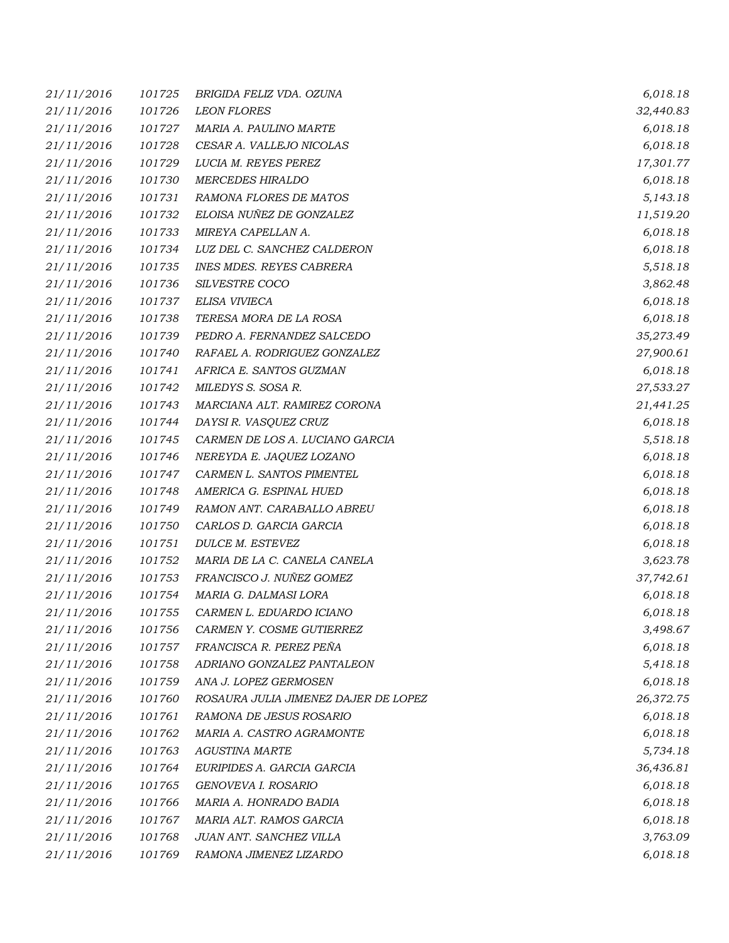| 21/11/2016 | 101725 | BRIGIDA FELIZ VDA. OZUNA             | 6,018.18  |
|------------|--------|--------------------------------------|-----------|
| 21/11/2016 | 101726 | <b>LEON FLORES</b>                   | 32,440.83 |
| 21/11/2016 | 101727 | MARIA A. PAULINO MARTE               | 6,018.18  |
| 21/11/2016 | 101728 | CESAR A. VALLEJO NICOLAS             | 6,018.18  |
| 21/11/2016 | 101729 | LUCIA M. REYES PEREZ                 | 17,301.77 |
| 21/11/2016 | 101730 | <b>MERCEDES HIRALDO</b>              | 6,018.18  |
| 21/11/2016 | 101731 | RAMONA FLORES DE MATOS               | 5,143.18  |
| 21/11/2016 | 101732 | ELOISA NUÑEZ DE GONZALEZ             | 11,519.20 |
| 21/11/2016 | 101733 | MIREYA CAPELLAN A.                   | 6,018.18  |
| 21/11/2016 | 101734 | LUZ DEL C. SANCHEZ CALDERON          | 6,018.18  |
| 21/11/2016 | 101735 | <b>INES MDES. REYES CABRERA</b>      | 5,518.18  |
| 21/11/2016 | 101736 | SILVESTRE COCO                       | 3,862.48  |
| 21/11/2016 | 101737 | ELISA VIVIECA                        | 6,018.18  |
| 21/11/2016 | 101738 | TERESA MORA DE LA ROSA               | 6,018.18  |
| 21/11/2016 | 101739 | PEDRO A. FERNANDEZ SALCEDO           | 35,273.49 |
| 21/11/2016 | 101740 | RAFAEL A. RODRIGUEZ GONZALEZ         | 27,900.61 |
| 21/11/2016 | 101741 | AFRICA E. SANTOS GUZMAN              | 6,018.18  |
| 21/11/2016 | 101742 | MILEDYS S. SOSA R.                   | 27,533.27 |
| 21/11/2016 | 101743 | MARCIANA ALT. RAMIREZ CORONA         | 21,441.25 |
| 21/11/2016 | 101744 | DAYSI R. VASQUEZ CRUZ                | 6,018.18  |
| 21/11/2016 | 101745 | CARMEN DE LOS A. LUCIANO GARCIA      | 5,518.18  |
| 21/11/2016 | 101746 | NEREYDA E. JAQUEZ LOZANO             | 6,018.18  |
| 21/11/2016 | 101747 | CARMEN L. SANTOS PIMENTEL            | 6,018.18  |
| 21/11/2016 | 101748 | AMERICA G. ESPINAL HUED              | 6,018.18  |
| 21/11/2016 | 101749 | RAMON ANT. CARABALLO ABREU           | 6,018.18  |
| 21/11/2016 | 101750 | CARLOS D. GARCIA GARCIA              | 6,018.18  |
| 21/11/2016 | 101751 | DULCE M. ESTEVEZ                     | 6,018.18  |
| 21/11/2016 | 101752 | MARIA DE LA C. CANELA CANELA         | 3,623.78  |
| 21/11/2016 | 101753 | FRANCISCO J. NUÑEZ GOMEZ             | 37,742.61 |
| 21/11/2016 | 101754 | MARIA G. DALMASI LORA                | 6,018.18  |
| 21/11/2016 | 101755 | CARMEN L. EDUARDO ICIANO             | 6,018.18  |
| 21/11/2016 | 101756 | CARMEN Y. COSME GUTIERREZ            | 3,498.67  |
| 21/11/2016 | 101757 | FRANCISCA R. PEREZ PEÑA              | 6,018.18  |
| 21/11/2016 | 101758 | ADRIANO GONZALEZ PANTALEON           | 5,418.18  |
| 21/11/2016 | 101759 | ANA J. LOPEZ GERMOSEN                | 6,018.18  |
| 21/11/2016 | 101760 | ROSAURA JULIA JIMENEZ DAJER DE LOPEZ | 26,372.75 |
| 21/11/2016 | 101761 | RAMONA DE JESUS ROSARIO              | 6,018.18  |
| 21/11/2016 | 101762 | MARIA A. CASTRO AGRAMONTE            | 6,018.18  |
| 21/11/2016 | 101763 | <b>AGUSTINA MARTE</b>                | 5,734.18  |
| 21/11/2016 | 101764 | EURIPIDES A. GARCIA GARCIA           | 36,436.81 |
| 21/11/2016 | 101765 | GENOVEVA I. ROSARIO                  | 6,018.18  |
| 21/11/2016 | 101766 | MARIA A. HONRADO BADIA               | 6,018.18  |
| 21/11/2016 | 101767 | MARIA ALT. RAMOS GARCIA              | 6,018.18  |
| 21/11/2016 | 101768 | JUAN ANT. SANCHEZ VILLA              | 3,763.09  |
| 21/11/2016 | 101769 | RAMONA JIMENEZ LIZARDO               | 6,018.18  |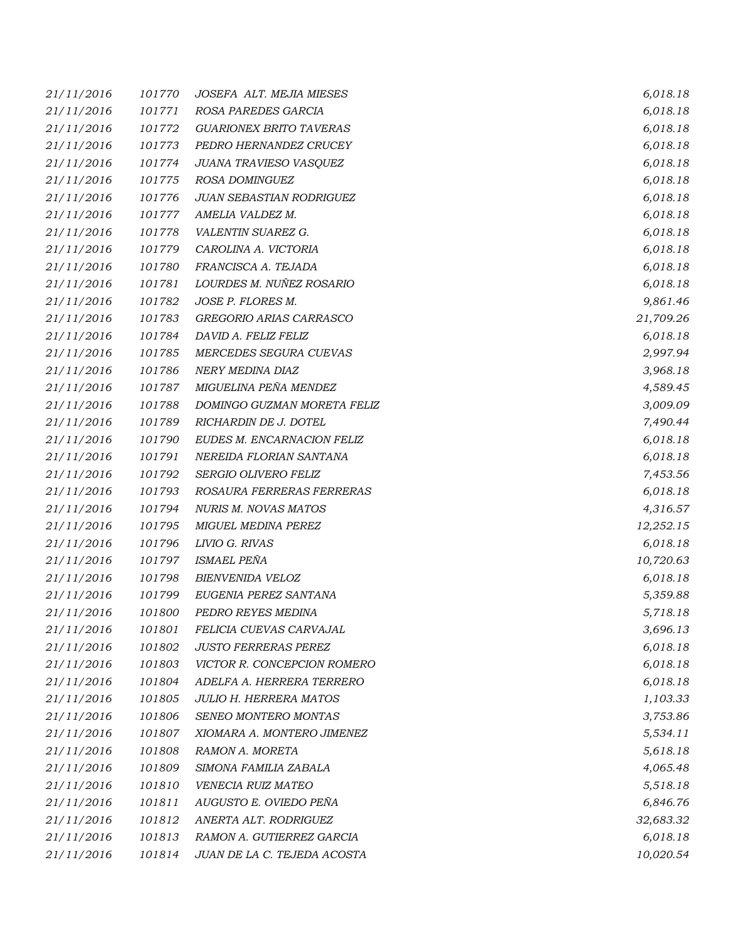| 21/11/2016 | 101770 | JOSEFA ALT. MEJIA MIESES       | 6,018.18  |
|------------|--------|--------------------------------|-----------|
| 21/11/2016 | 101771 | ROSA PAREDES GARCIA            | 6,018.18  |
| 21/11/2016 | 101772 | <b>GUARIONEX BRITO TAVERAS</b> | 6,018.18  |
| 21/11/2016 | 101773 | PEDRO HERNANDEZ CRUCEY         | 6,018.18  |
| 21/11/2016 | 101774 | JUANA TRAVIESO VASQUEZ         | 6,018.18  |
| 21/11/2016 | 101775 | ROSA DOMINGUEZ                 | 6,018.18  |
| 21/11/2016 | 101776 | JUAN SEBASTIAN RODRIGUEZ       | 6,018.18  |
| 21/11/2016 | 101777 | AMELIA VALDEZ M.               | 6,018.18  |
| 21/11/2016 | 101778 | VALENTIN SUAREZ G.             | 6,018.18  |
| 21/11/2016 | 101779 | CAROLINA A. VICTORIA           | 6,018.18  |
| 21/11/2016 | 101780 | FRANCISCA A. TEJADA            | 6,018.18  |
| 21/11/2016 | 101781 | LOURDES M. NUÑEZ ROSARIO       | 6,018.18  |
| 21/11/2016 | 101782 | JOSE P. FLORES M.              | 9,861.46  |
| 21/11/2016 | 101783 | GREGORIO ARIAS CARRASCO        | 21,709.26 |
| 21/11/2016 | 101784 | DAVID A. FELIZ FELIZ           | 6,018.18  |
| 21/11/2016 | 101785 | MERCEDES SEGURA CUEVAS         | 2,997.94  |
| 21/11/2016 | 101786 | NERY MEDINA DIAZ               | 3,968.18  |
| 21/11/2016 | 101787 | MIGUELINA PEÑA MENDEZ          | 4,589.45  |
| 21/11/2016 | 101788 | DOMINGO GUZMAN MORETA FELIZ    | 3,009.09  |
| 21/11/2016 | 101789 | RICHARDIN DE J. DOTEL          | 7,490.44  |
| 21/11/2016 | 101790 | EUDES M. ENCARNACION FELIZ     | 6,018.18  |
| 21/11/2016 | 101791 | NEREIDA FLORIAN SANTANA        | 6,018.18  |
| 21/11/2016 | 101792 | SERGIO OLIVERO FELIZ           | 7,453.56  |
| 21/11/2016 | 101793 | ROSAURA FERRERAS FERRERAS      | 6,018.18  |
| 21/11/2016 | 101794 | NURIS M. NOVAS MATOS           | 4,316.57  |
| 21/11/2016 | 101795 | MIGUEL MEDINA PEREZ            | 12,252.15 |
| 21/11/2016 | 101796 | LIVIO G. RIVAS                 | 6,018.18  |
| 21/11/2016 | 101797 | <b>ISMAEL PEÑA</b>             | 10,720.63 |
| 21/11/2016 | 101798 | <b>BIENVENIDA VELOZ</b>        | 6,018.18  |
| 21/11/2016 | 101799 | EUGENIA PEREZ SANTANA          | 5,359.88  |
| 21/11/2016 | 101800 | PEDRO REYES MEDINA             | 5,718.18  |
| 21/11/2016 | 101801 | FELICIA CUEVAS CARVAJAL        | 3,696.13  |
| 21/11/2016 | 101802 | <b>JUSTO FERRERAS PEREZ</b>    | 6,018.18  |
| 21/11/2016 | 101803 | VICTOR R. CONCEPCION ROMERO    | 6,018.18  |
| 21/11/2016 | 101804 | ADELFA A. HERRERA TERRERO      | 6,018.18  |
| 21/11/2016 | 101805 | <b>JULIO H. HERRERA MATOS</b>  | 1,103.33  |
| 21/11/2016 | 101806 | SENEO MONTERO MONTAS           | 3,753.86  |
| 21/11/2016 | 101807 | XIOMARA A. MONTERO JIMENEZ     | 5,534.11  |
| 21/11/2016 | 101808 | RAMON A. MORETA                | 5,618.18  |
| 21/11/2016 | 101809 | SIMONA FAMILIA ZABALA          | 4,065.48  |
| 21/11/2016 | 101810 | VENECIA RUIZ MATEO             | 5,518.18  |
| 21/11/2016 | 101811 | AUGUSTO E. OVIEDO PEÑA         | 6,846.76  |
| 21/11/2016 | 101812 | ANERTA ALT. RODRIGUEZ          | 32,683.32 |
| 21/11/2016 | 101813 | RAMON A. GUTIERREZ GARCIA      | 6,018.18  |
| 21/11/2016 | 101814 | JUAN DE LA C. TEJEDA ACOSTA    | 10,020.54 |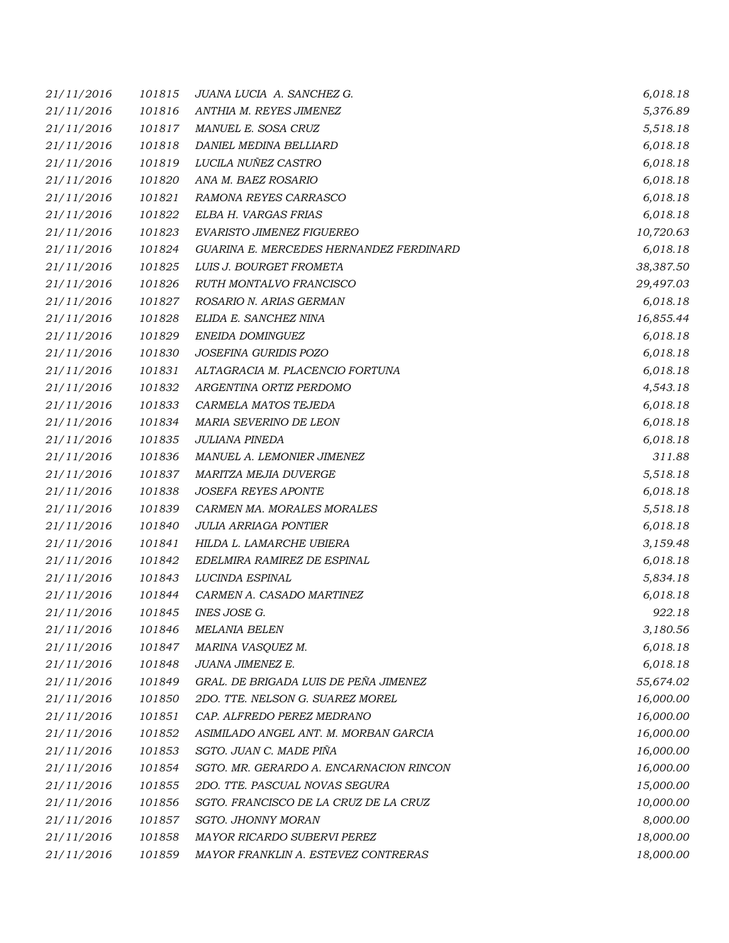| 21/11/2016 | 101815 | JUANA LUCIA A. SANCHEZ G.               | 6,018.18  |
|------------|--------|-----------------------------------------|-----------|
| 21/11/2016 | 101816 | ANTHIA M. REYES JIMENEZ                 | 5,376.89  |
| 21/11/2016 | 101817 | MANUEL E. SOSA CRUZ                     | 5,518.18  |
| 21/11/2016 | 101818 | DANIEL MEDINA BELLIARD                  | 6,018.18  |
| 21/11/2016 | 101819 | LUCILA NUÑEZ CASTRO                     | 6,018.18  |
| 21/11/2016 | 101820 | ANA M. BAEZ ROSARIO                     | 6,018.18  |
| 21/11/2016 | 101821 | RAMONA REYES CARRASCO                   | 6,018.18  |
| 21/11/2016 | 101822 | ELBA H. VARGAS FRIAS                    | 6,018.18  |
| 21/11/2016 | 101823 | EVARISTO JIMENEZ FIGUEREO               | 10,720.63 |
| 21/11/2016 | 101824 | GUARINA E. MERCEDES HERNANDEZ FERDINARD | 6,018.18  |
| 21/11/2016 | 101825 | LUIS J. BOURGET FROMETA                 | 38,387.50 |
| 21/11/2016 | 101826 | RUTH MONTALVO FRANCISCO                 | 29,497.03 |
| 21/11/2016 | 101827 | ROSARIO N. ARIAS GERMAN                 | 6,018.18  |
| 21/11/2016 | 101828 | ELIDA E. SANCHEZ NINA                   | 16,855.44 |
| 21/11/2016 | 101829 | ENEIDA DOMINGUEZ                        | 6,018.18  |
| 21/11/2016 | 101830 | JOSEFINA GURIDIS POZO                   | 6,018.18  |
| 21/11/2016 | 101831 | ALTAGRACIA M. PLACENCIO FORTUNA         | 6,018.18  |
| 21/11/2016 | 101832 | ARGENTINA ORTIZ PERDOMO                 | 4,543.18  |
| 21/11/2016 | 101833 | CARMELA MATOS TEJEDA                    | 6,018.18  |
| 21/11/2016 | 101834 | MARIA SEVERINO DE LEON                  | 6,018.18  |
| 21/11/2016 | 101835 | JULIANA PINEDA                          | 6,018.18  |
| 21/11/2016 | 101836 | MANUEL A. LEMONIER JIMENEZ              | 311.88    |
| 21/11/2016 | 101837 | MARITZA MEJIA DUVERGE                   | 5,518.18  |
| 21/11/2016 | 101838 | <b>JOSEFA REYES APONTE</b>              | 6,018.18  |
| 21/11/2016 | 101839 | CARMEN MA. MORALES MORALES              | 5,518.18  |
| 21/11/2016 | 101840 | <b>JULIA ARRIAGA PONTIER</b>            | 6,018.18  |
| 21/11/2016 | 101841 | HILDA L. LAMARCHE UBIERA                | 3,159.48  |
| 21/11/2016 | 101842 | EDELMIRA RAMIREZ DE ESPINAL             | 6,018.18  |
| 21/11/2016 | 101843 | LUCINDA ESPINAL                         | 5,834.18  |
| 21/11/2016 | 101844 | CARMEN A. CASADO MARTINEZ               | 6,018.18  |
| 21/11/2016 | 101845 | INES JOSE G.                            | 922.18    |
| 21/11/2016 | 101846 | <b>MELANIA BELEN</b>                    | 3,180.56  |
| 21/11/2016 | 101847 | MARINA VASQUEZ M.                       | 6,018.18  |
| 21/11/2016 | 101848 | JUANA JIMENEZ E.                        | 6,018.18  |
| 21/11/2016 | 101849 | GRAL. DE BRIGADA LUIS DE PEÑA JIMENEZ   | 55,674.02 |
| 21/11/2016 | 101850 | 2DO. TTE. NELSON G. SUAREZ MOREL        | 16,000.00 |
| 21/11/2016 | 101851 | CAP. ALFREDO PEREZ MEDRANO              | 16,000.00 |
| 21/11/2016 | 101852 | ASIMILADO ANGEL ANT. M. MORBAN GARCIA   | 16,000.00 |
| 21/11/2016 | 101853 | SGTO. JUAN C. MADE PIÑA                 | 16,000.00 |
| 21/11/2016 | 101854 | SGTO. MR. GERARDO A. ENCARNACION RINCON | 16,000.00 |
| 21/11/2016 | 101855 | 2DO. TTE. PASCUAL NOVAS SEGURA          | 15,000.00 |
| 21/11/2016 | 101856 | SGTO. FRANCISCO DE LA CRUZ DE LA CRUZ   | 10,000.00 |
| 21/11/2016 | 101857 | <b>SGTO. JHONNY MORAN</b>               | 8,000.00  |
| 21/11/2016 | 101858 | MAYOR RICARDO SUBERVI PEREZ             | 18,000.00 |
| 21/11/2016 | 101859 | MAYOR FRANKLIN A. ESTEVEZ CONTRERAS     | 18,000.00 |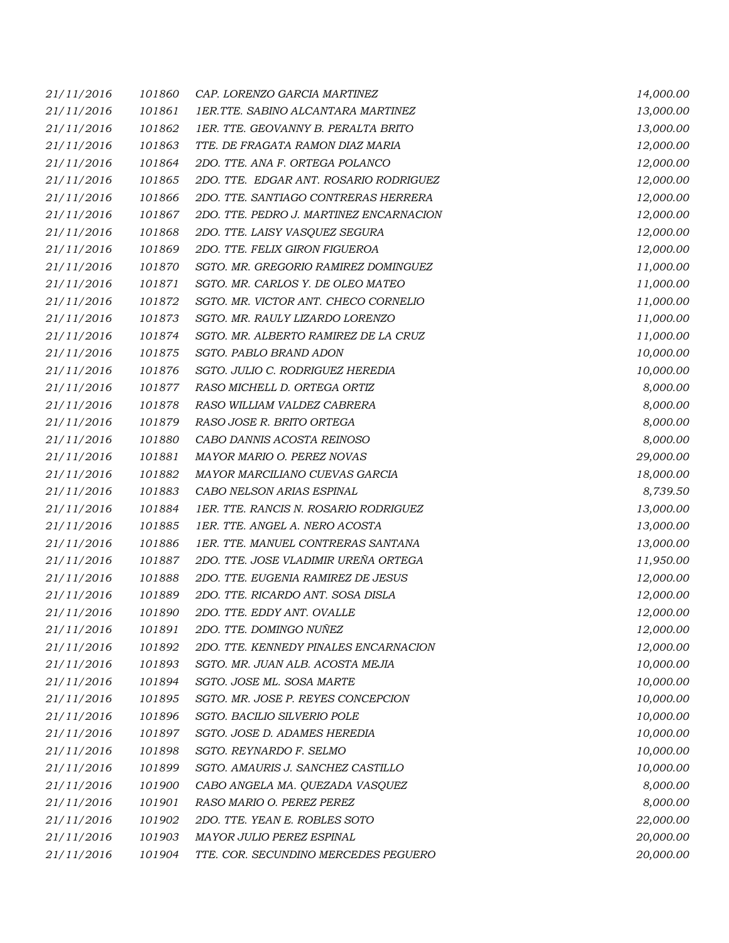| 21/11/2016 | 101860 | CAP. LORENZO GARCIA MARTINEZ            | 14,000.00 |
|------------|--------|-----------------------------------------|-----------|
| 21/11/2016 | 101861 | 1ER.TTE. SABINO ALCANTARA MARTINEZ      | 13,000.00 |
| 21/11/2016 | 101862 | 1ER. TTE. GEOVANNY B. PERALTA BRITO     | 13,000.00 |
| 21/11/2016 | 101863 | TTE. DE FRAGATA RAMON DIAZ MARIA        | 12,000.00 |
| 21/11/2016 | 101864 | 2DO. TTE. ANA F. ORTEGA POLANCO         | 12,000.00 |
| 21/11/2016 | 101865 | 2DO. TTE. EDGAR ANT. ROSARIO RODRIGUEZ  | 12,000.00 |
| 21/11/2016 | 101866 | 2DO. TTE. SANTIAGO CONTRERAS HERRERA    | 12,000.00 |
| 21/11/2016 | 101867 | 2DO. TTE. PEDRO J. MARTINEZ ENCARNACION | 12,000.00 |
| 21/11/2016 | 101868 | 2DO. TTE. LAISY VASQUEZ SEGURA          | 12,000.00 |
| 21/11/2016 | 101869 | 2DO. TTE. FELIX GIRON FIGUEROA          | 12,000.00 |
| 21/11/2016 | 101870 | SGTO. MR. GREGORIO RAMIREZ DOMINGUEZ    | 11,000.00 |
| 21/11/2016 | 101871 | SGTO. MR. CARLOS Y. DE OLEO MATEO       | 11,000.00 |
| 21/11/2016 | 101872 | SGTO. MR. VICTOR ANT. CHECO CORNELIO    | 11,000.00 |
| 21/11/2016 | 101873 | SGTO. MR. RAULY LIZARDO LORENZO         | 11,000.00 |
| 21/11/2016 | 101874 | SGTO. MR. ALBERTO RAMIREZ DE LA CRUZ    | 11,000.00 |
| 21/11/2016 | 101875 | SGTO. PABLO BRAND ADON                  | 10,000.00 |
| 21/11/2016 | 101876 | SGTO. JULIO C. RODRIGUEZ HEREDIA        | 10,000.00 |
| 21/11/2016 | 101877 | RASO MICHELL D. ORTEGA ORTIZ            | 8,000.00  |
| 21/11/2016 | 101878 | RASO WILLIAM VALDEZ CABRERA             | 8,000.00  |
| 21/11/2016 | 101879 | RASO JOSE R. BRITO ORTEGA               | 8,000.00  |
| 21/11/2016 | 101880 | CABO DANNIS ACOSTA REINOSO              | 8,000.00  |
| 21/11/2016 | 101881 | MAYOR MARIO O. PEREZ NOVAS              | 29,000.00 |
| 21/11/2016 | 101882 | MAYOR MARCILIANO CUEVAS GARCIA          | 18,000.00 |
| 21/11/2016 | 101883 | CABO NELSON ARIAS ESPINAL               | 8,739.50  |
| 21/11/2016 | 101884 | 1ER. TTE. RANCIS N. ROSARIO RODRIGUEZ   | 13,000.00 |
| 21/11/2016 | 101885 | 1ER. TTE. ANGEL A. NERO ACOSTA          | 13,000.00 |
| 21/11/2016 | 101886 | 1ER. TTE. MANUEL CONTRERAS SANTANA      | 13,000.00 |
| 21/11/2016 | 101887 | 2DO. TTE. JOSE VLADIMIR UREÑA ORTEGA    | 11,950.00 |
| 21/11/2016 | 101888 | 2DO. TTE. EUGENIA RAMIREZ DE JESUS      | 12,000.00 |
| 21/11/2016 | 101889 | 2DO. TTE. RICARDO ANT. SOSA DISLA       | 12,000.00 |
| 21/11/2016 | 101890 | 2DO. TTE. EDDY ANT. OVALLE              | 12,000.00 |
| 21/11/2016 | 101891 | 2DO. TTE. DOMINGO NUÑEZ                 | 12,000.00 |
| 21/11/2016 | 101892 | 2DO. TTE. KENNEDY PINALES ENCARNACION   | 12,000.00 |
| 21/11/2016 | 101893 | SGTO. MR. JUAN ALB. ACOSTA MEJIA        | 10,000.00 |
| 21/11/2016 | 101894 | SGTO. JOSE ML. SOSA MARTE               | 10,000.00 |
| 21/11/2016 | 101895 | SGTO. MR. JOSE P. REYES CONCEPCION      | 10,000.00 |
| 21/11/2016 | 101896 | SGTO. BACILIO SILVERIO POLE             | 10,000.00 |
| 21/11/2016 | 101897 | SGTO. JOSE D. ADAMES HEREDIA            | 10,000.00 |
| 21/11/2016 | 101898 | SGTO. REYNARDO F. SELMO                 | 10,000.00 |
| 21/11/2016 | 101899 | SGTO. AMAURIS J. SANCHEZ CASTILLO       | 10,000.00 |
| 21/11/2016 | 101900 | CABO ANGELA MA. QUEZADA VASQUEZ         | 8,000.00  |
| 21/11/2016 | 101901 | RASO MARIO O. PEREZ PEREZ               | 8,000.00  |
| 21/11/2016 | 101902 | 2DO. TTE. YEAN E. ROBLES SOTO           | 22,000.00 |
| 21/11/2016 | 101903 | MAYOR JULIO PEREZ ESPINAL               | 20,000.00 |
| 21/11/2016 | 101904 | TTE. COR. SECUNDINO MERCEDES PEGUERO    | 20,000.00 |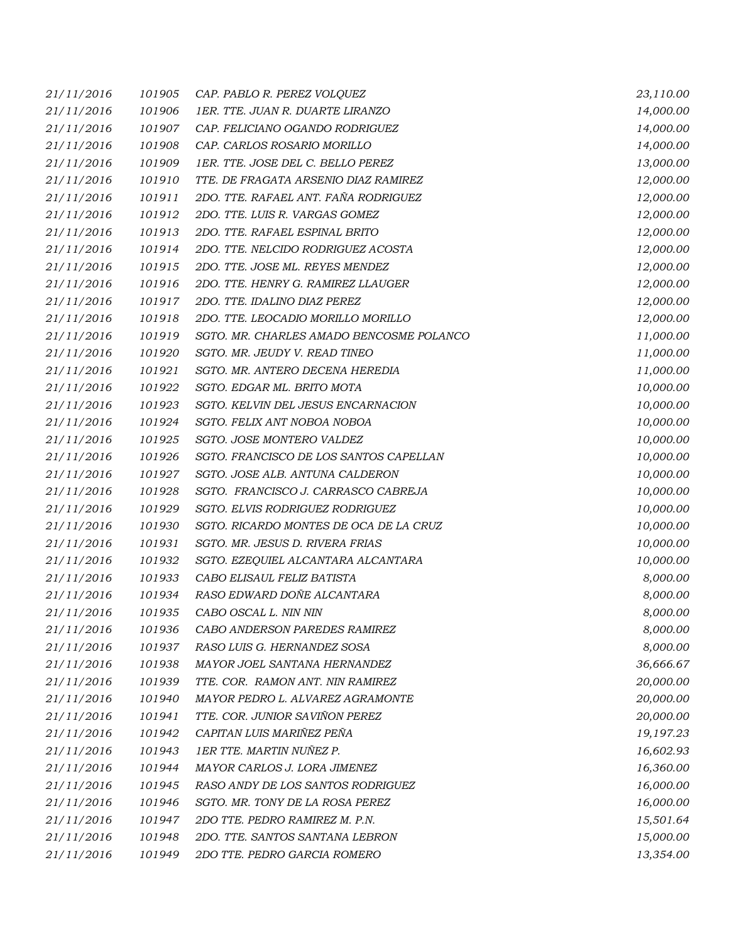| 21/11/2016 | 101905 | CAP. PABLO R. PEREZ VOLQUEZ              | 23,110.00 |
|------------|--------|------------------------------------------|-----------|
| 21/11/2016 | 101906 | 1ER. TTE. JUAN R. DUARTE LIRANZO         | 14,000.00 |
| 21/11/2016 | 101907 | CAP. FELICIANO OGANDO RODRIGUEZ          | 14,000.00 |
| 21/11/2016 | 101908 | CAP. CARLOS ROSARIO MORILLO              | 14,000.00 |
| 21/11/2016 | 101909 | 1ER. TTE. JOSE DEL C. BELLO PEREZ        | 13,000.00 |
| 21/11/2016 | 101910 | TTE. DE FRAGATA ARSENIO DIAZ RAMIREZ     | 12,000.00 |
| 21/11/2016 | 101911 | 2DO. TTE. RAFAEL ANT. FAÑA RODRIGUEZ     | 12,000.00 |
| 21/11/2016 | 101912 | 2DO. TTE. LUIS R. VARGAS GOMEZ           | 12,000.00 |
| 21/11/2016 | 101913 | 2DO. TTE. RAFAEL ESPINAL BRITO           | 12,000.00 |
| 21/11/2016 | 101914 | 2DO. TTE. NELCIDO RODRIGUEZ ACOSTA       | 12,000.00 |
| 21/11/2016 | 101915 | 2DO. TTE. JOSE ML. REYES MENDEZ          | 12,000.00 |
| 21/11/2016 | 101916 | 2DO. TTE. HENRY G. RAMIREZ LLAUGER       | 12,000.00 |
| 21/11/2016 | 101917 | 2DO. TTE. IDALINO DIAZ PEREZ             | 12,000.00 |
| 21/11/2016 | 101918 | 2DO. TTE. LEOCADIO MORILLO MORILLO       | 12,000.00 |
| 21/11/2016 | 101919 | SGTO. MR. CHARLES AMADO BENCOSME POLANCO | 11,000.00 |
| 21/11/2016 | 101920 | SGTO. MR. JEUDY V. READ TINEO            | 11,000.00 |
| 21/11/2016 | 101921 | SGTO. MR. ANTERO DECENA HEREDIA          | 11,000.00 |
| 21/11/2016 | 101922 | SGTO. EDGAR ML. BRITO MOTA               | 10,000.00 |
| 21/11/2016 | 101923 | SGTO. KELVIN DEL JESUS ENCARNACION       | 10,000.00 |
| 21/11/2016 | 101924 | SGTO. FELIX ANT NOBOA NOBOA              | 10,000.00 |
| 21/11/2016 | 101925 | SGTO. JOSE MONTERO VALDEZ                | 10,000.00 |
| 21/11/2016 | 101926 | SGTO. FRANCISCO DE LOS SANTOS CAPELLAN   | 10,000.00 |
| 21/11/2016 | 101927 | SGTO. JOSE ALB. ANTUNA CALDERON          | 10,000.00 |
| 21/11/2016 | 101928 | SGTO. FRANCISCO J. CARRASCO CABREJA      | 10,000.00 |
| 21/11/2016 | 101929 | SGTO. ELVIS RODRIGUEZ RODRIGUEZ          | 10,000.00 |
| 21/11/2016 | 101930 | SGTO. RICARDO MONTES DE OCA DE LA CRUZ   | 10,000.00 |
| 21/11/2016 | 101931 | SGTO. MR. JESUS D. RIVERA FRIAS          | 10,000.00 |
| 21/11/2016 | 101932 | SGTO. EZEQUIEL ALCANTARA ALCANTARA       | 10,000.00 |
| 21/11/2016 | 101933 | CABO ELISAUL FELIZ BATISTA               | 8,000.00  |
| 21/11/2016 | 101934 | RASO EDWARD DOÑE ALCANTARA               | 8,000.00  |
| 21/11/2016 | 101935 | CABO OSCAL L. NIN NIN                    | 8,000.00  |
| 21/11/2016 | 101936 | CABO ANDERSON PAREDES RAMIREZ            | 8,000.00  |
| 21/11/2016 | 101937 | RASO LUIS G. HERNANDEZ SOSA              | 8,000.00  |
| 21/11/2016 | 101938 | MAYOR JOEL SANTANA HERNANDEZ             | 36,666.67 |
| 21/11/2016 | 101939 | TTE. COR. RAMON ANT. NIN RAMIREZ         | 20,000.00 |
| 21/11/2016 | 101940 | MAYOR PEDRO L. ALVAREZ AGRAMONTE         | 20,000.00 |
| 21/11/2016 | 101941 | TTE. COR. JUNIOR SAVIÑON PEREZ           | 20,000.00 |
| 21/11/2016 | 101942 | CAPITAN LUIS MARIÑEZ PEÑA                | 19,197.23 |
| 21/11/2016 | 101943 | 1ER TTE. MARTIN NUÑEZ P.                 | 16,602.93 |
| 21/11/2016 | 101944 | MAYOR CARLOS J. LORA JIMENEZ             | 16,360.00 |
| 21/11/2016 | 101945 | RASO ANDY DE LOS SANTOS RODRIGUEZ        | 16,000.00 |
| 21/11/2016 | 101946 | SGTO. MR. TONY DE LA ROSA PEREZ          | 16,000.00 |
| 21/11/2016 | 101947 | 2DO TTE. PEDRO RAMIREZ M. P.N.           | 15,501.64 |
| 21/11/2016 | 101948 | 2DO. TTE. SANTOS SANTANA LEBRON          | 15,000.00 |
| 21/11/2016 | 101949 | 2DO TTE. PEDRO GARCIA ROMERO             | 13,354.00 |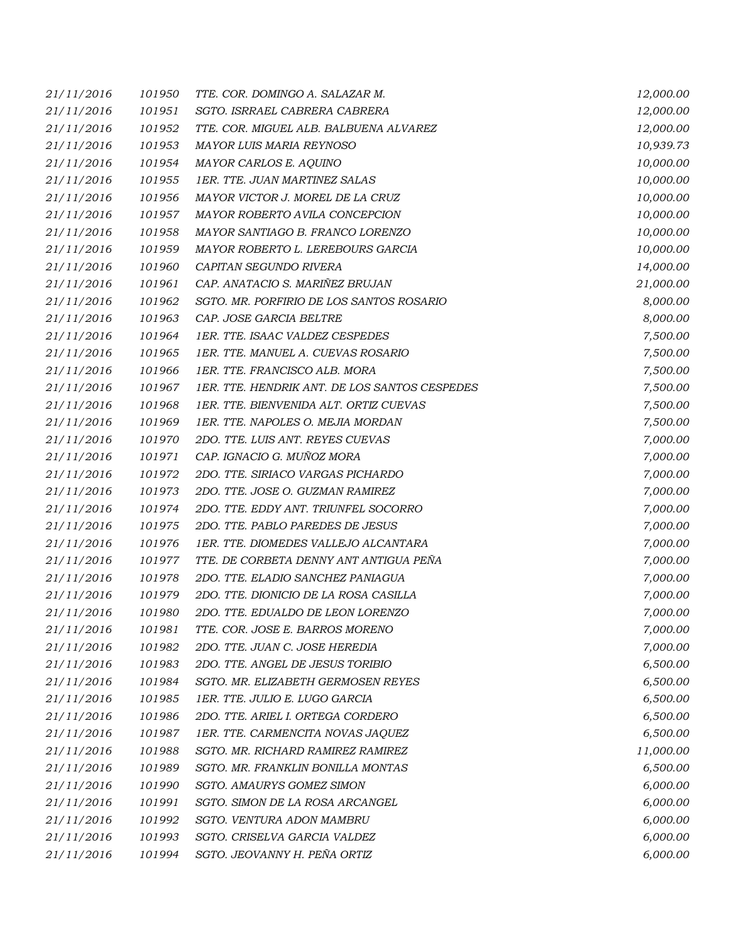| 21/11/2016 | 101950 | TTE. COR. DOMINGO A. SALAZAR M.               | 12,000.00 |
|------------|--------|-----------------------------------------------|-----------|
| 21/11/2016 | 101951 | SGTO. ISRRAEL CABRERA CABRERA                 | 12,000.00 |
| 21/11/2016 | 101952 | TTE. COR. MIGUEL ALB. BALBUENA ALVAREZ        | 12,000.00 |
| 21/11/2016 | 101953 | <b>MAYOR LUIS MARIA REYNOSO</b>               | 10,939.73 |
| 21/11/2016 | 101954 | MAYOR CARLOS E. AQUINO                        | 10,000.00 |
| 21/11/2016 | 101955 | 1ER. TTE. JUAN MARTINEZ SALAS                 | 10,000.00 |
| 21/11/2016 | 101956 | MAYOR VICTOR J. MOREL DE LA CRUZ              | 10,000.00 |
| 21/11/2016 | 101957 | MAYOR ROBERTO AVILA CONCEPCION                | 10,000.00 |
| 21/11/2016 | 101958 | MAYOR SANTIAGO B. FRANCO LORENZO              | 10,000.00 |
| 21/11/2016 | 101959 | MAYOR ROBERTO L. LEREBOURS GARCIA             | 10,000.00 |
| 21/11/2016 | 101960 | CAPITAN SEGUNDO RIVERA                        | 14,000.00 |
| 21/11/2016 | 101961 | CAP. ANATACIO S. MARIÑEZ BRUJAN               | 21,000.00 |
| 21/11/2016 | 101962 | SGTO. MR. PORFIRIO DE LOS SANTOS ROSARIO      | 8,000.00  |
| 21/11/2016 | 101963 | CAP. JOSE GARCIA BELTRE                       | 8,000.00  |
| 21/11/2016 | 101964 | 1ER. TTE. ISAAC VALDEZ CESPEDES               | 7,500.00  |
| 21/11/2016 | 101965 | 1ER. TTE. MANUEL A. CUEVAS ROSARIO            | 7,500.00  |
| 21/11/2016 | 101966 | 1ER. TTE. FRANCISCO ALB. MORA                 | 7,500.00  |
| 21/11/2016 | 101967 | 1ER. TTE. HENDRIK ANT. DE LOS SANTOS CESPEDES | 7,500.00  |
| 21/11/2016 | 101968 | 1ER. TTE. BIENVENIDA ALT. ORTIZ CUEVAS        | 7,500.00  |
| 21/11/2016 | 101969 | 1ER. TTE. NAPOLES O. MEJIA MORDAN             | 7,500.00  |
| 21/11/2016 | 101970 | 2DO. TTE. LUIS ANT. REYES CUEVAS              | 7,000.00  |
| 21/11/2016 | 101971 | CAP. IGNACIO G. MUÑOZ MORA                    | 7,000.00  |
| 21/11/2016 | 101972 | 2DO. TTE. SIRIACO VARGAS PICHARDO             | 7,000.00  |
| 21/11/2016 | 101973 | 2DO. TTE. JOSE O. GUZMAN RAMIREZ              | 7,000.00  |
| 21/11/2016 | 101974 | 2DO. TTE. EDDY ANT. TRIUNFEL SOCORRO          | 7,000.00  |
| 21/11/2016 | 101975 | 2DO. TTE. PABLO PAREDES DE JESUS              | 7,000.00  |
| 21/11/2016 | 101976 | 1ER. TTE. DIOMEDES VALLEJO ALCANTARA          | 7,000.00  |
| 21/11/2016 | 101977 | TTE. DE CORBETA DENNY ANT ANTIGUA PEÑA        | 7,000.00  |
| 21/11/2016 | 101978 | 2DO. TTE. ELADIO SANCHEZ PANIAGUA             | 7,000.00  |
| 21/11/2016 | 101979 | 2DO. TTE. DIONICIO DE LA ROSA CASILLA         | 7,000.00  |
| 21/11/2016 | 101980 | 2DO. TTE. EDUALDO DE LEON LORENZO             | 7,000.00  |
| 21/11/2016 | 101981 | TTE. COR. JOSE E. BARROS MORENO               | 7,000.00  |
| 21/11/2016 | 101982 | 2DO. TTE. JUAN C. JOSE HEREDIA                | 7,000.00  |
| 21/11/2016 | 101983 | 2DO. TTE. ANGEL DE JESUS TORIBIO              | 6,500.00  |
| 21/11/2016 | 101984 | SGTO. MR. ELIZABETH GERMOSEN REYES            | 6,500.00  |
| 21/11/2016 | 101985 | 1ER. TTE. JULIO E. LUGO GARCIA                | 6,500.00  |
| 21/11/2016 | 101986 | 2DO. TTE. ARIEL I. ORTEGA CORDERO             | 6,500.00  |
| 21/11/2016 | 101987 | 1ER. TTE. CARMENCITA NOVAS JAQUEZ             | 6,500.00  |
| 21/11/2016 | 101988 | SGTO. MR. RICHARD RAMIREZ RAMIREZ             | 11,000.00 |
| 21/11/2016 | 101989 | SGTO. MR. FRANKLIN BONILLA MONTAS             | 6,500.00  |
| 21/11/2016 | 101990 | SGTO. AMAURYS GOMEZ SIMON                     | 6,000.00  |
| 21/11/2016 | 101991 | SGTO. SIMON DE LA ROSA ARCANGEL               | 6,000.00  |
| 21/11/2016 | 101992 | SGTO. VENTURA ADON MAMBRU                     | 6,000.00  |
| 21/11/2016 | 101993 | SGTO. CRISELVA GARCIA VALDEZ                  | 6,000.00  |
| 21/11/2016 | 101994 | SGTO. JEOVANNY H. PEÑA ORTIZ                  | 6,000.00  |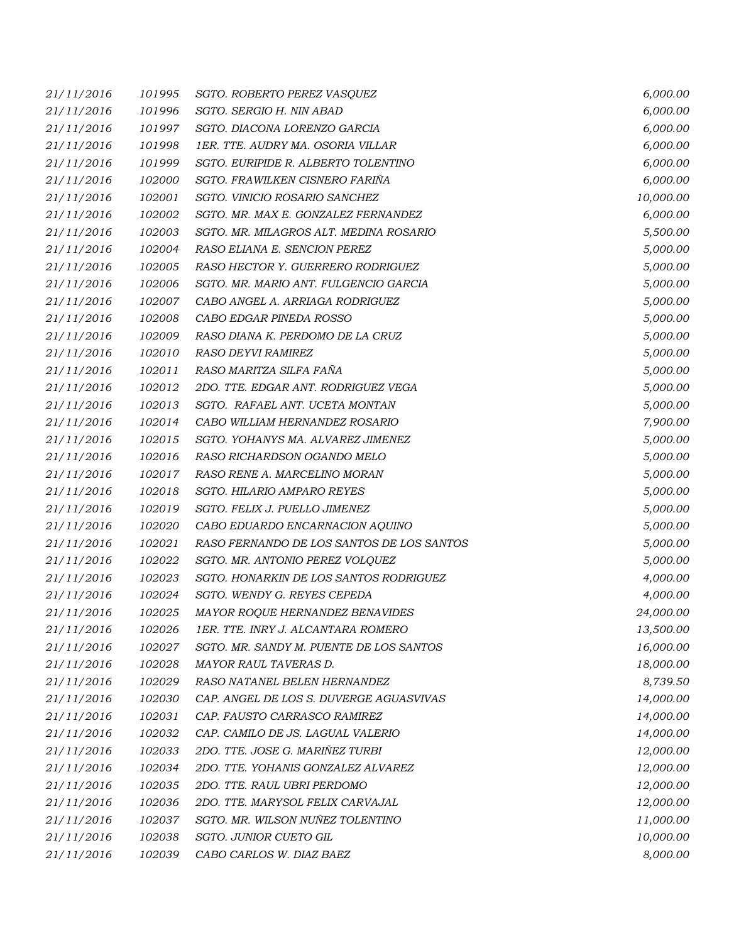| 21/11/2016 | 101995 | SGTO. ROBERTO PEREZ VASQUEZ               | 6,000.00  |
|------------|--------|-------------------------------------------|-----------|
| 21/11/2016 | 101996 | SGTO. SERGIO H. NIN ABAD                  | 6,000.00  |
| 21/11/2016 | 101997 | SGTO. DIACONA LORENZO GARCIA              | 6,000.00  |
| 21/11/2016 | 101998 | 1ER. TTE. AUDRY MA. OSORIA VILLAR         | 6,000.00  |
| 21/11/2016 | 101999 | SGTO. EURIPIDE R. ALBERTO TOLENTINO       | 6,000.00  |
| 21/11/2016 | 102000 | SGTO. FRAWILKEN CISNERO FARIÑA            | 6,000.00  |
| 21/11/2016 | 102001 | SGTO. VINICIO ROSARIO SANCHEZ             | 10,000.00 |
| 21/11/2016 | 102002 | SGTO. MR. MAX E. GONZALEZ FERNANDEZ       | 6,000.00  |
| 21/11/2016 | 102003 | SGTO. MR. MILAGROS ALT. MEDINA ROSARIO    | 5,500.00  |
| 21/11/2016 | 102004 | RASO ELIANA E. SENCION PEREZ              | 5,000.00  |
| 21/11/2016 | 102005 | RASO HECTOR Y. GUERRERO RODRIGUEZ         | 5,000.00  |
| 21/11/2016 | 102006 | SGTO. MR. MARIO ANT. FULGENCIO GARCIA     | 5,000.00  |
| 21/11/2016 | 102007 | CABO ANGEL A. ARRIAGA RODRIGUEZ           | 5,000.00  |
| 21/11/2016 | 102008 | CABO EDGAR PINEDA ROSSO                   | 5,000.00  |
| 21/11/2016 | 102009 | RASO DIANA K. PERDOMO DE LA CRUZ          | 5,000.00  |
| 21/11/2016 | 102010 | <b>RASO DEYVI RAMIREZ</b>                 | 5,000.00  |
| 21/11/2016 | 102011 | RASO MARITZA SILFA FAÑA                   | 5,000.00  |
| 21/11/2016 | 102012 | 2DO. TTE. EDGAR ANT. RODRIGUEZ VEGA       | 5,000.00  |
| 21/11/2016 | 102013 | SGTO. RAFAEL ANT. UCETA MONTAN            | 5,000.00  |
| 21/11/2016 | 102014 | CABO WILLIAM HERNANDEZ ROSARIO            | 7,900.00  |
| 21/11/2016 | 102015 | SGTO. YOHANYS MA. ALVAREZ JIMENEZ         | 5,000.00  |
| 21/11/2016 | 102016 | RASO RICHARDSON OGANDO MELO               | 5,000.00  |
| 21/11/2016 | 102017 | RASO RENE A. MARCELINO MORAN              | 5,000.00  |
| 21/11/2016 | 102018 | SGTO. HILARIO AMPARO REYES                | 5,000.00  |
| 21/11/2016 | 102019 | SGTO. FELIX J. PUELLO JIMENEZ             | 5,000.00  |
| 21/11/2016 | 102020 | CABO EDUARDO ENCARNACION AQUINO           | 5,000.00  |
| 21/11/2016 | 102021 | RASO FERNANDO DE LOS SANTOS DE LOS SANTOS | 5,000.00  |
| 21/11/2016 | 102022 | SGTO. MR. ANTONIO PEREZ VOLQUEZ           | 5,000.00  |
| 21/11/2016 | 102023 | SGTO. HONARKIN DE LOS SANTOS RODRIGUEZ    | 4,000.00  |
| 21/11/2016 | 102024 | SGTO. WENDY G. REYES CEPEDA               | 4,000.00  |
| 21/11/2016 | 102025 | MAYOR ROQUE HERNANDEZ BENAVIDES           | 24,000.00 |
| 21/11/2016 | 102026 | 1ER. TTE. INRY J. ALCANTARA ROMERO        | 13,500.00 |
| 21/11/2016 | 102027 | SGTO. MR. SANDY M. PUENTE DE LOS SANTOS   | 16,000.00 |
| 21/11/2016 | 102028 | MAYOR RAUL TAVERAS D.                     | 18,000.00 |
| 21/11/2016 | 102029 | RASO NATANEL BELEN HERNANDEZ              | 8,739.50  |
| 21/11/2016 | 102030 | CAP. ANGEL DE LOS S. DUVERGE AGUASVIVAS   | 14,000.00 |
| 21/11/2016 | 102031 | CAP. FAUSTO CARRASCO RAMIREZ              | 14,000.00 |
| 21/11/2016 | 102032 | CAP. CAMILO DE JS. LAGUAL VALERIO         | 14,000.00 |
| 21/11/2016 | 102033 | 2DO. TTE. JOSE G. MARIÑEZ TURBI           | 12,000.00 |
| 21/11/2016 | 102034 | 2DO. TTE. YOHANIS GONZALEZ ALVAREZ        | 12,000.00 |
| 21/11/2016 | 102035 | 2DO. TTE. RAUL UBRI PERDOMO               | 12,000.00 |
| 21/11/2016 | 102036 | 2DO. TTE. MARYSOL FELIX CARVAJAL          | 12,000.00 |
| 21/11/2016 | 102037 | SGTO. MR. WILSON NUÑEZ TOLENTINO          | 11,000.00 |
| 21/11/2016 | 102038 | SGTO. JUNIOR CUETO GIL                    | 10,000.00 |
| 21/11/2016 | 102039 | CABO CARLOS W. DIAZ BAEZ                  | 8,000.00  |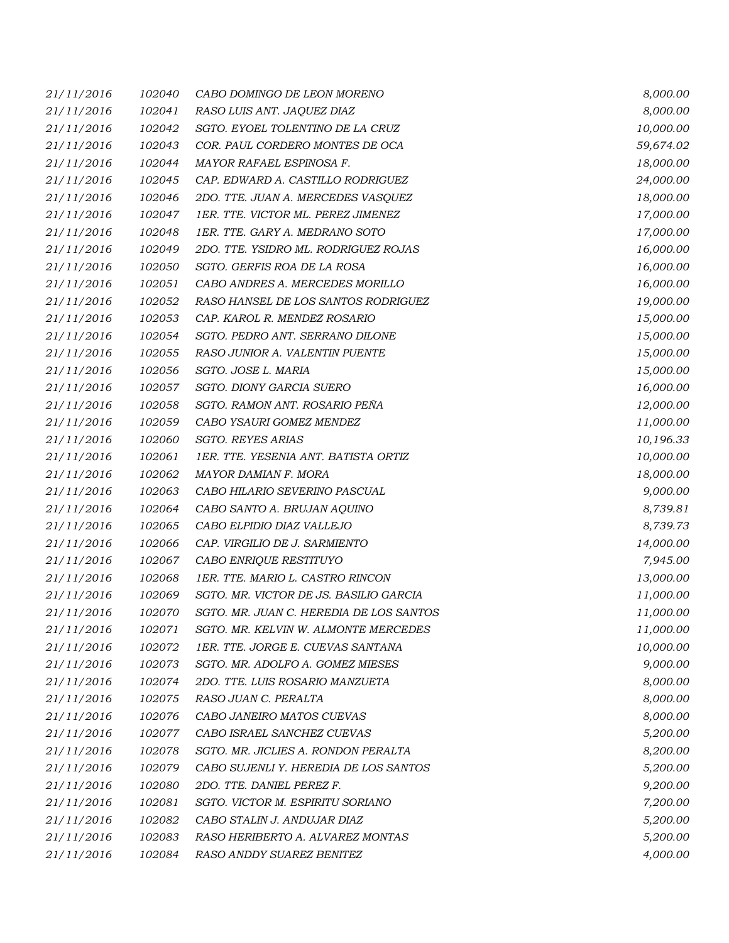| 21/11/2016 | 102040 | CABO DOMINGO DE LEON MORENO             | 8,000.00  |
|------------|--------|-----------------------------------------|-----------|
| 21/11/2016 | 102041 | RASO LUIS ANT. JAQUEZ DIAZ              | 8,000.00  |
| 21/11/2016 | 102042 | SGTO. EYOEL TOLENTINO DE LA CRUZ        | 10,000.00 |
| 21/11/2016 | 102043 | COR. PAUL CORDERO MONTES DE OCA         | 59,674.02 |
| 21/11/2016 | 102044 | MAYOR RAFAEL ESPINOSA F.                | 18,000.00 |
| 21/11/2016 | 102045 | CAP. EDWARD A. CASTILLO RODRIGUEZ       | 24,000.00 |
| 21/11/2016 | 102046 | 2DO. TTE. JUAN A. MERCEDES VASQUEZ      | 18,000.00 |
| 21/11/2016 | 102047 | 1ER. TTE. VICTOR ML. PEREZ JIMENEZ      | 17,000.00 |
| 21/11/2016 | 102048 | 1ER. TTE. GARY A. MEDRANO SOTO          | 17,000.00 |
| 21/11/2016 | 102049 | 2DO. TTE. YSIDRO ML. RODRIGUEZ ROJAS    | 16,000.00 |
| 21/11/2016 | 102050 | SGTO. GERFIS ROA DE LA ROSA             | 16,000.00 |
| 21/11/2016 | 102051 | CABO ANDRES A. MERCEDES MORILLO         | 16,000.00 |
| 21/11/2016 | 102052 | RASO HANSEL DE LOS SANTOS RODRIGUEZ     | 19,000.00 |
| 21/11/2016 | 102053 | CAP. KAROL R. MENDEZ ROSARIO            | 15,000.00 |
| 21/11/2016 | 102054 | SGTO. PEDRO ANT. SERRANO DILONE         | 15,000.00 |
| 21/11/2016 | 102055 | RASO JUNIOR A. VALENTIN PUENTE          | 15,000.00 |
| 21/11/2016 | 102056 | SGTO. JOSE L. MARIA                     | 15,000.00 |
| 21/11/2016 | 102057 | SGTO. DIONY GARCIA SUERO                | 16,000.00 |
| 21/11/2016 | 102058 | SGTO. RAMON ANT. ROSARIO PEÑA           | 12,000.00 |
| 21/11/2016 | 102059 | CABO YSAURI GOMEZ MENDEZ                | 11,000.00 |
| 21/11/2016 | 102060 | <b>SGTO. REYES ARIAS</b>                | 10,196.33 |
| 21/11/2016 | 102061 | 1ER. TTE. YESENIA ANT. BATISTA ORTIZ    | 10,000.00 |
| 21/11/2016 | 102062 | MAYOR DAMIAN F. MORA                    | 18,000.00 |
| 21/11/2016 | 102063 | CABO HILARIO SEVERINO PASCUAL           | 9,000.00  |
| 21/11/2016 | 102064 | CABO SANTO A. BRUJAN AQUINO             | 8,739.81  |
| 21/11/2016 | 102065 | CABO ELPIDIO DIAZ VALLEJO               | 8,739.73  |
| 21/11/2016 | 102066 | CAP. VIRGILIO DE J. SARMIENTO           | 14,000.00 |
| 21/11/2016 | 102067 | CABO ENRIQUE RESTITUYO                  | 7,945.00  |
| 21/11/2016 | 102068 | 1ER. TTE. MARIO L. CASTRO RINCON        | 13,000.00 |
| 21/11/2016 | 102069 | SGTO. MR. VICTOR DE JS. BASILIO GARCIA  | 11,000.00 |
| 21/11/2016 | 102070 | SGTO. MR. JUAN C. HEREDIA DE LOS SANTOS | 11,000.00 |
| 21/11/2016 | 102071 | SGTO. MR. KELVIN W. ALMONTE MERCEDES    | 11,000.00 |
| 21/11/2016 | 102072 | 1ER. TTE. JORGE E. CUEVAS SANTANA       | 10,000.00 |
| 21/11/2016 | 102073 | SGTO. MR. ADOLFO A. GOMEZ MIESES        | 9,000.00  |
| 21/11/2016 | 102074 | 2DO. TTE. LUIS ROSARIO MANZUETA         | 8,000.00  |
| 21/11/2016 | 102075 | RASO JUAN C. PERALTA                    | 8,000.00  |
| 21/11/2016 | 102076 | CABO JANEIRO MATOS CUEVAS               | 8,000.00  |
| 21/11/2016 | 102077 | CABO ISRAEL SANCHEZ CUEVAS              | 5,200.00  |
| 21/11/2016 | 102078 | SGTO. MR. JICLIES A. RONDON PERALTA     | 8,200.00  |
| 21/11/2016 | 102079 | CABO SUJENLI Y. HEREDIA DE LOS SANTOS   | 5,200.00  |
| 21/11/2016 | 102080 | 2DO. TTE. DANIEL PEREZ F.               | 9,200.00  |
| 21/11/2016 | 102081 | SGTO. VICTOR M. ESPIRITU SORIANO        | 7,200.00  |
| 21/11/2016 | 102082 | CABO STALIN J. ANDUJAR DIAZ             | 5,200.00  |
| 21/11/2016 | 102083 | RASO HERIBERTO A. ALVAREZ MONTAS        | 5,200.00  |
| 21/11/2016 | 102084 | RASO ANDDY SUAREZ BENITEZ               | 4,000.00  |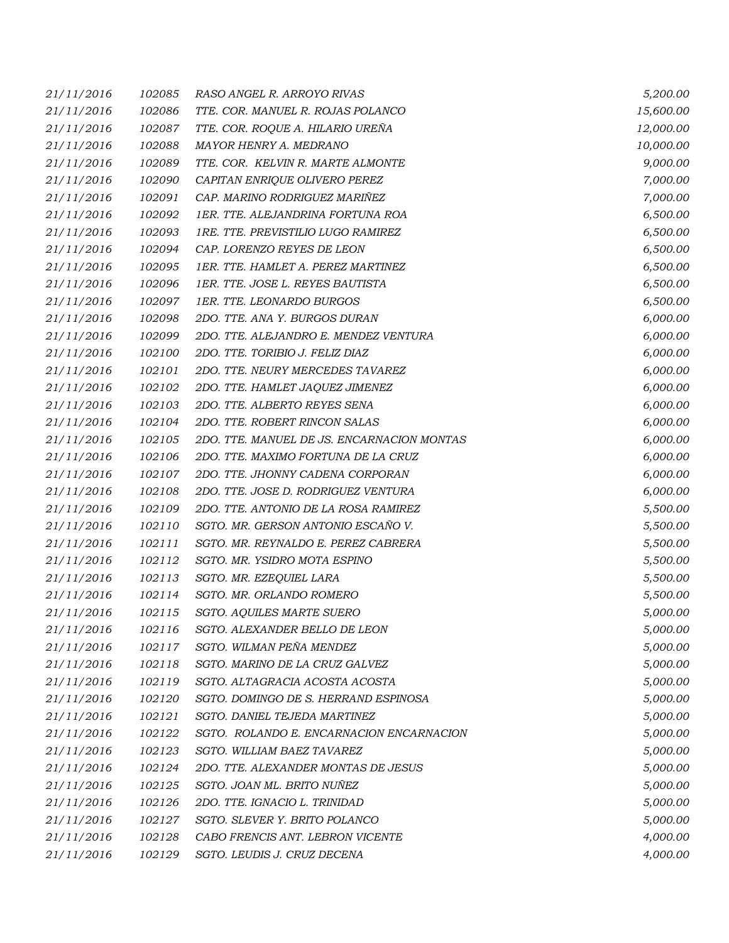| 21/11/2016 | 102085 | RASO ANGEL R. ARROYO RIVAS                 | 5,200.00  |
|------------|--------|--------------------------------------------|-----------|
| 21/11/2016 | 102086 | TTE. COR. MANUEL R. ROJAS POLANCO          | 15,600.00 |
| 21/11/2016 | 102087 | TTE. COR. ROQUE A. HILARIO UREÑA           | 12,000.00 |
| 21/11/2016 | 102088 | MAYOR HENRY A. MEDRANO                     | 10,000.00 |
| 21/11/2016 | 102089 | TTE. COR. KELVIN R. MARTE ALMONTE          | 9,000.00  |
| 21/11/2016 | 102090 | CAPITAN ENRIQUE OLIVERO PEREZ              | 7,000.00  |
| 21/11/2016 | 102091 | CAP. MARINO RODRIGUEZ MARIÑEZ              | 7,000.00  |
| 21/11/2016 | 102092 | 1ER. TTE. ALEJANDRINA FORTUNA ROA          | 6,500.00  |
| 21/11/2016 | 102093 | 1RE. TTE. PREVISTILIO LUGO RAMIREZ         | 6,500.00  |
| 21/11/2016 | 102094 | CAP. LORENZO REYES DE LEON                 | 6,500.00  |
| 21/11/2016 | 102095 | 1ER. TTE. HAMLET A. PEREZ MARTINEZ         | 6,500.00  |
| 21/11/2016 | 102096 | 1ER. TTE. JOSE L. REYES BAUTISTA           | 6,500.00  |
| 21/11/2016 | 102097 | 1ER. TTE. LEONARDO BURGOS                  | 6,500.00  |
| 21/11/2016 | 102098 | 2DO. TTE. ANA Y. BURGOS DURAN              | 6,000.00  |
| 21/11/2016 | 102099 | 2DO. TTE. ALEJANDRO E. MENDEZ VENTURA      | 6,000.00  |
| 21/11/2016 | 102100 | 2DO. TTE. TORIBIO J. FELIZ DIAZ            | 6,000.00  |
| 21/11/2016 | 102101 | 2DO. TTE. NEURY MERCEDES TAVAREZ           | 6,000.00  |
| 21/11/2016 | 102102 | 2DO. TTE. HAMLET JAQUEZ JIMENEZ            | 6,000.00  |
| 21/11/2016 | 102103 | 2DO. TTE. ALBERTO REYES SENA               | 6,000.00  |
| 21/11/2016 | 102104 | 2DO. TTE. ROBERT RINCON SALAS              | 6,000.00  |
| 21/11/2016 | 102105 | 2DO. TTE. MANUEL DE JS. ENCARNACION MONTAS | 6,000.00  |
| 21/11/2016 | 102106 | 2DO. TTE. MAXIMO FORTUNA DE LA CRUZ        | 6,000.00  |
| 21/11/2016 | 102107 | 2DO. TTE. JHONNY CADENA CORPORAN           | 6,000.00  |
| 21/11/2016 | 102108 | 2DO. TTE. JOSE D. RODRIGUEZ VENTURA        | 6,000.00  |
| 21/11/2016 | 102109 | 2DO. TTE. ANTONIO DE LA ROSA RAMIREZ       | 5,500.00  |
| 21/11/2016 | 102110 | SGTO. MR. GERSON ANTONIO ESCAÑO V.         | 5,500.00  |
| 21/11/2016 | 102111 | SGTO. MR. REYNALDO E. PEREZ CABRERA        | 5,500.00  |
| 21/11/2016 | 102112 | SGTO. MR. YSIDRO MOTA ESPINO               | 5,500.00  |
| 21/11/2016 | 102113 | SGTO. MR. EZEQUIEL LARA                    | 5,500.00  |
| 21/11/2016 | 102114 | SGTO. MR. ORLANDO ROMERO                   | 5,500.00  |
| 21/11/2016 | 102115 | SGTO. AQUILES MARTE SUERO                  | 5,000.00  |
| 21/11/2016 | 102116 | SGTO. ALEXANDER BELLO DE LEON              | 5,000.00  |
| 21/11/2016 | 102117 | SGTO. WILMAN PEÑA MENDEZ                   | 5,000.00  |
| 21/11/2016 | 102118 | SGTO. MARINO DE LA CRUZ GALVEZ             | 5,000.00  |
| 21/11/2016 | 102119 | SGTO. ALTAGRACIA ACOSTA ACOSTA             | 5,000.00  |
| 21/11/2016 | 102120 | SGTO. DOMINGO DE S. HERRAND ESPINOSA       | 5,000.00  |
| 21/11/2016 | 102121 | SGTO. DANIEL TEJEDA MARTINEZ               | 5,000.00  |
| 21/11/2016 | 102122 | SGTO. ROLANDO E. ENCARNACION ENCARNACION   | 5,000.00  |
| 21/11/2016 | 102123 | SGTO. WILLIAM BAEZ TAVAREZ                 | 5,000.00  |
| 21/11/2016 | 102124 | 2DO. TTE. ALEXANDER MONTAS DE JESUS        | 5,000.00  |
| 21/11/2016 | 102125 | SGTO. JOAN ML. BRITO NUÑEZ                 | 5,000.00  |
| 21/11/2016 | 102126 | 2DO. TTE. IGNACIO L. TRINIDAD              | 5,000.00  |
| 21/11/2016 | 102127 | SGTO. SLEVER Y. BRITO POLANCO              | 5,000.00  |
| 21/11/2016 | 102128 | CABO FRENCIS ANT. LEBRON VICENTE           | 4,000.00  |
| 21/11/2016 | 102129 | SGTO. LEUDIS J. CRUZ DECENA                | 4,000.00  |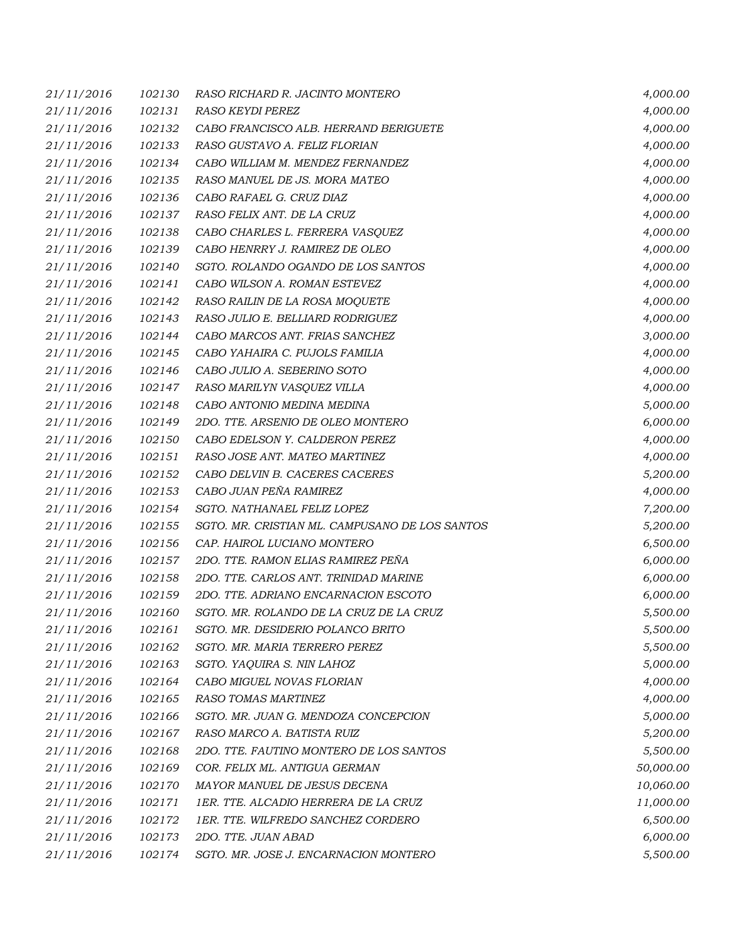| 21/11/2016 | 102130 | RASO RICHARD R. JACINTO MONTERO                | 4,000.00  |
|------------|--------|------------------------------------------------|-----------|
| 21/11/2016 | 102131 | RASO KEYDI PEREZ                               | 4,000.00  |
| 21/11/2016 | 102132 | CABO FRANCISCO ALB. HERRAND BERIGUETE          | 4,000.00  |
| 21/11/2016 | 102133 | RASO GUSTAVO A. FELIZ FLORIAN                  | 4,000.00  |
| 21/11/2016 | 102134 | CABO WILLIAM M. MENDEZ FERNANDEZ               | 4,000.00  |
| 21/11/2016 | 102135 | RASO MANUEL DE JS. MORA MATEO                  | 4,000.00  |
| 21/11/2016 | 102136 | CABO RAFAEL G. CRUZ DIAZ                       | 4,000.00  |
| 21/11/2016 | 102137 | RASO FELIX ANT. DE LA CRUZ                     | 4,000.00  |
| 21/11/2016 | 102138 | CABO CHARLES L. FERRERA VASQUEZ                | 4,000.00  |
| 21/11/2016 | 102139 | CABO HENRRY J. RAMIREZ DE OLEO                 | 4,000.00  |
| 21/11/2016 | 102140 | SGTO. ROLANDO OGANDO DE LOS SANTOS             | 4,000.00  |
| 21/11/2016 | 102141 | CABO WILSON A. ROMAN ESTEVEZ                   | 4,000.00  |
| 21/11/2016 | 102142 | RASO RAILIN DE LA ROSA MOQUETE                 | 4,000.00  |
| 21/11/2016 | 102143 | RASO JULIO E. BELLIARD RODRIGUEZ               | 4,000.00  |
| 21/11/2016 | 102144 | CABO MARCOS ANT. FRIAS SANCHEZ                 | 3,000.00  |
| 21/11/2016 | 102145 | CABO YAHAIRA C. PUJOLS FAMILIA                 | 4,000.00  |
| 21/11/2016 | 102146 | CABO JULIO A. SEBERINO SOTO                    | 4,000.00  |
| 21/11/2016 | 102147 | RASO MARILYN VASQUEZ VILLA                     | 4,000.00  |
| 21/11/2016 | 102148 | CABO ANTONIO MEDINA MEDINA                     | 5,000.00  |
| 21/11/2016 | 102149 | 2DO. TTE. ARSENIO DE OLEO MONTERO              | 6,000.00  |
| 21/11/2016 | 102150 | CABO EDELSON Y. CALDERON PEREZ                 | 4,000.00  |
| 21/11/2016 | 102151 | RASO JOSE ANT. MATEO MARTINEZ                  | 4,000.00  |
| 21/11/2016 | 102152 | CABO DELVIN B. CACERES CACERES                 | 5,200.00  |
| 21/11/2016 | 102153 | CABO JUAN PEÑA RAMIREZ                         | 4,000.00  |
| 21/11/2016 | 102154 | SGTO. NATHANAEL FELIZ LOPEZ                    | 7,200.00  |
| 21/11/2016 | 102155 | SGTO. MR. CRISTIAN ML. CAMPUSANO DE LOS SANTOS | 5,200.00  |
| 21/11/2016 | 102156 | CAP. HAIROL LUCIANO MONTERO                    | 6,500.00  |
| 21/11/2016 | 102157 | 2DO. TTE. RAMON ELIAS RAMIREZ PEÑA             | 6,000.00  |
| 21/11/2016 | 102158 | 2DO. TTE. CARLOS ANT. TRINIDAD MARINE          | 6,000.00  |
| 21/11/2016 | 102159 | 2DO. TTE. ADRIANO ENCARNACION ESCOTO           | 6,000.00  |
| 21/11/2016 | 102160 | SGTO. MR. ROLANDO DE LA CRUZ DE LA CRUZ        | 5,500.00  |
| 21/11/2016 | 102161 | SGTO. MR. DESIDERIO POLANCO BRITO              | 5,500.00  |
| 21/11/2016 | 102162 | SGTO. MR. MARIA TERRERO PEREZ                  | 5,500.00  |
| 21/11/2016 | 102163 | SGTO. YAQUIRA S. NIN LAHOZ                     | 5,000.00  |
| 21/11/2016 | 102164 | CABO MIGUEL NOVAS FLORIAN                      | 4,000.00  |
| 21/11/2016 | 102165 | <b>RASO TOMAS MARTINEZ</b>                     | 4,000.00  |
| 21/11/2016 | 102166 | SGTO. MR. JUAN G. MENDOZA CONCEPCION           | 5,000.00  |
| 21/11/2016 | 102167 | RASO MARCO A. BATISTA RUIZ                     | 5,200.00  |
| 21/11/2016 | 102168 | 2DO. TTE. FAUTINO MONTERO DE LOS SANTOS        | 5,500.00  |
| 21/11/2016 | 102169 | COR. FELIX ML. ANTIGUA GERMAN                  | 50,000.00 |
| 21/11/2016 | 102170 | MAYOR MANUEL DE JESUS DECENA                   | 10,060.00 |
| 21/11/2016 | 102171 | 1ER. TTE. ALCADIO HERRERA DE LA CRUZ           | 11,000.00 |
| 21/11/2016 | 102172 | 1ER. TTE. WILFREDO SANCHEZ CORDERO             | 6,500.00  |
| 21/11/2016 | 102173 | 2DO. TTE. JUAN ABAD                            | 6,000.00  |
| 21/11/2016 | 102174 | SGTO. MR. JOSE J. ENCARNACION MONTERO          | 5,500.00  |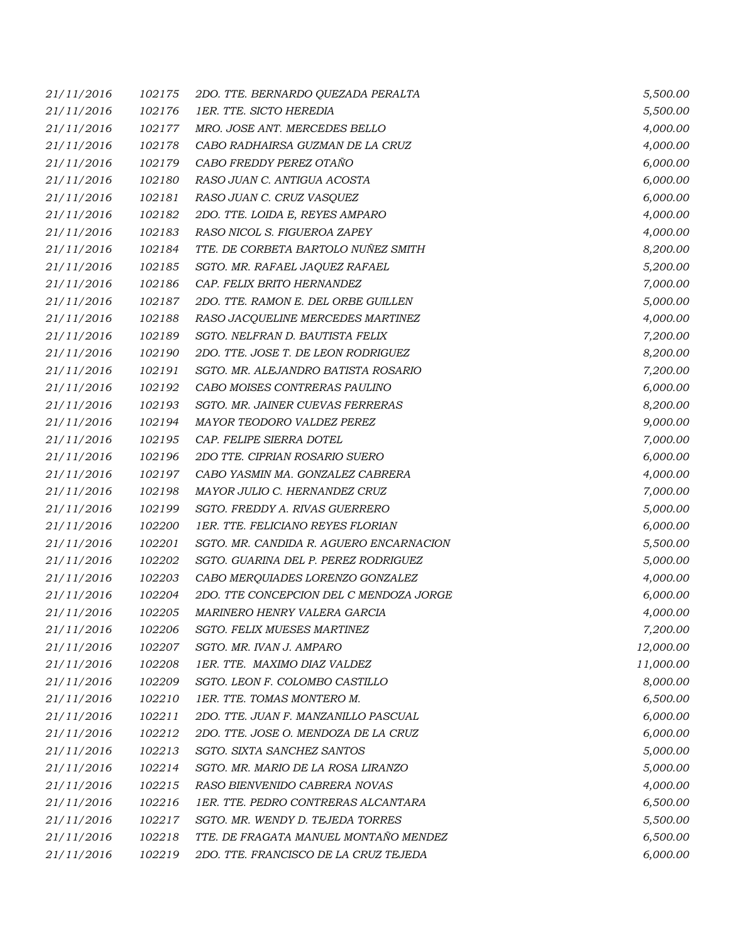| 21/11/2016 | 102175 | 2DO. TTE. BERNARDO QUEZADA PERALTA      | 5,500.00  |
|------------|--------|-----------------------------------------|-----------|
| 21/11/2016 | 102176 | 1ER. TTE. SICTO HEREDIA                 | 5,500.00  |
| 21/11/2016 | 102177 | MRO. JOSE ANT. MERCEDES BELLO           | 4,000.00  |
| 21/11/2016 | 102178 | CABO RADHAIRSA GUZMAN DE LA CRUZ        | 4,000.00  |
| 21/11/2016 | 102179 | CABO FREDDY PEREZ OTAÑO                 | 6,000.00  |
| 21/11/2016 | 102180 | RASO JUAN C. ANTIGUA ACOSTA             | 6,000.00  |
| 21/11/2016 | 102181 | RASO JUAN C. CRUZ VASQUEZ               | 6,000.00  |
| 21/11/2016 | 102182 | 2DO. TTE. LOIDA E, REYES AMPARO         | 4,000.00  |
| 21/11/2016 | 102183 | RASO NICOL S. FIGUEROA ZAPEY            | 4,000.00  |
| 21/11/2016 | 102184 | TTE. DE CORBETA BARTOLO NUÑEZ SMITH     | 8,200.00  |
| 21/11/2016 | 102185 | SGTO. MR. RAFAEL JAQUEZ RAFAEL          | 5,200.00  |
| 21/11/2016 | 102186 | CAP. FELIX BRITO HERNANDEZ              | 7,000.00  |
| 21/11/2016 | 102187 | 2DO. TTE. RAMON E. DEL ORBE GUILLEN     | 5,000.00  |
| 21/11/2016 | 102188 | RASO JACQUELINE MERCEDES MARTINEZ       | 4,000.00  |
| 21/11/2016 | 102189 | SGTO. NELFRAN D. BAUTISTA FELIX         | 7,200.00  |
| 21/11/2016 | 102190 | 2DO. TTE. JOSE T. DE LEON RODRIGUEZ     | 8,200.00  |
| 21/11/2016 | 102191 | SGTO. MR. ALEJANDRO BATISTA ROSARIO     | 7,200.00  |
| 21/11/2016 | 102192 | CABO MOISES CONTRERAS PAULINO           | 6,000.00  |
| 21/11/2016 | 102193 | SGTO. MR. JAINER CUEVAS FERRERAS        | 8,200.00  |
| 21/11/2016 | 102194 | MAYOR TEODORO VALDEZ PEREZ              | 9,000.00  |
| 21/11/2016 | 102195 | CAP. FELIPE SIERRA DOTEL                | 7,000.00  |
| 21/11/2016 | 102196 | 2DO TTE. CIPRIAN ROSARIO SUERO          | 6,000.00  |
| 21/11/2016 | 102197 | CABO YASMIN MA. GONZALEZ CABRERA        | 4,000.00  |
| 21/11/2016 | 102198 | MAYOR JULIO C. HERNANDEZ CRUZ           | 7,000.00  |
| 21/11/2016 | 102199 | SGTO. FREDDY A. RIVAS GUERRERO          | 5,000.00  |
| 21/11/2016 | 102200 | 1ER. TTE. FELICIANO REYES FLORIAN       | 6,000.00  |
| 21/11/2016 | 102201 | SGTO. MR. CANDIDA R. AGUERO ENCARNACION | 5,500.00  |
| 21/11/2016 | 102202 | SGTO. GUARINA DEL P. PEREZ RODRIGUEZ    | 5,000.00  |
| 21/11/2016 | 102203 | CABO MERQUIADES LORENZO GONZALEZ        | 4,000.00  |
| 21/11/2016 | 102204 | 2DO. TTE CONCEPCION DEL C MENDOZA JORGE | 6,000.00  |
| 21/11/2016 | 102205 | MARINERO HENRY VALERA GARCIA            | 4,000.00  |
| 21/11/2016 | 102206 | <b>SGTO. FELIX MUESES MARTINEZ</b>      | 7,200.00  |
| 21/11/2016 | 102207 | SGTO. MR. IVAN J. AMPARO                | 12,000.00 |
| 21/11/2016 | 102208 | 1ER. TTE. MAXIMO DIAZ VALDEZ            | 11,000.00 |
| 21/11/2016 | 102209 | SGTO. LEON F. COLOMBO CASTILLO          | 8,000.00  |
| 21/11/2016 | 102210 | 1ER. TTE. TOMAS MONTERO M.              | 6,500.00  |
| 21/11/2016 | 102211 | 2DO. TTE. JUAN F. MANZANILLO PASCUAL    | 6,000.00  |
| 21/11/2016 | 102212 | 2DO. TTE. JOSE O. MENDOZA DE LA CRUZ    | 6,000.00  |
| 21/11/2016 | 102213 | SGTO. SIXTA SANCHEZ SANTOS              | 5,000.00  |
| 21/11/2016 | 102214 | SGTO. MR. MARIO DE LA ROSA LIRANZO      | 5,000.00  |
| 21/11/2016 | 102215 | RASO BIENVENIDO CABRERA NOVAS           | 4,000.00  |
| 21/11/2016 | 102216 | 1ER. TTE. PEDRO CONTRERAS ALCANTARA     | 6,500.00  |
| 21/11/2016 | 102217 | SGTO. MR. WENDY D. TEJEDA TORRES        | 5,500.00  |
| 21/11/2016 | 102218 | TTE. DE FRAGATA MANUEL MONTAÑO MENDEZ   | 6,500.00  |
| 21/11/2016 | 102219 | 2DO. TTE. FRANCISCO DE LA CRUZ TEJEDA   | 6,000.00  |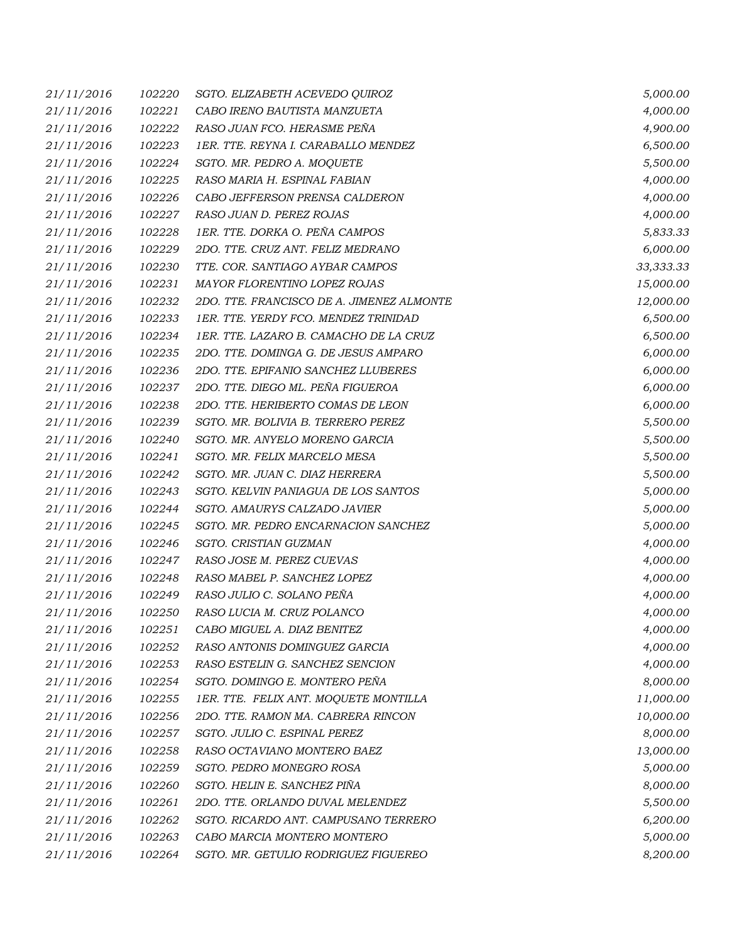| 21/11/2016 | 102220 | SGTO. ELIZABETH ACEVEDO QUIROZ            | 5,000.00  |
|------------|--------|-------------------------------------------|-----------|
| 21/11/2016 | 102221 | CABO IRENO BAUTISTA MANZUETA              | 4,000.00  |
| 21/11/2016 | 102222 | RASO JUAN FCO. HERASME PEÑA               | 4,900.00  |
| 21/11/2016 | 102223 | 1ER. TTE. REYNA I. CARABALLO MENDEZ       | 6,500.00  |
| 21/11/2016 | 102224 | SGTO. MR. PEDRO A. MOQUETE                | 5,500.00  |
| 21/11/2016 | 102225 | RASO MARIA H. ESPINAL FABIAN              | 4,000.00  |
| 21/11/2016 | 102226 | CABO JEFFERSON PRENSA CALDERON            | 4,000.00  |
| 21/11/2016 | 102227 | RASO JUAN D. PEREZ ROJAS                  | 4,000.00  |
| 21/11/2016 | 102228 | 1ER. TTE. DORKA O. PEÑA CAMPOS            | 5,833.33  |
| 21/11/2016 | 102229 | 2DO. TTE. CRUZ ANT. FELIZ MEDRANO         | 6,000.00  |
| 21/11/2016 | 102230 | TTE. COR. SANTIAGO AYBAR CAMPOS           | 33,333.33 |
| 21/11/2016 | 102231 | MAYOR FLORENTINO LOPEZ ROJAS              | 15,000.00 |
| 21/11/2016 | 102232 | 2DO. TTE. FRANCISCO DE A. JIMENEZ ALMONTE | 12,000.00 |
| 21/11/2016 | 102233 | 1ER. TTE. YERDY FCO. MENDEZ TRINIDAD      | 6,500.00  |
| 21/11/2016 | 102234 | 1ER. TTE. LAZARO B. CAMACHO DE LA CRUZ    | 6,500.00  |
| 21/11/2016 | 102235 | 2DO. TTE. DOMINGA G. DE JESUS AMPARO      | 6,000.00  |
| 21/11/2016 | 102236 | 2DO. TTE. EPIFANIO SANCHEZ LLUBERES       | 6,000.00  |
| 21/11/2016 | 102237 | 2DO. TTE. DIEGO ML. PEÑA FIGUEROA         | 6,000.00  |
| 21/11/2016 | 102238 | 2DO. TTE. HERIBERTO COMAS DE LEON         | 6,000.00  |
| 21/11/2016 | 102239 | SGTO. MR. BOLIVIA B. TERRERO PEREZ        | 5,500.00  |
| 21/11/2016 | 102240 | SGTO. MR. ANYELO MORENO GARCIA            | 5,500.00  |
| 21/11/2016 | 102241 | SGTO. MR. FELIX MARCELO MESA              | 5,500.00  |
| 21/11/2016 | 102242 | SGTO. MR. JUAN C. DIAZ HERRERA            | 5,500.00  |
| 21/11/2016 | 102243 | SGTO. KELVIN PANIAGUA DE LOS SANTOS       | 5,000.00  |
| 21/11/2016 | 102244 | SGTO. AMAURYS CALZADO JAVIER              | 5,000.00  |
| 21/11/2016 | 102245 | SGTO. MR. PEDRO ENCARNACION SANCHEZ       | 5,000.00  |
| 21/11/2016 | 102246 | SGTO. CRISTIAN GUZMAN                     | 4,000.00  |
| 21/11/2016 | 102247 | RASO JOSE M. PEREZ CUEVAS                 | 4,000.00  |
| 21/11/2016 | 102248 | RASO MABEL P. SANCHEZ LOPEZ               | 4,000.00  |
| 21/11/2016 | 102249 | RASO JULIO C. SOLANO PEÑA                 | 4,000.00  |
| 21/11/2016 | 102250 | RASO LUCIA M. CRUZ POLANCO                | 4,000.00  |
| 21/11/2016 | 102251 | CABO MIGUEL A. DIAZ BENITEZ               | 4,000.00  |
| 21/11/2016 | 102252 | RASO ANTONIS DOMINGUEZ GARCIA             | 4,000.00  |
| 21/11/2016 | 102253 | RASO ESTELIN G. SANCHEZ SENCION           | 4,000.00  |
| 21/11/2016 | 102254 | SGTO. DOMINGO E. MONTERO PEÑA             | 8,000.00  |
| 21/11/2016 | 102255 | 1ER. TTE. FELIX ANT. MOQUETE MONTILLA     | 11,000.00 |
| 21/11/2016 | 102256 | 2DO. TTE. RAMON MA. CABRERA RINCON        | 10,000.00 |
| 21/11/2016 | 102257 | SGTO. JULIO C. ESPINAL PEREZ              | 8,000.00  |
| 21/11/2016 | 102258 | RASO OCTAVIANO MONTERO BAEZ               | 13,000.00 |
| 21/11/2016 | 102259 | SGTO. PEDRO MONEGRO ROSA                  | 5,000.00  |
| 21/11/2016 | 102260 | SGTO. HELIN E. SANCHEZ PIÑA               | 8,000.00  |
| 21/11/2016 | 102261 | 2DO. TTE. ORLANDO DUVAL MELENDEZ          | 5,500.00  |
| 21/11/2016 | 102262 | SGTO. RICARDO ANT. CAMPUSANO TERRERO      | 6,200.00  |
| 21/11/2016 | 102263 | CABO MARCIA MONTERO MONTERO               | 5,000.00  |
| 21/11/2016 | 102264 | SGTO. MR. GETULIO RODRIGUEZ FIGUEREO      | 8,200.00  |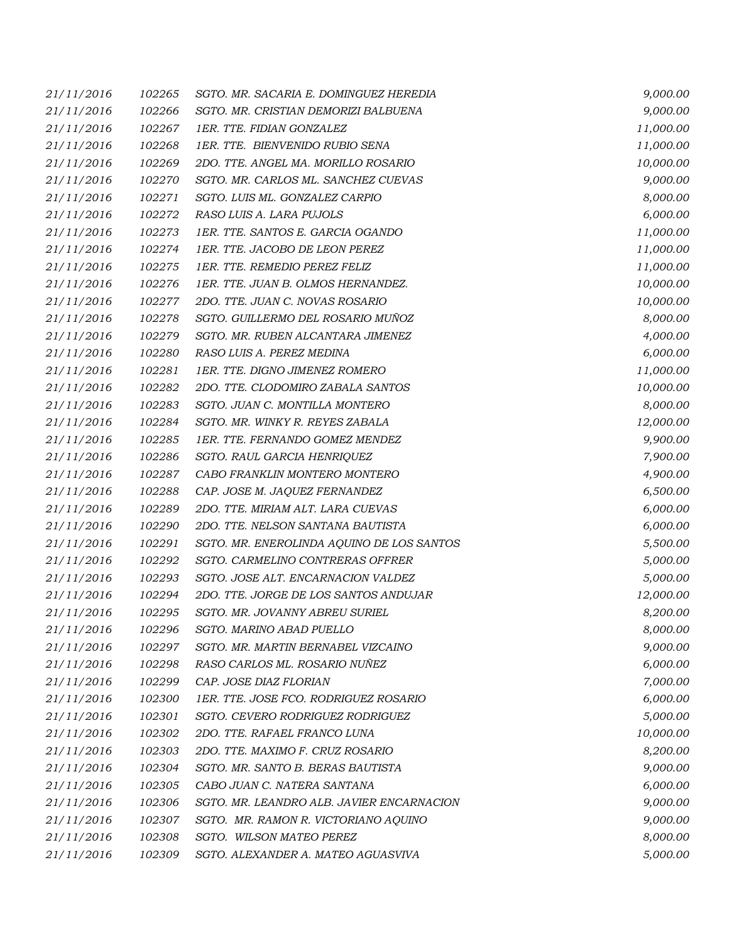| 21/11/2016 | 102265 | SGTO. MR. SACARIA E. DOMINGUEZ HEREDIA    | 9,000.00  |
|------------|--------|-------------------------------------------|-----------|
| 21/11/2016 | 102266 | SGTO. MR. CRISTIAN DEMORIZI BALBUENA      | 9,000.00  |
| 21/11/2016 | 102267 | 1ER. TTE. FIDIAN GONZALEZ                 | 11,000.00 |
| 21/11/2016 | 102268 | 1ER. TTE. BIENVENIDO RUBIO SENA           | 11,000.00 |
| 21/11/2016 | 102269 | 2DO. TTE. ANGEL MA. MORILLO ROSARIO       | 10,000.00 |
| 21/11/2016 | 102270 | SGTO. MR. CARLOS ML. SANCHEZ CUEVAS       | 9,000.00  |
| 21/11/2016 | 102271 | SGTO. LUIS ML. GONZALEZ CARPIO            | 8,000.00  |
| 21/11/2016 | 102272 | RASO LUIS A. LARA PUJOLS                  | 6,000.00  |
| 21/11/2016 | 102273 | 1ER. TTE. SANTOS E. GARCIA OGANDO         | 11,000.00 |
| 21/11/2016 | 102274 | 1ER. TTE. JACOBO DE LEON PEREZ            | 11,000.00 |
| 21/11/2016 | 102275 | 1ER. TTE. REMEDIO PEREZ FELIZ             | 11,000.00 |
| 21/11/2016 | 102276 | 1ER. TTE. JUAN B. OLMOS HERNANDEZ.        | 10,000.00 |
| 21/11/2016 | 102277 | 2DO. TTE. JUAN C. NOVAS ROSARIO           | 10,000.00 |
| 21/11/2016 | 102278 | SGTO. GUILLERMO DEL ROSARIO MUÑOZ         | 8,000.00  |
| 21/11/2016 | 102279 | SGTO. MR. RUBEN ALCANTARA JIMENEZ         | 4,000.00  |
| 21/11/2016 | 102280 | RASO LUIS A. PEREZ MEDINA                 | 6,000.00  |
| 21/11/2016 | 102281 | 1ER. TTE. DIGNO JIMENEZ ROMERO            | 11,000.00 |
| 21/11/2016 | 102282 | 2DO. TTE. CLODOMIRO ZABALA SANTOS         | 10,000.00 |
| 21/11/2016 | 102283 | SGTO. JUAN C. MONTILLA MONTERO            | 8,000.00  |
| 21/11/2016 | 102284 | SGTO. MR. WINKY R. REYES ZABALA           | 12,000.00 |
| 21/11/2016 | 102285 | 1ER. TTE. FERNANDO GOMEZ MENDEZ           | 9,900.00  |
| 21/11/2016 | 102286 | SGTO. RAUL GARCIA HENRIQUEZ               | 7,900.00  |
| 21/11/2016 | 102287 | CABO FRANKLIN MONTERO MONTERO             | 4,900.00  |
| 21/11/2016 | 102288 | CAP. JOSE M. JAQUEZ FERNANDEZ             | 6,500.00  |
| 21/11/2016 | 102289 | 2DO. TTE. MIRIAM ALT. LARA CUEVAS         | 6,000.00  |
| 21/11/2016 | 102290 | 2DO. TTE. NELSON SANTANA BAUTISTA         | 6,000.00  |
| 21/11/2016 | 102291 | SGTO. MR. ENEROLINDA AQUINO DE LOS SANTOS | 5,500.00  |
| 21/11/2016 | 102292 | SGTO. CARMELINO CONTRERAS OFFRER          | 5,000.00  |
| 21/11/2016 | 102293 | SGTO. JOSE ALT. ENCARNACION VALDEZ        | 5,000.00  |
| 21/11/2016 | 102294 | 2DO. TTE. JORGE DE LOS SANTOS ANDUJAR     | 12,000.00 |
| 21/11/2016 | 102295 | SGTO. MR. JOVANNY ABREU SURIEL            | 8,200.00  |
| 21/11/2016 | 102296 | SGTO. MARINO ABAD PUELLO                  | 8,000.00  |
| 21/11/2016 | 102297 | SGTO. MR. MARTIN BERNABEL VIZCAINO        | 9,000.00  |
| 21/11/2016 | 102298 | RASO CARLOS ML. ROSARIO NUÑEZ             | 6,000.00  |
| 21/11/2016 | 102299 | CAP. JOSE DIAZ FLORIAN                    | 7,000.00  |
| 21/11/2016 | 102300 | 1ER. TTE. JOSE FCO. RODRIGUEZ ROSARIO     | 6,000.00  |
| 21/11/2016 | 102301 | SGTO. CEVERO RODRIGUEZ RODRIGUEZ          | 5,000.00  |
| 21/11/2016 | 102302 | 2DO. TTE. RAFAEL FRANCO LUNA              | 10,000.00 |
| 21/11/2016 | 102303 | 2DO. TTE. MAXIMO F. CRUZ ROSARIO          | 8,200.00  |
| 21/11/2016 | 102304 | SGTO. MR. SANTO B. BERAS BAUTISTA         | 9,000.00  |
| 21/11/2016 | 102305 | CABO JUAN C. NATERA SANTANA               | 6,000.00  |
| 21/11/2016 | 102306 | SGTO. MR. LEANDRO ALB. JAVIER ENCARNACION | 9,000.00  |
| 21/11/2016 | 102307 | SGTO. MR. RAMON R. VICTORIANO AQUINO      | 9,000.00  |
| 21/11/2016 | 102308 | SGTO. WILSON MATEO PEREZ                  | 8,000.00  |
| 21/11/2016 | 102309 | SGTO. ALEXANDER A. MATEO AGUASVIVA        | 5,000.00  |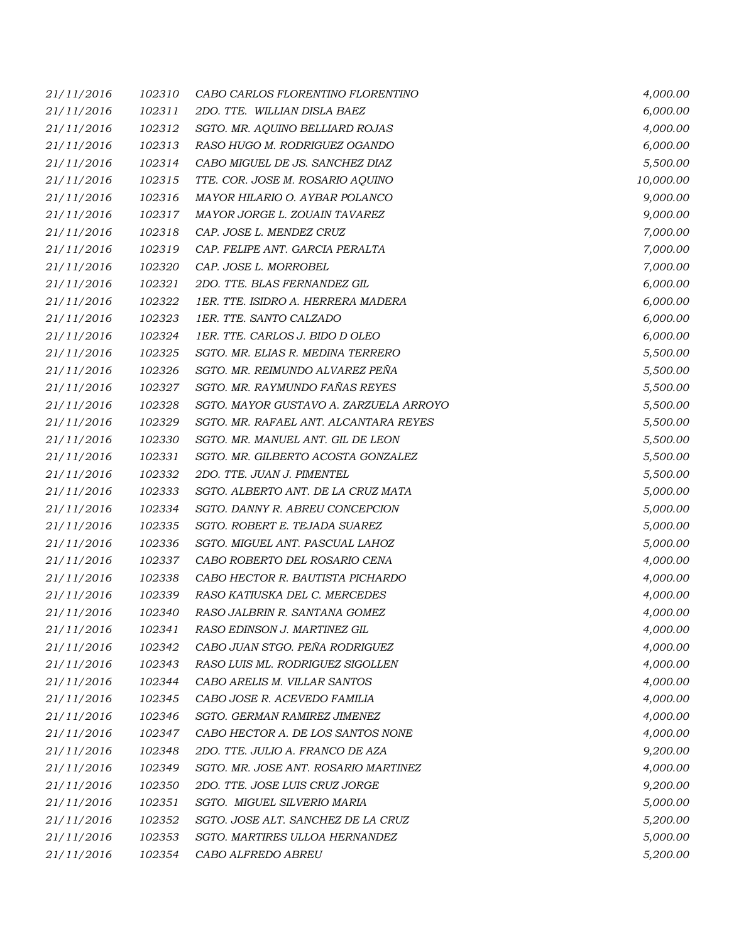| 21/11/2016 | 102310 | CABO CARLOS FLORENTINO FLORENTINO      | 4,000.00  |
|------------|--------|----------------------------------------|-----------|
| 21/11/2016 | 102311 | 2DO. TTE. WILLIAN DISLA BAEZ           | 6,000.00  |
| 21/11/2016 | 102312 | SGTO. MR. AQUINO BELLIARD ROJAS        | 4,000.00  |
| 21/11/2016 | 102313 | RASO HUGO M. RODRIGUEZ OGANDO          | 6,000.00  |
| 21/11/2016 | 102314 | CABO MIGUEL DE JS. SANCHEZ DIAZ        | 5,500.00  |
| 21/11/2016 | 102315 | TTE. COR. JOSE M. ROSARIO AQUINO       | 10,000.00 |
| 21/11/2016 | 102316 | MAYOR HILARIO O. AYBAR POLANCO         | 9,000.00  |
| 21/11/2016 | 102317 | MAYOR JORGE L. ZOUAIN TAVAREZ          | 9,000.00  |
| 21/11/2016 | 102318 | CAP. JOSE L. MENDEZ CRUZ               | 7,000.00  |
| 21/11/2016 | 102319 | CAP. FELIPE ANT. GARCIA PERALTA        | 7,000.00  |
| 21/11/2016 | 102320 | CAP. JOSE L. MORROBEL                  | 7,000.00  |
| 21/11/2016 | 102321 | 2DO. TTE. BLAS FERNANDEZ GIL           | 6,000.00  |
| 21/11/2016 | 102322 | 1ER. TTE. ISIDRO A. HERRERA MADERA     | 6,000.00  |
| 21/11/2016 | 102323 | 1ER. TTE. SANTO CALZADO                | 6,000.00  |
| 21/11/2016 | 102324 | 1ER. TTE. CARLOS J. BIDO D OLEO        | 6,000.00  |
| 21/11/2016 | 102325 | SGTO. MR. ELIAS R. MEDINA TERRERO      | 5,500.00  |
| 21/11/2016 | 102326 | SGTO. MR. REIMUNDO ALVAREZ PEÑA        | 5,500.00  |
| 21/11/2016 | 102327 | SGTO. MR. RAYMUNDO FAÑAS REYES         | 5,500.00  |
| 21/11/2016 | 102328 | SGTO. MAYOR GUSTAVO A. ZARZUELA ARROYO | 5,500.00  |
| 21/11/2016 | 102329 | SGTO. MR. RAFAEL ANT. ALCANTARA REYES  | 5,500.00  |
| 21/11/2016 | 102330 | SGTO. MR. MANUEL ANT. GIL DE LEON      | 5,500.00  |
| 21/11/2016 | 102331 | SGTO. MR. GILBERTO ACOSTA GONZALEZ     | 5,500.00  |
| 21/11/2016 | 102332 | 2DO. TTE. JUAN J. PIMENTEL             | 5,500.00  |
| 21/11/2016 | 102333 | SGTO. ALBERTO ANT. DE LA CRUZ MATA     | 5,000.00  |
| 21/11/2016 | 102334 | SGTO. DANNY R. ABREU CONCEPCION        | 5,000.00  |
| 21/11/2016 | 102335 | SGTO. ROBERT E. TEJADA SUAREZ          | 5,000.00  |
| 21/11/2016 | 102336 | SGTO. MIGUEL ANT. PASCUAL LAHOZ        | 5,000.00  |
| 21/11/2016 | 102337 | CABO ROBERTO DEL ROSARIO CENA          | 4,000.00  |
| 21/11/2016 | 102338 | CABO HECTOR R. BAUTISTA PICHARDO       | 4,000.00  |
| 21/11/2016 | 102339 | RASO KATIUSKA DEL C. MERCEDES          | 4,000.00  |
| 21/11/2016 | 102340 | RASO JALBRIN R. SANTANA GOMEZ          | 4,000.00  |
| 21/11/2016 | 102341 | RASO EDINSON J. MARTINEZ GIL           | 4,000.00  |
| 21/11/2016 | 102342 | CABO JUAN STGO. PEÑA RODRIGUEZ         | 4,000.00  |
| 21/11/2016 | 102343 | RASO LUIS ML. RODRIGUEZ SIGOLLEN       | 4,000.00  |
| 21/11/2016 | 102344 | CABO ARELIS M. VILLAR SANTOS           | 4,000.00  |
| 21/11/2016 | 102345 | CABO JOSE R. ACEVEDO FAMILIA           | 4,000.00  |
| 21/11/2016 | 102346 | SGTO. GERMAN RAMIREZ JIMENEZ           | 4,000.00  |
| 21/11/2016 | 102347 | CABO HECTOR A. DE LOS SANTOS NONE      | 4,000.00  |
| 21/11/2016 | 102348 | 2DO. TTE. JULIO A. FRANCO DE AZA       | 9,200.00  |
| 21/11/2016 | 102349 | SGTO. MR. JOSE ANT. ROSARIO MARTINEZ   | 4,000.00  |
| 21/11/2016 | 102350 | 2DO. TTE. JOSE LUIS CRUZ JORGE         | 9,200.00  |
| 21/11/2016 | 102351 | SGTO. MIGUEL SILVERIO MARIA            | 5,000.00  |
| 21/11/2016 | 102352 | SGTO. JOSE ALT. SANCHEZ DE LA CRUZ     | 5,200.00  |
| 21/11/2016 | 102353 | SGTO. MARTIRES ULLOA HERNANDEZ         | 5,000.00  |
| 21/11/2016 | 102354 | CABO ALFREDO ABREU                     | 5,200.00  |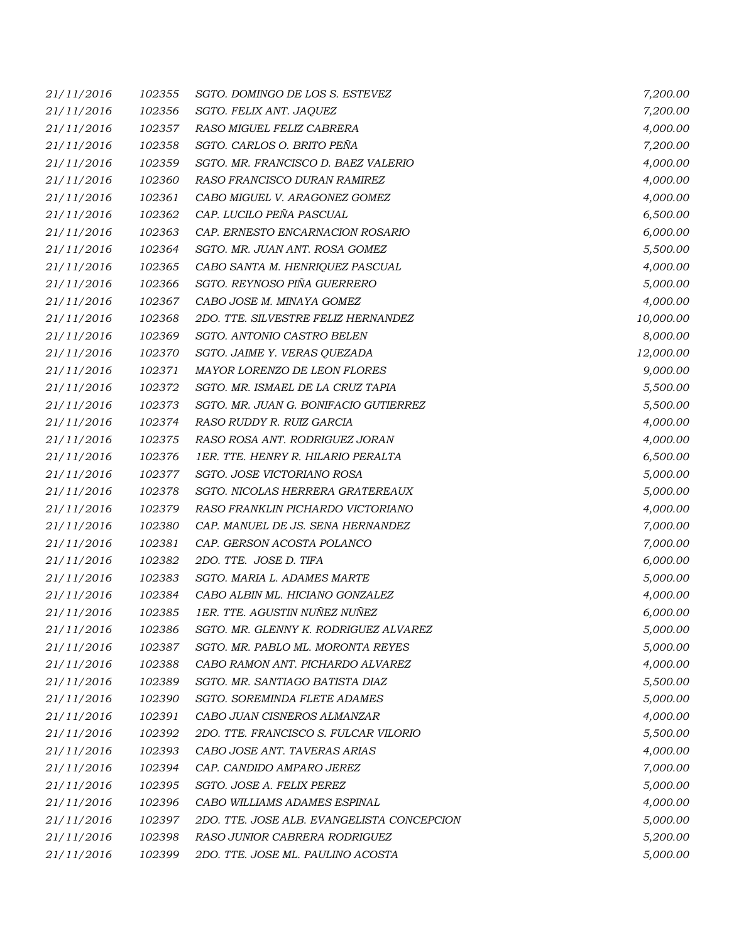| 21/11/2016 | 102355 | SGTO. DOMINGO DE LOS S. ESTEVEZ            | 7,200.00  |
|------------|--------|--------------------------------------------|-----------|
| 21/11/2016 | 102356 | SGTO. FELIX ANT. JAQUEZ                    | 7,200.00  |
| 21/11/2016 | 102357 | RASO MIGUEL FELIZ CABRERA                  | 4,000.00  |
| 21/11/2016 | 102358 | SGTO. CARLOS O. BRITO PEÑA                 | 7,200.00  |
| 21/11/2016 | 102359 | SGTO. MR. FRANCISCO D. BAEZ VALERIO        | 4,000.00  |
| 21/11/2016 | 102360 | RASO FRANCISCO DURAN RAMIREZ               | 4,000.00  |
| 21/11/2016 | 102361 | CABO MIGUEL V. ARAGONEZ GOMEZ              | 4,000.00  |
| 21/11/2016 | 102362 | CAP. LUCILO PEÑA PASCUAL                   | 6,500.00  |
| 21/11/2016 | 102363 | CAP. ERNESTO ENCARNACION ROSARIO           | 6,000.00  |
| 21/11/2016 | 102364 | SGTO. MR. JUAN ANT. ROSA GOMEZ             | 5,500.00  |
| 21/11/2016 | 102365 | CABO SANTA M. HENRIQUEZ PASCUAL            | 4,000.00  |
| 21/11/2016 | 102366 | SGTO. REYNOSO PIÑA GUERRERO                | 5,000.00  |
| 21/11/2016 | 102367 | CABO JOSE M. MINAYA GOMEZ                  | 4,000.00  |
| 21/11/2016 | 102368 | 2DO. TTE. SILVESTRE FELIZ HERNANDEZ        | 10,000.00 |
| 21/11/2016 | 102369 | SGTO. ANTONIO CASTRO BELEN                 | 8,000.00  |
| 21/11/2016 | 102370 | SGTO. JAIME Y. VERAS QUEZADA               | 12,000.00 |
| 21/11/2016 | 102371 | MAYOR LORENZO DE LEON FLORES               | 9,000.00  |
| 21/11/2016 | 102372 | SGTO. MR. ISMAEL DE LA CRUZ TAPIA          | 5,500.00  |
| 21/11/2016 | 102373 | SGTO. MR. JUAN G. BONIFACIO GUTIERREZ      | 5,500.00  |
| 21/11/2016 | 102374 | RASO RUDDY R. RUIZ GARCIA                  | 4,000.00  |
| 21/11/2016 | 102375 | RASO ROSA ANT. RODRIGUEZ JORAN             | 4,000.00  |
| 21/11/2016 | 102376 | 1ER. TTE. HENRY R. HILARIO PERALTA         | 6,500.00  |
| 21/11/2016 | 102377 | SGTO. JOSE VICTORIANO ROSA                 | 5,000.00  |
| 21/11/2016 | 102378 | SGTO. NICOLAS HERRERA GRATEREAUX           | 5,000.00  |
| 21/11/2016 | 102379 | RASO FRANKLIN PICHARDO VICTORIANO          | 4,000.00  |
| 21/11/2016 | 102380 | CAP. MANUEL DE JS. SENA HERNANDEZ          | 7,000.00  |
| 21/11/2016 | 102381 | CAP. GERSON ACOSTA POLANCO                 | 7,000.00  |
| 21/11/2016 | 102382 | 2DO. TTE. JOSE D. TIFA                     | 6,000.00  |
| 21/11/2016 | 102383 | SGTO. MARIA L. ADAMES MARTE                | 5,000.00  |
| 21/11/2016 | 102384 | CABO ALBIN ML. HICIANO GONZALEZ            | 4,000.00  |
| 21/11/2016 | 102385 | 1ER. TTE. AGUSTIN NUÑEZ NUÑEZ              | 6,000.00  |
| 21/11/2016 | 102386 | SGTO. MR. GLENNY K. RODRIGUEZ ALVAREZ      | 5,000.00  |
| 21/11/2016 | 102387 | SGTO. MR. PABLO ML. MORONTA REYES          | 5,000.00  |
| 21/11/2016 | 102388 | CABO RAMON ANT. PICHARDO ALVAREZ           | 4,000.00  |
| 21/11/2016 | 102389 | SGTO. MR. SANTIAGO BATISTA DIAZ            | 5,500.00  |
| 21/11/2016 | 102390 | SGTO. SOREMINDA FLETE ADAMES               | 5,000.00  |
| 21/11/2016 | 102391 | CABO JUAN CISNEROS ALMANZAR                | 4,000.00  |
| 21/11/2016 | 102392 | 2DO. TTE. FRANCISCO S. FULCAR VILORIO      | 5,500.00  |
| 21/11/2016 | 102393 | CABO JOSE ANT. TAVERAS ARIAS               | 4,000.00  |
| 21/11/2016 | 102394 | CAP. CANDIDO AMPARO JEREZ                  | 7,000.00  |
| 21/11/2016 | 102395 | SGTO. JOSE A. FELIX PEREZ                  | 5,000.00  |
| 21/11/2016 | 102396 | CABO WILLIAMS ADAMES ESPINAL               | 4,000.00  |
| 21/11/2016 | 102397 | 2DO. TTE. JOSE ALB. EVANGELISTA CONCEPCION | 5,000.00  |
| 21/11/2016 | 102398 | RASO JUNIOR CABRERA RODRIGUEZ              | 5,200.00  |
| 21/11/2016 | 102399 | 2DO. TTE. JOSE ML. PAULINO ACOSTA          | 5,000.00  |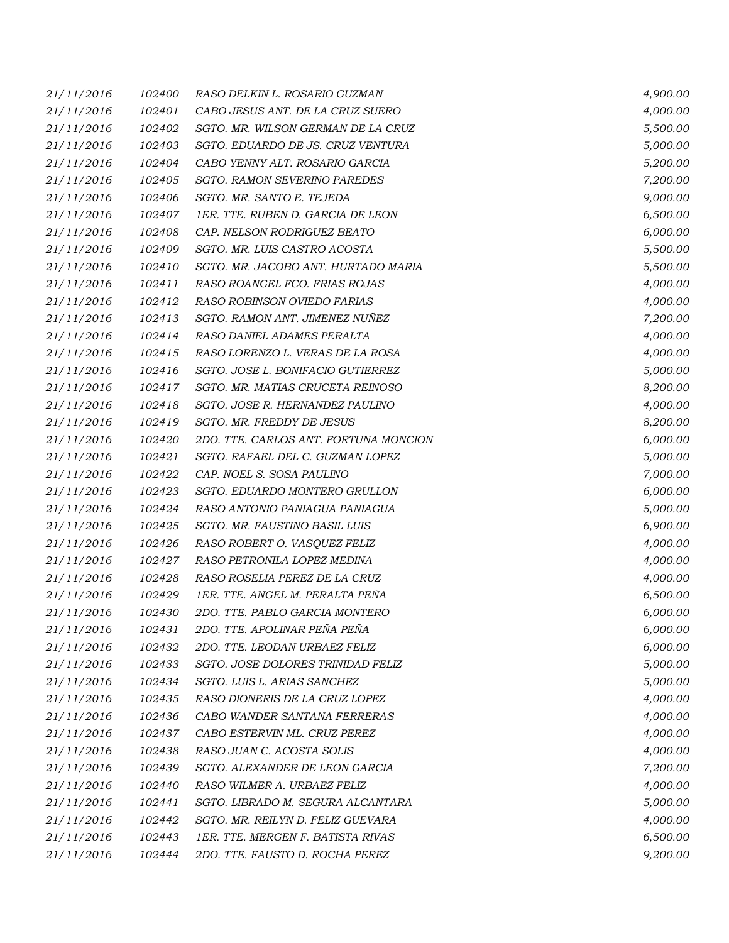| 21/11/2016 | 102400 | RASO DELKIN L. ROSARIO GUZMAN         | 4,900.00 |
|------------|--------|---------------------------------------|----------|
| 21/11/2016 | 102401 | CABO JESUS ANT. DE LA CRUZ SUERO      | 4,000.00 |
| 21/11/2016 | 102402 | SGTO. MR. WILSON GERMAN DE LA CRUZ    | 5,500.00 |
| 21/11/2016 | 102403 | SGTO. EDUARDO DE JS. CRUZ VENTURA     | 5,000.00 |
| 21/11/2016 | 102404 | CABO YENNY ALT. ROSARIO GARCIA        | 5,200.00 |
| 21/11/2016 | 102405 | SGTO. RAMON SEVERINO PAREDES          | 7,200.00 |
| 21/11/2016 | 102406 | SGTO. MR. SANTO E. TEJEDA             | 9,000.00 |
| 21/11/2016 | 102407 | 1ER. TTE. RUBEN D. GARCIA DE LEON     | 6,500.00 |
| 21/11/2016 | 102408 | CAP. NELSON RODRIGUEZ BEATO           | 6,000.00 |
| 21/11/2016 | 102409 | SGTO. MR. LUIS CASTRO ACOSTA          | 5,500.00 |
| 21/11/2016 | 102410 | SGTO. MR. JACOBO ANT. HURTADO MARIA   | 5,500.00 |
| 21/11/2016 | 102411 | RASO ROANGEL FCO. FRIAS ROJAS         | 4,000.00 |
| 21/11/2016 | 102412 | RASO ROBINSON OVIEDO FARIAS           | 4,000.00 |
| 21/11/2016 | 102413 | SGTO. RAMON ANT. JIMENEZ NUÑEZ        | 7,200.00 |
| 21/11/2016 | 102414 | RASO DANIEL ADAMES PERALTA            | 4,000.00 |
| 21/11/2016 | 102415 | RASO LORENZO L. VERAS DE LA ROSA      | 4,000.00 |
| 21/11/2016 | 102416 | SGTO. JOSE L. BONIFACIO GUTIERREZ     | 5,000.00 |
| 21/11/2016 | 102417 | SGTO. MR. MATIAS CRUCETA REINOSO      | 8,200.00 |
| 21/11/2016 | 102418 | SGTO. JOSE R. HERNANDEZ PAULINO       | 4,000.00 |
| 21/11/2016 | 102419 | SGTO. MR. FREDDY DE JESUS             | 8,200.00 |
| 21/11/2016 | 102420 | 2DO. TTE. CARLOS ANT. FORTUNA MONCION | 6,000.00 |
| 21/11/2016 | 102421 | SGTO. RAFAEL DEL C. GUZMAN LOPEZ      | 5,000.00 |
| 21/11/2016 | 102422 | CAP. NOEL S. SOSA PAULINO             | 7,000.00 |
| 21/11/2016 | 102423 | SGTO. EDUARDO MONTERO GRULLON         | 6,000.00 |
| 21/11/2016 | 102424 | RASO ANTONIO PANIAGUA PANIAGUA        | 5,000.00 |
| 21/11/2016 | 102425 | SGTO. MR. FAUSTINO BASIL LUIS         | 6,900.00 |
| 21/11/2016 | 102426 | RASO ROBERT O. VASQUEZ FELIZ          | 4,000.00 |
| 21/11/2016 | 102427 | RASO PETRONILA LOPEZ MEDINA           | 4,000.00 |
| 21/11/2016 | 102428 | RASO ROSELIA PEREZ DE LA CRUZ         | 4,000.00 |
| 21/11/2016 | 102429 | 1ER. TTE. ANGEL M. PERALTA PEÑA       | 6,500.00 |
| 21/11/2016 | 102430 | 2DO. TTE. PABLO GARCIA MONTERO        | 6,000.00 |
| 21/11/2016 | 102431 | 2DO. TTE. APOLINAR PEÑA PEÑA          | 6,000.00 |
| 21/11/2016 | 102432 | 2DO. TTE. LEODAN URBAEZ FELIZ         | 6,000.00 |
| 21/11/2016 | 102433 | SGTO. JOSE DOLORES TRINIDAD FELIZ     | 5,000.00 |
| 21/11/2016 | 102434 | SGTO. LUIS L. ARIAS SANCHEZ           | 5,000.00 |
| 21/11/2016 | 102435 | RASO DIONERIS DE LA CRUZ LOPEZ        | 4,000.00 |
| 21/11/2016 | 102436 | CABO WANDER SANTANA FERRERAS          | 4,000.00 |
| 21/11/2016 | 102437 | CABO ESTERVIN ML. CRUZ PEREZ          | 4,000.00 |
| 21/11/2016 | 102438 | RASO JUAN C. ACOSTA SOLIS             | 4,000.00 |
| 21/11/2016 | 102439 | SGTO. ALEXANDER DE LEON GARCIA        | 7,200.00 |
| 21/11/2016 | 102440 | RASO WILMER A. URBAEZ FELIZ           | 4,000.00 |
| 21/11/2016 | 102441 | SGTO. LIBRADO M. SEGURA ALCANTARA     | 5,000.00 |
| 21/11/2016 | 102442 | SGTO. MR. REILYN D. FELIZ GUEVARA     | 4,000.00 |
| 21/11/2016 | 102443 | 1ER. TTE. MERGEN F. BATISTA RIVAS     | 6,500.00 |
| 21/11/2016 | 102444 | 2DO. TTE. FAUSTO D. ROCHA PEREZ       | 9,200.00 |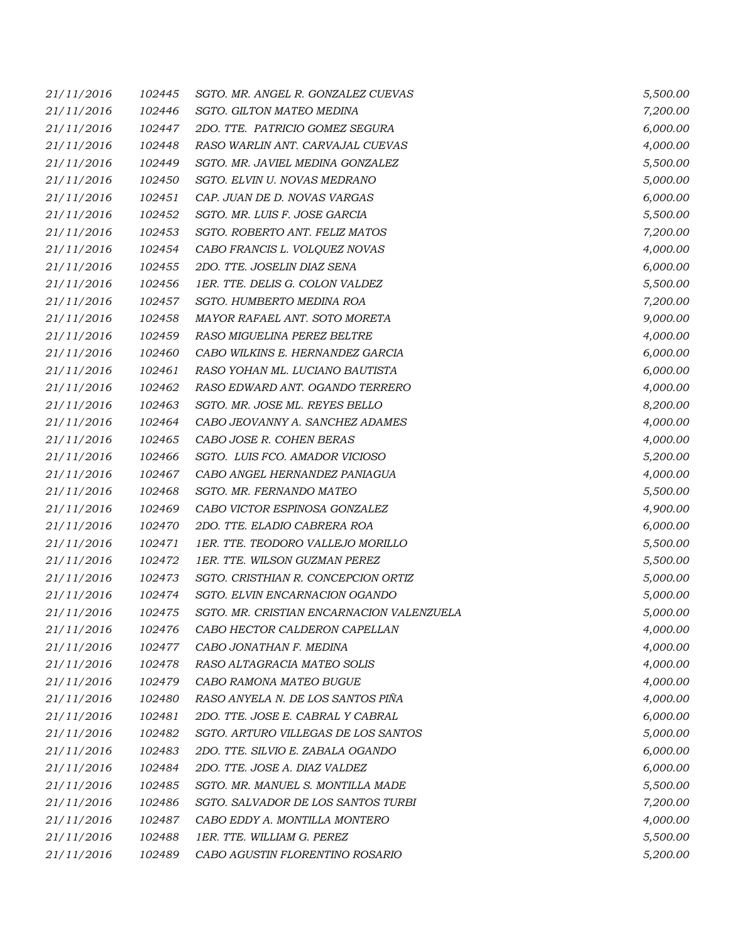| 21/11/2016 | 102445 | SGTO. MR. ANGEL R. GONZALEZ CUEVAS        | 5,500.00 |
|------------|--------|-------------------------------------------|----------|
| 21/11/2016 | 102446 | SGTO. GILTON MATEO MEDINA                 | 7,200.00 |
| 21/11/2016 | 102447 | 2DO. TTE. PATRICIO GOMEZ SEGURA           | 6,000.00 |
| 21/11/2016 | 102448 | RASO WARLIN ANT. CARVAJAL CUEVAS          | 4,000.00 |
| 21/11/2016 | 102449 | SGTO. MR. JAVIEL MEDINA GONZALEZ          | 5,500.00 |
| 21/11/2016 | 102450 | SGTO. ELVIN U. NOVAS MEDRANO              | 5,000.00 |
| 21/11/2016 | 102451 | CAP. JUAN DE D. NOVAS VARGAS              | 6,000.00 |
| 21/11/2016 | 102452 | SGTO. MR. LUIS F. JOSE GARCIA             | 5,500.00 |
| 21/11/2016 | 102453 | SGTO. ROBERTO ANT. FELIZ MATOS            | 7,200.00 |
| 21/11/2016 | 102454 | CABO FRANCIS L. VOLQUEZ NOVAS             | 4,000.00 |
| 21/11/2016 | 102455 | 2DO. TTE. JOSELIN DIAZ SENA               | 6,000.00 |
| 21/11/2016 | 102456 | 1ER. TTE. DELIS G. COLON VALDEZ           | 5,500.00 |
| 21/11/2016 | 102457 | SGTO. HUMBERTO MEDINA ROA                 | 7,200.00 |
| 21/11/2016 | 102458 | MAYOR RAFAEL ANT. SOTO MORETA             | 9,000.00 |
| 21/11/2016 | 102459 | RASO MIGUELINA PEREZ BELTRE               | 4,000.00 |
| 21/11/2016 | 102460 | CABO WILKINS E. HERNANDEZ GARCIA          | 6,000.00 |
| 21/11/2016 | 102461 | RASO YOHAN ML. LUCIANO BAUTISTA           | 6,000.00 |
| 21/11/2016 | 102462 | RASO EDWARD ANT. OGANDO TERRERO           | 4,000.00 |
| 21/11/2016 | 102463 | SGTO. MR. JOSE ML. REYES BELLO            | 8,200.00 |
| 21/11/2016 | 102464 | CABO JEOVANNY A. SANCHEZ ADAMES           | 4,000.00 |
| 21/11/2016 | 102465 | CABO JOSE R. COHEN BERAS                  | 4,000.00 |
| 21/11/2016 | 102466 | SGTO. LUIS FCO. AMADOR VICIOSO            | 5,200.00 |
| 21/11/2016 | 102467 | CABO ANGEL HERNANDEZ PANIAGUA             | 4,000.00 |
| 21/11/2016 | 102468 | SGTO. MR. FERNANDO MATEO                  | 5,500.00 |
| 21/11/2016 | 102469 | CABO VICTOR ESPINOSA GONZALEZ             | 4,900.00 |
| 21/11/2016 | 102470 | 2DO. TTE. ELADIO CABRERA ROA              | 6,000.00 |
| 21/11/2016 | 102471 | 1ER. TTE. TEODORO VALLEJO MORILLO         | 5,500.00 |
| 21/11/2016 | 102472 | 1ER. TTE. WILSON GUZMAN PEREZ             | 5,500.00 |
| 21/11/2016 | 102473 | SGTO. CRISTHIAN R. CONCEPCION ORTIZ       | 5,000.00 |
| 21/11/2016 | 102474 | SGTO. ELVIN ENCARNACION OGANDO            | 5,000.00 |
| 21/11/2016 | 102475 | SGTO. MR. CRISTIAN ENCARNACION VALENZUELA | 5,000.00 |
| 21/11/2016 | 102476 | CABO HECTOR CALDERON CAPELLAN             | 4,000.00 |
| 21/11/2016 | 102477 | CABO JONATHAN F. MEDINA                   | 4,000.00 |
| 21/11/2016 | 102478 | RASO ALTAGRACIA MATEO SOLIS               | 4,000.00 |
| 21/11/2016 | 102479 | CABO RAMONA MATEO BUGUE                   | 4,000.00 |
| 21/11/2016 | 102480 | RASO ANYELA N. DE LOS SANTOS PIÑA         | 4,000.00 |
| 21/11/2016 | 102481 | 2DO. TTE. JOSE E. CABRAL Y CABRAL         | 6,000.00 |
| 21/11/2016 | 102482 | SGTO. ARTURO VILLEGAS DE LOS SANTOS       | 5,000.00 |
| 21/11/2016 | 102483 | 2DO. TTE. SILVIO E. ZABALA OGANDO         | 6,000.00 |
| 21/11/2016 | 102484 | 2DO. TTE. JOSE A. DIAZ VALDEZ             | 6,000.00 |
| 21/11/2016 | 102485 | SGTO. MR. MANUEL S. MONTILLA MADE         | 5,500.00 |
| 21/11/2016 | 102486 | SGTO. SALVADOR DE LOS SANTOS TURBI        | 7,200.00 |
| 21/11/2016 | 102487 | CABO EDDY A. MONTILLA MONTERO             | 4,000.00 |
| 21/11/2016 | 102488 | 1ER. TTE. WILLIAM G. PEREZ                | 5,500.00 |
| 21/11/2016 | 102489 | CABO AGUSTIN FLORENTINO ROSARIO           | 5,200.00 |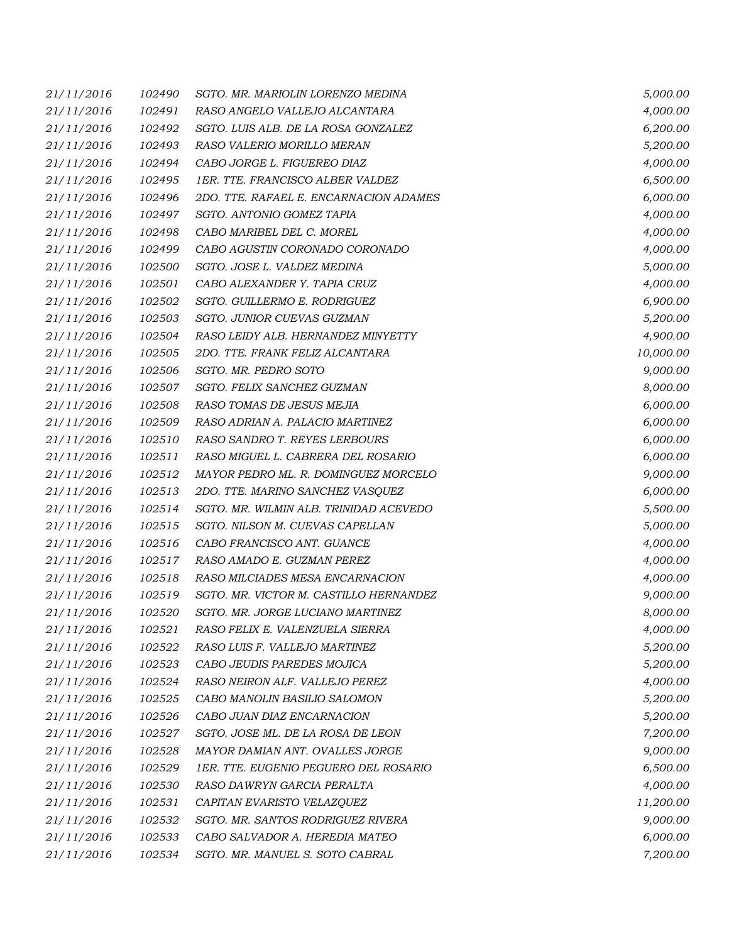| 21/11/2016 | 102490 | SGTO. MR. MARIOLIN LORENZO MEDINA      | 5,000.00  |
|------------|--------|----------------------------------------|-----------|
| 21/11/2016 | 102491 | RASO ANGELO VALLEJO ALCANTARA          | 4,000.00  |
| 21/11/2016 | 102492 | SGTO. LUIS ALB. DE LA ROSA GONZALEZ    | 6,200.00  |
| 21/11/2016 | 102493 | RASO VALERIO MORILLO MERAN             | 5,200.00  |
| 21/11/2016 | 102494 | CABO JORGE L. FIGUEREO DIAZ            | 4,000.00  |
| 21/11/2016 | 102495 | 1ER. TTE. FRANCISCO ALBER VALDEZ       | 6,500.00  |
| 21/11/2016 | 102496 | 2DO. TTE. RAFAEL E. ENCARNACION ADAMES | 6,000.00  |
| 21/11/2016 | 102497 | SGTO. ANTONIO GOMEZ TAPIA              | 4,000.00  |
| 21/11/2016 | 102498 | CABO MARIBEL DEL C. MOREL              | 4,000.00  |
| 21/11/2016 | 102499 | CABO AGUSTIN CORONADO CORONADO         | 4,000.00  |
| 21/11/2016 | 102500 | SGTO. JOSE L. VALDEZ MEDINA            | 5,000.00  |
| 21/11/2016 | 102501 | CABO ALEXANDER Y. TAPIA CRUZ           | 4,000.00  |
| 21/11/2016 | 102502 | SGTO. GUILLERMO E. RODRIGUEZ           | 6,900.00  |
| 21/11/2016 | 102503 | SGTO. JUNIOR CUEVAS GUZMAN             | 5,200.00  |
| 21/11/2016 | 102504 | RASO LEIDY ALB. HERNANDEZ MINYETTY     | 4,900.00  |
| 21/11/2016 | 102505 | 2DO. TTE. FRANK FELIZ ALCANTARA        | 10,000.00 |
| 21/11/2016 | 102506 | SGTO. MR. PEDRO SOTO                   | 9,000.00  |
| 21/11/2016 | 102507 | SGTO. FELIX SANCHEZ GUZMAN             | 8,000.00  |
| 21/11/2016 | 102508 | RASO TOMAS DE JESUS MEJIA              | 6,000.00  |
| 21/11/2016 | 102509 | RASO ADRIAN A. PALACIO MARTINEZ        | 6,000.00  |
| 21/11/2016 | 102510 | RASO SANDRO T. REYES LERBOURS          | 6,000.00  |
| 21/11/2016 | 102511 | RASO MIGUEL L. CABRERA DEL ROSARIO     | 6,000.00  |
| 21/11/2016 | 102512 | MAYOR PEDRO ML. R. DOMINGUEZ MORCELO   | 9,000.00  |
| 21/11/2016 | 102513 | 2DO. TTE. MARINO SANCHEZ VASQUEZ       | 6,000.00  |
| 21/11/2016 | 102514 | SGTO. MR. WILMIN ALB. TRINIDAD ACEVEDO | 5,500.00  |
| 21/11/2016 | 102515 | SGTO. NILSON M. CUEVAS CAPELLAN        | 5,000.00  |
| 21/11/2016 | 102516 | CABO FRANCISCO ANT. GUANCE             | 4,000.00  |
| 21/11/2016 | 102517 | RASO AMADO E. GUZMAN PEREZ             | 4,000.00  |
| 21/11/2016 | 102518 | RASO MILCIADES MESA ENCARNACION        | 4,000.00  |
| 21/11/2016 | 102519 | SGTO. MR. VICTOR M. CASTILLO HERNANDEZ | 9,000.00  |
| 21/11/2016 | 102520 | SGTO. MR. JORGE LUCIANO MARTINEZ       | 8,000.00  |
| 21/11/2016 | 102521 | RASO FELIX E. VALENZUELA SIERRA        | 4,000.00  |
| 21/11/2016 | 102522 | RASO LUIS F. VALLEJO MARTINEZ          | 5,200.00  |
| 21/11/2016 | 102523 | CABO JEUDIS PAREDES MOJICA             | 5,200.00  |
| 21/11/2016 | 102524 | RASO NEIRON ALF. VALLEJO PEREZ         | 4,000.00  |
| 21/11/2016 | 102525 | CABO MANOLIN BASILIO SALOMON           | 5,200.00  |
| 21/11/2016 | 102526 | CABO JUAN DIAZ ENCARNACION             | 5,200.00  |
| 21/11/2016 | 102527 | SGTO. JOSE ML. DE LA ROSA DE LEON      | 7,200.00  |
| 21/11/2016 | 102528 | MAYOR DAMIAN ANT. OVALLES JORGE        | 9,000.00  |
| 21/11/2016 | 102529 | 1ER. TTE. EUGENIO PEGUERO DEL ROSARIO  | 6,500.00  |
| 21/11/2016 | 102530 | RASO DAWRYN GARCIA PERALTA             | 4,000.00  |
| 21/11/2016 | 102531 | CAPITAN EVARISTO VELAZQUEZ             | 11,200.00 |
| 21/11/2016 | 102532 | SGTO. MR. SANTOS RODRIGUEZ RIVERA      | 9,000.00  |
| 21/11/2016 | 102533 | CABO SALVADOR A. HEREDIA MATEO         | 6,000.00  |
| 21/11/2016 | 102534 | SGTO. MR. MANUEL S. SOTO CABRAL        | 7,200.00  |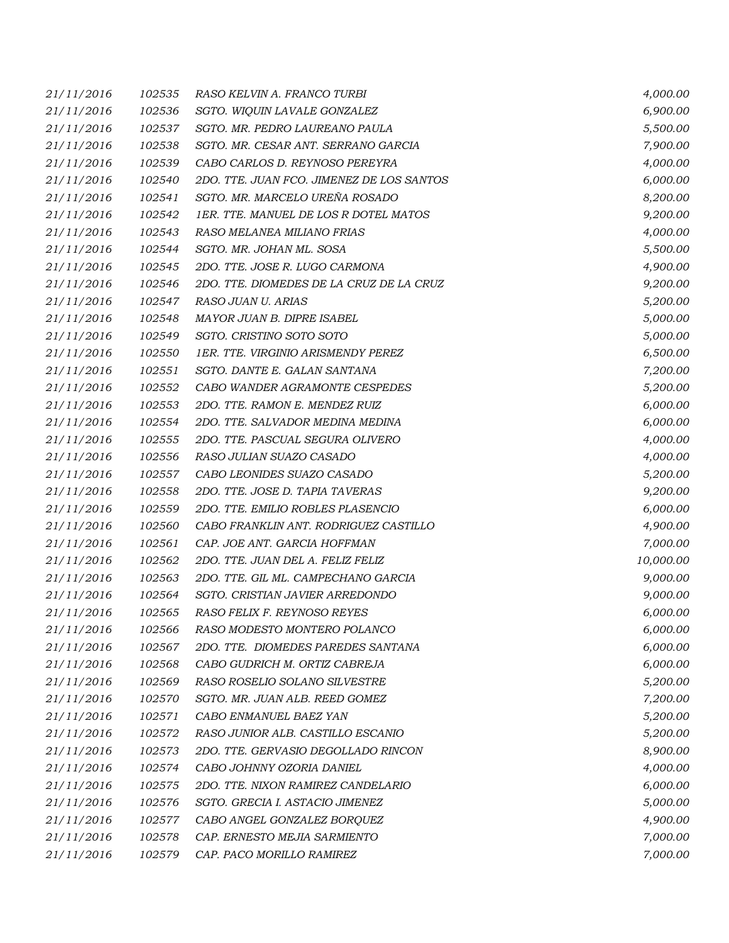| 21/11/2016 | 102535 | RASO KELVIN A. FRANCO TURBI               | 4,000.00  |
|------------|--------|-------------------------------------------|-----------|
| 21/11/2016 | 102536 | SGTO. WIQUIN LAVALE GONZALEZ              | 6,900.00  |
| 21/11/2016 | 102537 | SGTO. MR. PEDRO LAUREANO PAULA            | 5,500.00  |
| 21/11/2016 | 102538 | SGTO. MR. CESAR ANT. SERRANO GARCIA       | 7,900.00  |
| 21/11/2016 | 102539 | CABO CARLOS D. REYNOSO PEREYRA            | 4,000.00  |
| 21/11/2016 | 102540 | 2DO. TTE. JUAN FCO. JIMENEZ DE LOS SANTOS | 6,000.00  |
| 21/11/2016 | 102541 | SGTO. MR. MARCELO UREÑA ROSADO            | 8,200.00  |
| 21/11/2016 | 102542 | 1ER. TTE. MANUEL DE LOS R DOTEL MATOS     | 9,200.00  |
| 21/11/2016 | 102543 | RASO MELANEA MILIANO FRIAS                | 4,000.00  |
| 21/11/2016 | 102544 | SGTO. MR. JOHAN ML. SOSA                  | 5,500.00  |
| 21/11/2016 | 102545 | 2DO. TTE. JOSE R. LUGO CARMONA            | 4,900.00  |
| 21/11/2016 | 102546 | 2DO. TTE. DIOMEDES DE LA CRUZ DE LA CRUZ  | 9,200.00  |
| 21/11/2016 | 102547 | RASO JUAN U. ARIAS                        | 5,200.00  |
| 21/11/2016 | 102548 | MAYOR JUAN B. DIPRE ISABEL                | 5,000.00  |
| 21/11/2016 | 102549 | SGTO. CRISTINO SOTO SOTO                  | 5,000.00  |
| 21/11/2016 | 102550 | 1ER. TTE. VIRGINIO ARISMENDY PEREZ        | 6,500.00  |
| 21/11/2016 | 102551 | SGTO. DANTE E. GALAN SANTANA              | 7,200.00  |
| 21/11/2016 | 102552 | CABO WANDER AGRAMONTE CESPEDES            | 5,200.00  |
| 21/11/2016 | 102553 | 2DO. TTE. RAMON E. MENDEZ RUIZ            | 6,000.00  |
| 21/11/2016 | 102554 | 2DO. TTE. SALVADOR MEDINA MEDINA          | 6,000.00  |
| 21/11/2016 | 102555 | 2DO. TTE. PASCUAL SEGURA OLIVERO          | 4,000.00  |
| 21/11/2016 | 102556 | RASO JULIAN SUAZO CASADO                  | 4,000.00  |
| 21/11/2016 | 102557 | CABO LEONIDES SUAZO CASADO                | 5,200.00  |
| 21/11/2016 | 102558 | 2DO. TTE. JOSE D. TAPIA TAVERAS           | 9,200.00  |
| 21/11/2016 | 102559 | 2DO. TTE. EMILIO ROBLES PLASENCIO         | 6,000.00  |
| 21/11/2016 | 102560 | CABO FRANKLIN ANT. RODRIGUEZ CASTILLO     | 4,900.00  |
| 21/11/2016 | 102561 | CAP. JOE ANT. GARCIA HOFFMAN              | 7,000.00  |
| 21/11/2016 | 102562 | 2DO. TTE. JUAN DEL A. FELIZ FELIZ         | 10,000.00 |
| 21/11/2016 | 102563 | 2DO. TTE. GIL ML. CAMPECHANO GARCIA       | 9,000.00  |
| 21/11/2016 | 102564 | SGTO. CRISTIAN JAVIER ARREDONDO           | 9,000.00  |
| 21/11/2016 | 102565 | RASO FELIX F. REYNOSO REYES               | 6,000.00  |
| 21/11/2016 | 102566 | RASO MODESTO MONTERO POLANCO              | 6,000.00  |
| 21/11/2016 | 102567 | 2DO. TTE. DIOMEDES PAREDES SANTANA        | 6,000.00  |
| 21/11/2016 | 102568 | CABO GUDRICH M. ORTIZ CABREJA             | 6,000.00  |
| 21/11/2016 | 102569 | RASO ROSELIO SOLANO SILVESTRE             | 5,200.00  |
| 21/11/2016 | 102570 | SGTO. MR. JUAN ALB. REED GOMEZ            | 7,200.00  |
| 21/11/2016 | 102571 | CABO ENMANUEL BAEZ YAN                    | 5,200.00  |
| 21/11/2016 | 102572 | RASO JUNIOR ALB. CASTILLO ESCANIO         | 5,200.00  |
| 21/11/2016 | 102573 | 2DO. TTE. GERVASIO DEGOLLADO RINCON       | 8,900.00  |
| 21/11/2016 | 102574 | CABO JOHNNY OZORIA DANIEL                 | 4,000.00  |
| 21/11/2016 | 102575 | 2DO. TTE. NIXON RAMIREZ CANDELARIO        | 6,000.00  |
| 21/11/2016 | 102576 | SGTO. GRECIA I. ASTACIO JIMENEZ           | 5,000.00  |
| 21/11/2016 | 102577 | CABO ANGEL GONZALEZ BORQUEZ               | 4,900.00  |
| 21/11/2016 | 102578 | CAP. ERNESTO MEJIA SARMIENTO              | 7,000.00  |
| 21/11/2016 | 102579 | CAP. PACO MORILLO RAMIREZ                 | 7,000.00  |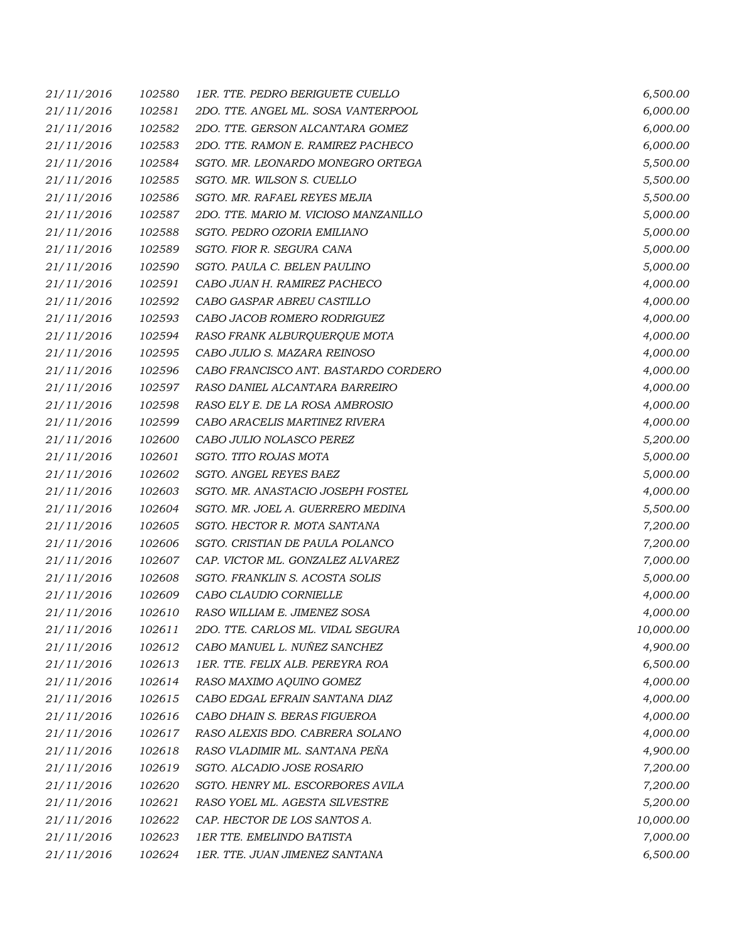| 21/11/2016 | 102580 | <b>1ER. TTE. PEDRO BERIGUETE CUELLO</b> | 6,500.00  |
|------------|--------|-----------------------------------------|-----------|
| 21/11/2016 | 102581 | 2DO. TTE. ANGEL ML. SOSA VANTERPOOL     | 6,000.00  |
| 21/11/2016 | 102582 | 2DO. TTE. GERSON ALCANTARA GOMEZ        | 6,000.00  |
| 21/11/2016 | 102583 | 2DO. TTE. RAMON E. RAMIREZ PACHECO      | 6,000.00  |
| 21/11/2016 | 102584 | SGTO. MR. LEONARDO MONEGRO ORTEGA       | 5,500.00  |
| 21/11/2016 | 102585 | SGTO. MR. WILSON S. CUELLO              | 5,500.00  |
| 21/11/2016 | 102586 | SGTO. MR. RAFAEL REYES MEJIA            | 5,500.00  |
| 21/11/2016 | 102587 | 2DO. TTE. MARIO M. VICIOSO MANZANILLO   | 5,000.00  |
| 21/11/2016 | 102588 | SGTO. PEDRO OZORIA EMILIANO             | 5,000.00  |
| 21/11/2016 | 102589 | SGTO. FIOR R. SEGURA CANA               | 5,000.00  |
| 21/11/2016 | 102590 | SGTO. PAULA C. BELEN PAULINO            | 5,000.00  |
| 21/11/2016 | 102591 | CABO JUAN H. RAMIREZ PACHECO            | 4,000.00  |
| 21/11/2016 | 102592 | CABO GASPAR ABREU CASTILLO              | 4,000.00  |
| 21/11/2016 | 102593 | CABO JACOB ROMERO RODRIGUEZ             | 4,000.00  |
| 21/11/2016 | 102594 | RASO FRANK ALBURQUERQUE MOTA            | 4,000.00  |
| 21/11/2016 | 102595 | CABO JULIO S. MAZARA REINOSO            | 4,000.00  |
| 21/11/2016 | 102596 | CABO FRANCISCO ANT. BASTARDO CORDERO    | 4,000.00  |
| 21/11/2016 | 102597 | RASO DANIEL ALCANTARA BARREIRO          | 4,000.00  |
| 21/11/2016 | 102598 | RASO ELY E. DE LA ROSA AMBROSIO         | 4,000.00  |
| 21/11/2016 | 102599 | CABO ARACELIS MARTINEZ RIVERA           | 4,000.00  |
| 21/11/2016 | 102600 | CABO JULIO NOLASCO PEREZ                | 5,200.00  |
| 21/11/2016 | 102601 | SGTO. TITO ROJAS MOTA                   | 5,000.00  |
| 21/11/2016 | 102602 | SGTO. ANGEL REYES BAEZ                  | 5,000.00  |
| 21/11/2016 | 102603 | SGTO. MR. ANASTACIO JOSEPH FOSTEL       | 4,000.00  |
| 21/11/2016 | 102604 | SGTO. MR. JOEL A. GUERRERO MEDINA       | 5,500.00  |
| 21/11/2016 | 102605 | SGTO. HECTOR R. MOTA SANTANA            | 7,200.00  |
| 21/11/2016 | 102606 | SGTO. CRISTIAN DE PAULA POLANCO         | 7,200.00  |
| 21/11/2016 | 102607 | CAP. VICTOR ML. GONZALEZ ALVAREZ        | 7,000.00  |
| 21/11/2016 | 102608 | SGTO. FRANKLIN S. ACOSTA SOLIS          | 5,000.00  |
| 21/11/2016 | 102609 | CABO CLAUDIO CORNIELLE                  | 4,000.00  |
| 21/11/2016 | 102610 | RASO WILLIAM E. JIMENEZ SOSA            | 4,000.00  |
| 21/11/2016 | 102611 | 2DO. TTE. CARLOS ML. VIDAL SEGURA       | 10,000.00 |
| 21/11/2016 | 102612 | CABO MANUEL L. NUÑEZ SANCHEZ            | 4,900.00  |
| 21/11/2016 | 102613 | 1ER. TTE. FELIX ALB. PEREYRA ROA        | 6,500.00  |
| 21/11/2016 | 102614 | RASO MAXIMO AQUINO GOMEZ                | 4,000.00  |
| 21/11/2016 | 102615 | CABO EDGAL EFRAIN SANTANA DIAZ          | 4,000.00  |
| 21/11/2016 | 102616 | CABO DHAIN S. BERAS FIGUEROA            | 4,000.00  |
| 21/11/2016 | 102617 | RASO ALEXIS BDO. CABRERA SOLANO         | 4,000.00  |
| 21/11/2016 | 102618 | RASO VLADIMIR ML. SANTANA PENA          | 4,900.00  |
| 21/11/2016 | 102619 | SGTO. ALCADIO JOSE ROSARIO              | 7,200.00  |
| 21/11/2016 | 102620 | SGTO. HENRY ML. ESCORBORES AVILA        | 7,200.00  |
| 21/11/2016 | 102621 | RASO YOEL ML. AGESTA SILVESTRE          | 5,200.00  |
| 21/11/2016 | 102622 | CAP. HECTOR DE LOS SANTOS A.            | 10,000.00 |
| 21/11/2016 | 102623 | <b>1ER TTE. EMELINDO BATISTA</b>        | 7,000.00  |
| 21/11/2016 | 102624 | 1ER. TTE. JUAN JIMENEZ SANTANA          | 6,500.00  |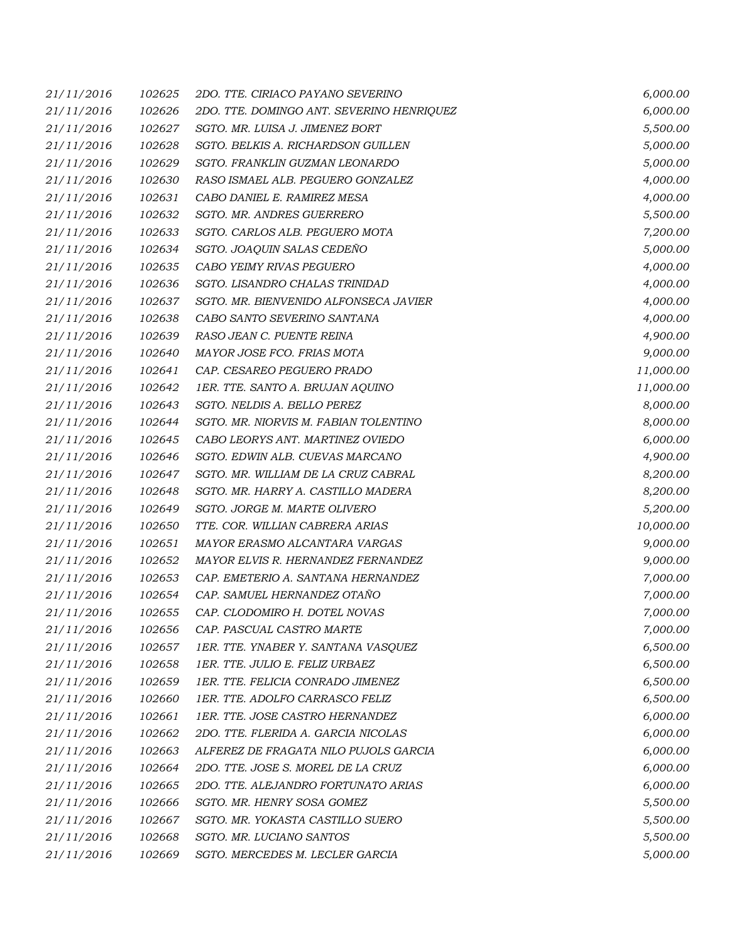| 21/11/2016 | 102625 | 2DO. TTE. CIRIACO PAYANO SEVERINO         | 6,000.00  |
|------------|--------|-------------------------------------------|-----------|
| 21/11/2016 | 102626 | 2DO. TTE. DOMINGO ANT. SEVERINO HENRIQUEZ | 6,000.00  |
| 21/11/2016 | 102627 | SGTO. MR. LUISA J. JIMENEZ BORT           | 5,500.00  |
| 21/11/2016 | 102628 | SGTO. BELKIS A. RICHARDSON GUILLEN        | 5,000.00  |
| 21/11/2016 | 102629 | SGTO. FRANKLIN GUZMAN LEONARDO            | 5,000.00  |
| 21/11/2016 | 102630 | RASO ISMAEL ALB. PEGUERO GONZALEZ         | 4,000.00  |
| 21/11/2016 | 102631 | CABO DANIEL E. RAMIREZ MESA               | 4,000.00  |
| 21/11/2016 | 102632 | SGTO. MR. ANDRES GUERRERO                 | 5,500.00  |
| 21/11/2016 | 102633 | SGTO. CARLOS ALB. PEGUERO MOTA            | 7,200.00  |
| 21/11/2016 | 102634 | SGTO. JOAQUIN SALAS CEDENO                | 5,000.00  |
| 21/11/2016 | 102635 | CABO YEIMY RIVAS PEGUERO                  | 4,000.00  |
| 21/11/2016 | 102636 | SGTO. LISANDRO CHALAS TRINIDAD            | 4,000.00  |
| 21/11/2016 | 102637 | SGTO. MR. BIENVENIDO ALFONSECA JAVIER     | 4,000.00  |
| 21/11/2016 | 102638 | CABO SANTO SEVERINO SANTANA               | 4,000.00  |
| 21/11/2016 | 102639 | RASO JEAN C. PUENTE REINA                 | 4,900.00  |
| 21/11/2016 | 102640 | MAYOR JOSE FCO. FRIAS MOTA                | 9,000.00  |
| 21/11/2016 | 102641 | CAP. CESAREO PEGUERO PRADO                | 11,000.00 |
| 21/11/2016 | 102642 | 1ER. TTE. SANTO A. BRUJAN AQUINO          | 11,000.00 |
| 21/11/2016 | 102643 | SGTO. NELDIS A. BELLO PEREZ               | 8,000.00  |
| 21/11/2016 | 102644 | SGTO. MR. NIORVIS M. FABIAN TOLENTINO     | 8,000.00  |
| 21/11/2016 | 102645 | CABO LEORYS ANT. MARTINEZ OVIEDO          | 6,000.00  |
| 21/11/2016 | 102646 | SGTO. EDWIN ALB. CUEVAS MARCANO           | 4,900.00  |
| 21/11/2016 | 102647 | SGTO. MR. WILLIAM DE LA CRUZ CABRAL       | 8,200.00  |
| 21/11/2016 | 102648 | SGTO. MR. HARRY A. CASTILLO MADERA        | 8,200.00  |
| 21/11/2016 | 102649 | SGTO. JORGE M. MARTE OLIVERO              | 5,200.00  |
| 21/11/2016 | 102650 | TTE. COR. WILLIAN CABRERA ARIAS           | 10,000.00 |
| 21/11/2016 | 102651 | MAYOR ERASMO ALCANTARA VARGAS             | 9,000.00  |
| 21/11/2016 | 102652 | MAYOR ELVIS R. HERNANDEZ FERNANDEZ        | 9,000.00  |
| 21/11/2016 | 102653 | CAP. EMETERIO A. SANTANA HERNANDEZ        | 7,000.00  |
| 21/11/2016 | 102654 | CAP. SAMUEL HERNANDEZ OTAÑO               | 7,000.00  |
| 21/11/2016 | 102655 | CAP. CLODOMIRO H. DOTEL NOVAS             | 7,000.00  |
| 21/11/2016 | 102656 | CAP. PASCUAL CASTRO MARTE                 | 7,000.00  |
| 21/11/2016 | 102657 | 1ER. TTE. YNABER Y. SANTANA VASQUEZ       | 6,500.00  |
| 21/11/2016 | 102658 | 1ER. TTE. JULIO E. FELIZ URBAEZ           | 6,500.00  |
| 21/11/2016 | 102659 | 1ER. TTE. FELICIA CONRADO JIMENEZ         | 6,500.00  |
| 21/11/2016 | 102660 | 1ER. TTE. ADOLFO CARRASCO FELIZ           | 6,500.00  |
| 21/11/2016 | 102661 | 1ER. TTE. JOSE CASTRO HERNANDEZ           | 6,000.00  |
| 21/11/2016 | 102662 | 2DO. TTE. FLERIDA A. GARCIA NICOLAS       | 6,000.00  |
| 21/11/2016 | 102663 | ALFEREZ DE FRAGATA NILO PUJOLS GARCIA     | 6,000.00  |
| 21/11/2016 | 102664 | 2DO. TTE. JOSE S. MOREL DE LA CRUZ        | 6,000.00  |
| 21/11/2016 | 102665 | 2DO. TTE. ALEJANDRO FORTUNATO ARIAS       | 6,000.00  |
| 21/11/2016 | 102666 | SGTO. MR. HENRY SOSA GOMEZ                | 5,500.00  |
| 21/11/2016 | 102667 | SGTO. MR. YOKASTA CASTILLO SUERO          | 5,500.00  |
| 21/11/2016 | 102668 | SGTO. MR. LUCIANO SANTOS                  | 5,500.00  |
| 21/11/2016 | 102669 | SGTO. MERCEDES M. LECLER GARCIA           | 5,000.00  |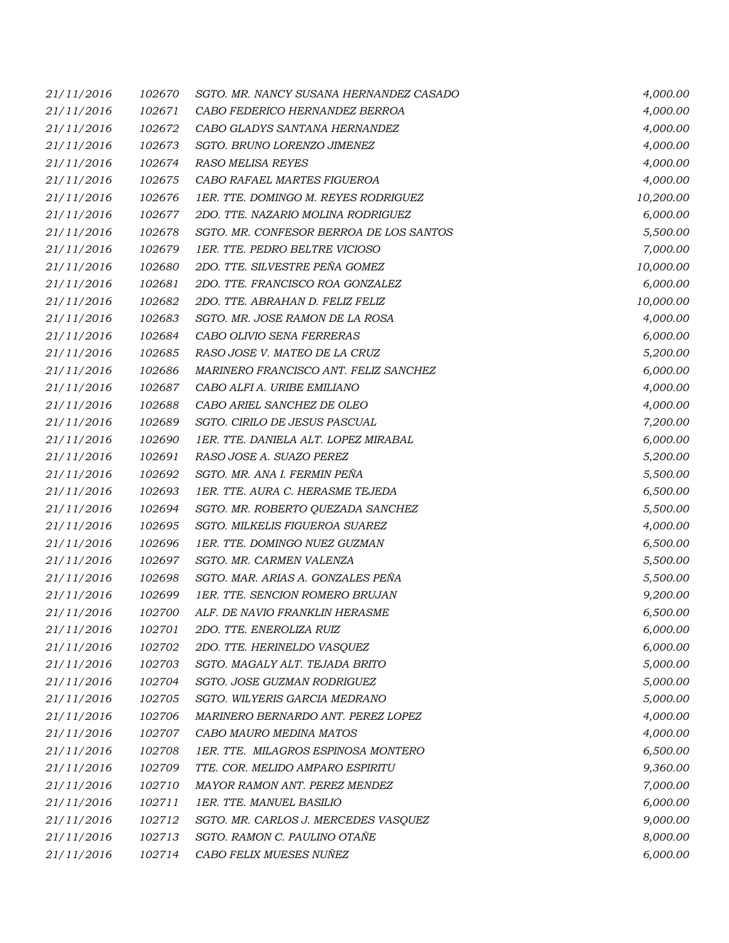| 21/11/2016 | 102670 | SGTO. MR. NANCY SUSANA HERNANDEZ CASADO | 4,000.00  |
|------------|--------|-----------------------------------------|-----------|
| 21/11/2016 | 102671 | CABO FEDERICO HERNANDEZ BERROA          | 4,000.00  |
| 21/11/2016 | 102672 | CABO GLADYS SANTANA HERNANDEZ           | 4,000.00  |
| 21/11/2016 | 102673 | SGTO. BRUNO LORENZO JIMENEZ             | 4,000.00  |
| 21/11/2016 | 102674 | <b>RASO MELISA REYES</b>                | 4,000.00  |
| 21/11/2016 | 102675 | CABO RAFAEL MARTES FIGUEROA             | 4,000.00  |
| 21/11/2016 | 102676 | 1ER. TTE. DOMINGO M. REYES RODRIGUEZ    | 10,200.00 |
| 21/11/2016 | 102677 | 2DO. TTE. NAZARIO MOLINA RODRIGUEZ      | 6,000.00  |
| 21/11/2016 | 102678 | SGTO. MR. CONFESOR BERROA DE LOS SANTOS | 5,500.00  |
| 21/11/2016 | 102679 | 1ER. TTE. PEDRO BELTRE VICIOSO          | 7,000.00  |
| 21/11/2016 | 102680 | 2DO. TTE. SILVESTRE PEÑA GOMEZ          | 10,000.00 |
| 21/11/2016 | 102681 | 2DO. TTE. FRANCISCO ROA GONZALEZ        | 6,000.00  |
| 21/11/2016 | 102682 | 2DO. TTE. ABRAHAN D. FELIZ FELIZ        | 10,000.00 |
| 21/11/2016 | 102683 | SGTO. MR. JOSE RAMON DE LA ROSA         | 4,000.00  |
| 21/11/2016 | 102684 | CABO OLIVIO SENA FERRERAS               | 6,000.00  |
| 21/11/2016 | 102685 | RASO JOSE V. MATEO DE LA CRUZ           | 5,200.00  |
| 21/11/2016 | 102686 | MARINERO FRANCISCO ANT. FELIZ SANCHEZ   | 6,000.00  |
| 21/11/2016 | 102687 | CABO ALFI A. URIBE EMILIANO             | 4,000.00  |
| 21/11/2016 | 102688 | CABO ARIEL SANCHEZ DE OLEO              | 4,000.00  |
| 21/11/2016 | 102689 | SGTO. CIRILO DE JESUS PASCUAL           | 7,200.00  |
| 21/11/2016 | 102690 | 1ER. TTE. DANIELA ALT. LOPEZ MIRABAL    | 6,000.00  |
| 21/11/2016 | 102691 | RASO JOSE A. SUAZO PEREZ                | 5,200.00  |
| 21/11/2016 | 102692 | SGTO. MR. ANA I. FERMIN PEÑA            | 5,500.00  |
| 21/11/2016 | 102693 | 1ER. TTE. AURA C. HERASME TEJEDA        | 6,500.00  |
| 21/11/2016 | 102694 | SGTO. MR. ROBERTO QUEZADA SANCHEZ       | 5,500.00  |
| 21/11/2016 | 102695 | SGTO. MILKELIS FIGUEROA SUAREZ          | 4,000.00  |
| 21/11/2016 | 102696 | 1ER. TTE. DOMINGO NUEZ GUZMAN           | 6,500.00  |
| 21/11/2016 | 102697 | SGTO. MR. CARMEN VALENZA                | 5,500.00  |
| 21/11/2016 | 102698 | SGTO. MAR. ARIAS A. GONZALES PEÑA       | 5,500.00  |
| 21/11/2016 | 102699 | 1ER. TTE. SENCION ROMERO BRUJAN         | 9,200.00  |
| 21/11/2016 | 102700 | ALF. DE NAVIO FRANKLIN HERASME          | 6,500.00  |
| 21/11/2016 | 102701 | 2DO. TTE. ENEROLIZA RUIZ                | 6,000.00  |
| 21/11/2016 | 102702 | 2DO. TTE. HERINELDO VASQUEZ             | 6,000.00  |
| 21/11/2016 | 102703 | SGTO. MAGALY ALT. TEJADA BRITO          | 5,000.00  |
| 21/11/2016 | 102704 | SGTO. JOSE GUZMAN RODRIGUEZ             | 5,000.00  |
| 21/11/2016 | 102705 | SGTO. WILYERIS GARCIA MEDRANO           | 5,000.00  |
| 21/11/2016 | 102706 | MARINERO BERNARDO ANT. PEREZ LOPEZ      | 4,000.00  |
| 21/11/2016 | 102707 | CABO MAURO MEDINA MATOS                 | 4,000.00  |
| 21/11/2016 | 102708 | 1ER. TTE. MILAGROS ESPINOSA MONTERO     | 6,500.00  |
| 21/11/2016 | 102709 | TTE. COR. MELIDO AMPARO ESPIRITU        | 9,360.00  |
| 21/11/2016 | 102710 | MAYOR RAMON ANT. PEREZ MENDEZ           | 7,000.00  |
| 21/11/2016 | 102711 | 1ER. TTE. MANUEL BASILIO                | 6,000.00  |
| 21/11/2016 | 102712 | SGTO. MR. CARLOS J. MERCEDES VASQUEZ    | 9,000.00  |
| 21/11/2016 | 102713 | SGTO. RAMON C. PAULINO OTAÑE            | 8,000.00  |
| 21/11/2016 | 102714 | CABO FELIX MUESES NUÑEZ                 | 6,000.00  |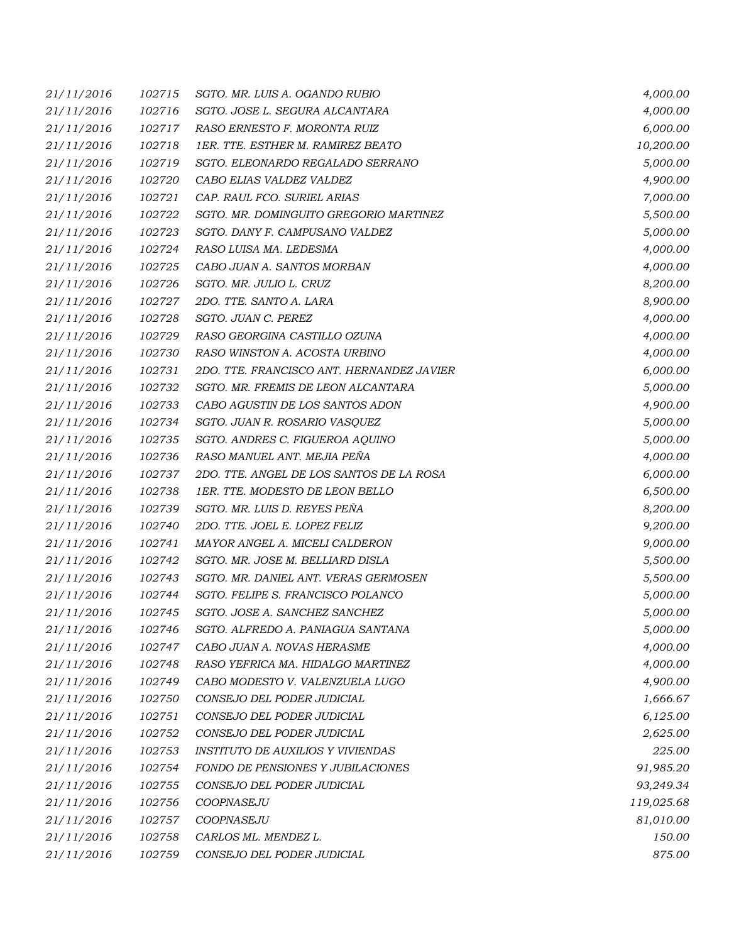| 21/11/2016 | 102715 | SGTO. MR. LUIS A. OGANDO RUBIO            | 4,000.00   |
|------------|--------|-------------------------------------------|------------|
| 21/11/2016 | 102716 | SGTO. JOSE L. SEGURA ALCANTARA            | 4,000.00   |
| 21/11/2016 | 102717 | RASO ERNESTO F. MORONTA RUIZ              | 6,000.00   |
| 21/11/2016 | 102718 | 1ER. TTE. ESTHER M. RAMIREZ BEATO         | 10,200.00  |
| 21/11/2016 | 102719 | SGTO. ELEONARDO REGALADO SERRANO          | 5,000.00   |
| 21/11/2016 | 102720 | CABO ELIAS VALDEZ VALDEZ                  | 4,900.00   |
| 21/11/2016 | 102721 | CAP. RAUL FCO. SURIEL ARIAS               | 7,000.00   |
| 21/11/2016 | 102722 | SGTO. MR. DOMINGUITO GREGORIO MARTINEZ    | 5,500.00   |
| 21/11/2016 | 102723 | SGTO. DANY F. CAMPUSANO VALDEZ            | 5,000.00   |
| 21/11/2016 | 102724 | RASO LUISA MA. LEDESMA                    | 4,000.00   |
| 21/11/2016 | 102725 | CABO JUAN A. SANTOS MORBAN                | 4,000.00   |
| 21/11/2016 | 102726 | SGTO. MR. JULIO L. CRUZ                   | 8,200.00   |
| 21/11/2016 | 102727 | 2DO. TTE. SANTO A. LARA                   | 8,900.00   |
| 21/11/2016 | 102728 | SGTO. JUAN C. PEREZ                       | 4,000.00   |
| 21/11/2016 | 102729 | RASO GEORGINA CASTILLO OZUNA              | 4,000.00   |
| 21/11/2016 | 102730 | RASO WINSTON A. ACOSTA URBINO             | 4,000.00   |
| 21/11/2016 | 102731 | 2DO. TTE. FRANCISCO ANT. HERNANDEZ JAVIER | 6,000.00   |
| 21/11/2016 | 102732 | SGTO. MR. FREMIS DE LEON ALCANTARA        | 5,000.00   |
| 21/11/2016 | 102733 | CABO AGUSTIN DE LOS SANTOS ADON           | 4,900.00   |
| 21/11/2016 | 102734 | SGTO. JUAN R. ROSARIO VASQUEZ             | 5,000.00   |
| 21/11/2016 | 102735 | SGTO. ANDRES C. FIGUEROA AQUINO           | 5,000.00   |
| 21/11/2016 | 102736 | RASO MANUEL ANT. MEJIA PEÑA               | 4,000.00   |
| 21/11/2016 | 102737 | 2DO. TTE. ANGEL DE LOS SANTOS DE LA ROSA  | 6,000.00   |
| 21/11/2016 | 102738 | 1ER. TTE. MODESTO DE LEON BELLO           | 6,500.00   |
| 21/11/2016 | 102739 | SGTO. MR. LUIS D. REYES PEÑA              | 8,200.00   |
| 21/11/2016 | 102740 | 2DO. TTE. JOEL E. LOPEZ FELIZ             | 9,200.00   |
| 21/11/2016 | 102741 | MAYOR ANGEL A. MICELI CALDERON            | 9,000.00   |
| 21/11/2016 | 102742 | SGTO. MR. JOSE M. BELLIARD DISLA          | 5,500.00   |
| 21/11/2016 | 102743 | SGTO. MR. DANIEL ANT. VERAS GERMOSEN      | 5,500.00   |
| 21/11/2016 | 102744 | SGTO. FELIPE S. FRANCISCO POLANCO         | 5,000.00   |
| 21/11/2016 | 102745 | SGTO. JOSE A. SANCHEZ SANCHEZ             | 5,000.00   |
| 21/11/2016 | 102746 | SGTO. ALFREDO A. PANIAGUA SANTANA         | 5,000.00   |
| 21/11/2016 | 102747 | CABO JUAN A. NOVAS HERASME                | 4,000.00   |
| 21/11/2016 | 102748 | RASO YEFRICA MA. HIDALGO MARTINEZ         | 4,000.00   |
| 21/11/2016 | 102749 | CABO MODESTO V. VALENZUELA LUGO           | 4,900.00   |
| 21/11/2016 | 102750 | CONSEJO DEL PODER JUDICIAL                | 1,666.67   |
| 21/11/2016 | 102751 | CONSEJO DEL PODER JUDICIAL                | 6,125.00   |
| 21/11/2016 | 102752 | CONSEJO DEL PODER JUDICIAL                | 2,625.00   |
| 21/11/2016 | 102753 | <b>INSTITUTO DE AUXILIOS Y VIVIENDAS</b>  | 225.00     |
| 21/11/2016 | 102754 | FONDO DE PENSIONES Y JUBILACIONES         | 91,985.20  |
| 21/11/2016 | 102755 | CONSEJO DEL PODER JUDICIAL                | 93,249.34  |
| 21/11/2016 | 102756 | COOPNASEJU                                | 119,025.68 |
| 21/11/2016 | 102757 | COOPNASEJU                                | 81,010.00  |
| 21/11/2016 | 102758 | CARLOS ML. MENDEZ L.                      | 150.00     |
| 21/11/2016 | 102759 | CONSEJO DEL PODER JUDICIAL                | 875.00     |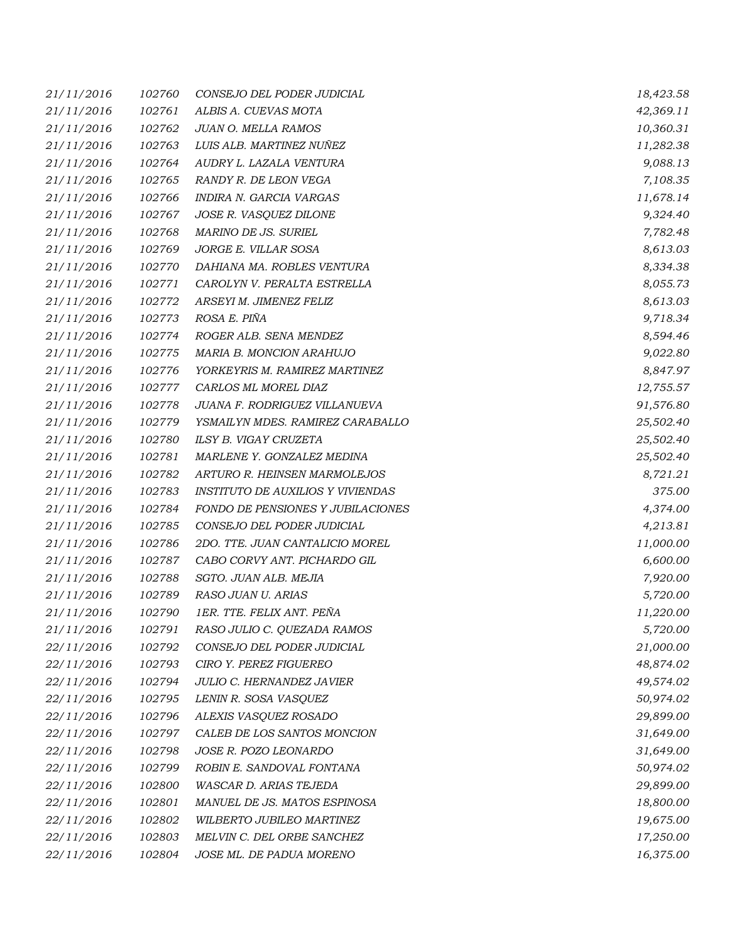| 21/11/2016 | 102760 | CONSEJO DEL PODER JUDICIAL               | 18,423.58 |
|------------|--------|------------------------------------------|-----------|
| 21/11/2016 | 102761 | ALBIS A. CUEVAS MOTA                     | 42,369.11 |
| 21/11/2016 | 102762 | JUAN O. MELLA RAMOS                      | 10,360.31 |
| 21/11/2016 | 102763 | LUIS ALB. MARTINEZ NUÑEZ                 | 11,282.38 |
| 21/11/2016 | 102764 | AUDRY L. LAZALA VENTURA                  | 9,088.13  |
| 21/11/2016 | 102765 | RANDY R. DE LEON VEGA                    | 7,108.35  |
| 21/11/2016 | 102766 | INDIRA N. GARCIA VARGAS                  | 11,678.14 |
| 21/11/2016 | 102767 | JOSE R. VASQUEZ DILONE                   | 9,324.40  |
| 21/11/2016 | 102768 | MARINO DE JS. SURIEL                     | 7,782.48  |
| 21/11/2016 | 102769 | JORGE E. VILLAR SOSA                     | 8,613.03  |
| 21/11/2016 | 102770 | DAHIANA MA. ROBLES VENTURA               | 8,334.38  |
| 21/11/2016 | 102771 | CAROLYN V. PERALTA ESTRELLA              | 8,055.73  |
| 21/11/2016 | 102772 | ARSEYI M. JIMENEZ FELIZ                  | 8,613.03  |
| 21/11/2016 | 102773 | ROSA E. PIÑA                             | 9,718.34  |
| 21/11/2016 | 102774 | ROGER ALB. SENA MENDEZ                   | 8,594.46  |
| 21/11/2016 | 102775 | MARIA B. MONCION ARAHUJO                 | 9,022.80  |
| 21/11/2016 | 102776 | YORKEYRIS M. RAMIREZ MARTINEZ            | 8,847.97  |
| 21/11/2016 | 102777 | CARLOS ML MOREL DIAZ                     | 12,755.57 |
| 21/11/2016 | 102778 | JUANA F. RODRIGUEZ VILLANUEVA            | 91,576.80 |
| 21/11/2016 | 102779 | YSMAILYN MDES. RAMIREZ CARABALLO         | 25,502.40 |
| 21/11/2016 | 102780 | ILSY B. VIGAY CRUZETA                    | 25,502.40 |
| 21/11/2016 | 102781 | MARLENE Y. GONZALEZ MEDINA               | 25,502.40 |
| 21/11/2016 | 102782 | ARTURO R. HEINSEN MARMOLEJOS             | 8,721.21  |
| 21/11/2016 | 102783 | <b>INSTITUTO DE AUXILIOS Y VIVIENDAS</b> | 375.00    |
| 21/11/2016 | 102784 | FONDO DE PENSIONES Y JUBILACIONES        | 4,374.00  |
| 21/11/2016 | 102785 | CONSEJO DEL PODER JUDICIAL               | 4,213.81  |
| 21/11/2016 | 102786 | 2DO. TTE. JUAN CANTALICIO MOREL          | 11,000.00 |
| 21/11/2016 | 102787 | CABO CORVY ANT. PICHARDO GIL             | 6,600.00  |
| 21/11/2016 | 102788 | SGTO. JUAN ALB. MEJIA                    | 7,920.00  |
| 21/11/2016 | 102789 | RASO JUAN U. ARIAS                       | 5,720.00  |
| 21/11/2016 | 102790 | 1ER. TTE. FELIX ANT. PEÑA                | 11,220.00 |
| 21/11/2016 | 102791 | RASO JULIO C. QUEZADA RAMOS              | 5,720.00  |
| 22/11/2016 | 102792 | CONSEJO DEL PODER JUDICIAL               | 21,000.00 |
| 22/11/2016 | 102793 | CIRO Y. PEREZ FIGUEREO                   | 48,874.02 |
| 22/11/2016 | 102794 | JULIO C. HERNANDEZ JAVIER                | 49,574.02 |
| 22/11/2016 | 102795 | LENIN R. SOSA VASQUEZ                    | 50,974.02 |
| 22/11/2016 | 102796 | ALEXIS VASQUEZ ROSADO                    | 29,899.00 |
| 22/11/2016 | 102797 | CALEB DE LOS SANTOS MONCION              | 31,649.00 |
| 22/11/2016 | 102798 | JOSE R. POZO LEONARDO                    | 31,649.00 |
| 22/11/2016 | 102799 | ROBIN E. SANDOVAL FONTANA                | 50,974.02 |
| 22/11/2016 | 102800 | WASCAR D. ARIAS TEJEDA                   | 29,899.00 |
| 22/11/2016 | 102801 | MANUEL DE JS. MATOS ESPINOSA             | 18,800.00 |
| 22/11/2016 | 102802 | WILBERTO JUBILEO MARTINEZ                | 19,675.00 |
| 22/11/2016 | 102803 | MELVIN C. DEL ORBE SANCHEZ               | 17,250.00 |
| 22/11/2016 | 102804 | JOSE ML. DE PADUA MORENO                 | 16,375.00 |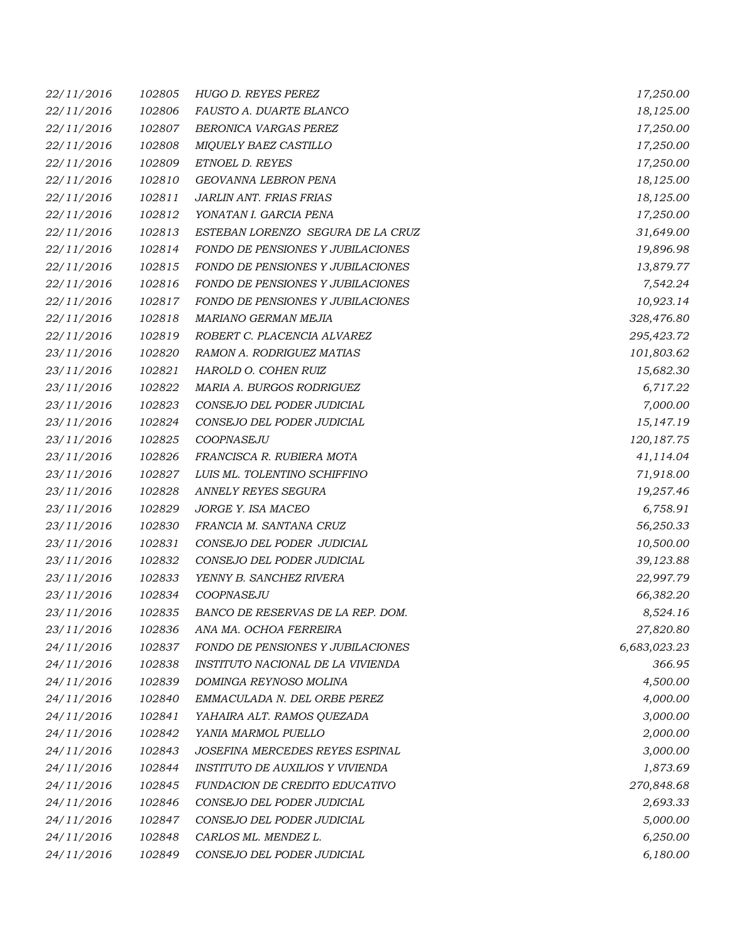| 22/11/2016 | 102805 | HUGO D. REYES PEREZ                      | 17,250.00    |
|------------|--------|------------------------------------------|--------------|
| 22/11/2016 | 102806 | FAUSTO A. DUARTE BLANCO                  | 18,125.00    |
| 22/11/2016 | 102807 | BERONICA VARGAS PEREZ                    | 17,250.00    |
| 22/11/2016 | 102808 | MIQUELY BAEZ CASTILLO                    | 17,250.00    |
| 22/11/2016 | 102809 | ETNOEL D. REYES                          | 17,250.00    |
| 22/11/2016 | 102810 | GEOVANNA LEBRON PENA                     | 18,125.00    |
| 22/11/2016 | 102811 | JARLIN ANT. FRIAS FRIAS                  | 18,125.00    |
| 22/11/2016 | 102812 | YONATAN I. GARCIA PENA                   | 17,250.00    |
| 22/11/2016 | 102813 | ESTEBAN LORENZO SEGURA DE LA CRUZ        | 31,649.00    |
| 22/11/2016 | 102814 | FONDO DE PENSIONES Y JUBILACIONES        | 19,896.98    |
| 22/11/2016 | 102815 | <b>FONDO DE PENSIONES Y JUBILACIONES</b> | 13,879.77    |
| 22/11/2016 | 102816 | FONDO DE PENSIONES Y JUBILACIONES        | 7,542.24     |
| 22/11/2016 | 102817 | FONDO DE PENSIONES Y JUBILACIONES        | 10,923.14    |
| 22/11/2016 | 102818 | MARIANO GERMAN MEJIA                     | 328,476.80   |
| 22/11/2016 | 102819 | ROBERT C. PLACENCIA ALVAREZ              | 295,423.72   |
| 23/11/2016 | 102820 | RAMON A. RODRIGUEZ MATIAS                | 101,803.62   |
| 23/11/2016 | 102821 | HAROLD O. COHEN RUIZ                     | 15,682.30    |
| 23/11/2016 | 102822 | MARIA A. BURGOS RODRIGUEZ                | 6,717.22     |
| 23/11/2016 | 102823 | CONSEJO DEL PODER JUDICIAL               | 7,000.00     |
| 23/11/2016 | 102824 | CONSEJO DEL PODER JUDICIAL               | 15,147.19    |
| 23/11/2016 | 102825 | COOPNASEJU                               | 120, 187.75  |
| 23/11/2016 | 102826 | FRANCISCA R. RUBIERA MOTA                | 41,114.04    |
| 23/11/2016 | 102827 | LUIS ML. TOLENTINO SCHIFFINO             | 71,918.00    |
| 23/11/2016 | 102828 | ANNELY REYES SEGURA                      | 19,257.46    |
| 23/11/2016 | 102829 | JORGE Y. ISA MACEO                       | 6,758.91     |
| 23/11/2016 | 102830 | FRANCIA M. SANTANA CRUZ                  | 56,250.33    |
| 23/11/2016 | 102831 | CONSEJO DEL PODER JUDICIAL               | 10,500.00    |
| 23/11/2016 | 102832 | CONSEJO DEL PODER JUDICIAL               | 39,123.88    |
| 23/11/2016 | 102833 | YENNY B. SANCHEZ RIVERA                  | 22,997.79    |
| 23/11/2016 | 102834 | COOPNASEJU                               | 66,382.20    |
| 23/11/2016 | 102835 | BANCO DE RESERVAS DE LA REP. DOM.        | 8,524.16     |
| 23/11/2016 | 102836 | ANA MA. OCHOA FERREIRA                   | 27,820.80    |
| 24/11/2016 | 102837 | <b>FONDO DE PENSIONES Y JUBILACIONES</b> | 6,683,023.23 |
| 24/11/2016 | 102838 | INSTITUTO NACIONAL DE LA VIVIENDA        | 366.95       |
| 24/11/2016 | 102839 | DOMINGA REYNOSO MOLINA                   | 4,500.00     |
| 24/11/2016 | 102840 | EMMACULADA N. DEL ORBE PEREZ             | 4,000.00     |
| 24/11/2016 | 102841 | YAHAIRA ALT. RAMOS QUEZADA               | 3,000.00     |
| 24/11/2016 | 102842 | YANIA MARMOL PUELLO                      | 2,000.00     |
| 24/11/2016 | 102843 | JOSEFINA MERCEDES REYES ESPINAL          | 3,000.00     |
| 24/11/2016 | 102844 | INSTITUTO DE AUXILIOS Y VIVIENDA         | 1,873.69     |
| 24/11/2016 | 102845 | FUNDACION DE CREDITO EDUCATIVO           | 270,848.68   |
| 24/11/2016 | 102846 | CONSEJO DEL PODER JUDICIAL               | 2,693.33     |
| 24/11/2016 | 102847 | CONSEJO DEL PODER JUDICIAL               | 5,000.00     |
| 24/11/2016 | 102848 | CARLOS ML. MENDEZ L.                     | 6,250.00     |
| 24/11/2016 | 102849 | CONSEJO DEL PODER JUDICIAL               | 6,180.00     |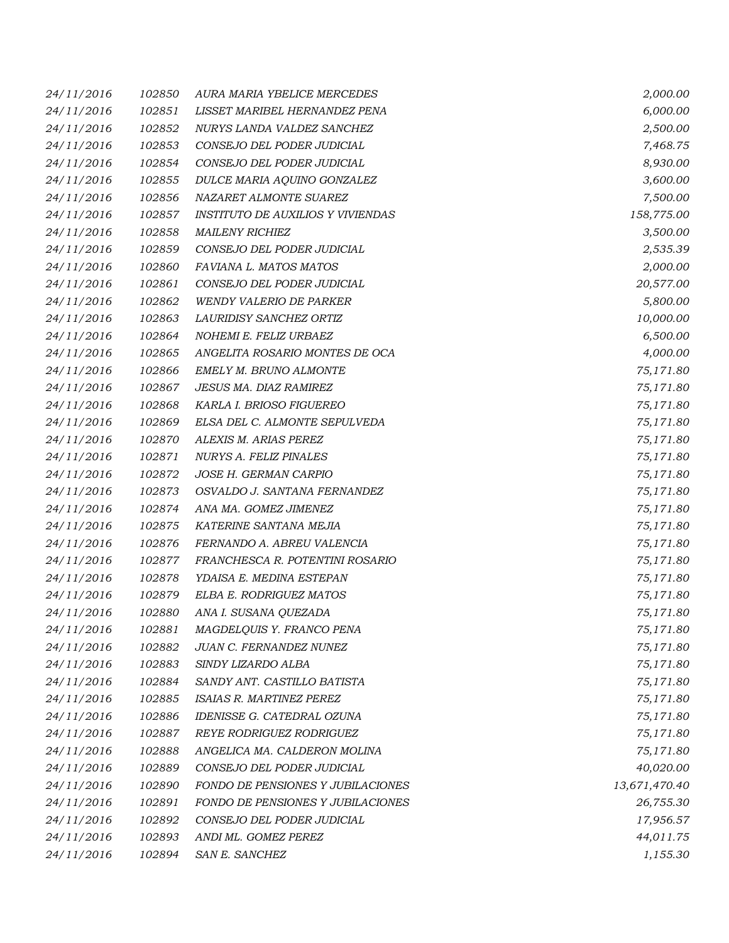| 24/11/2016 | 102850 | AURA MARIA YBELICE MERCEDES       | 2,000.00      |
|------------|--------|-----------------------------------|---------------|
| 24/11/2016 | 102851 | LISSET MARIBEL HERNANDEZ PENA     | 6,000.00      |
| 24/11/2016 | 102852 | NURYS LANDA VALDEZ SANCHEZ        | 2,500.00      |
| 24/11/2016 | 102853 | CONSEJO DEL PODER JUDICIAL        | 7,468.75      |
| 24/11/2016 | 102854 | CONSEJO DEL PODER JUDICIAL        | 8,930.00      |
| 24/11/2016 | 102855 | DULCE MARIA AQUINO GONZALEZ       | 3,600.00      |
| 24/11/2016 | 102856 | NAZARET ALMONTE SUAREZ            | 7,500.00      |
| 24/11/2016 | 102857 | INSTITUTO DE AUXILIOS Y VIVIENDAS | 158,775.00    |
| 24/11/2016 | 102858 | <b>MAILENY RICHIEZ</b>            | 3,500.00      |
| 24/11/2016 | 102859 | CONSEJO DEL PODER JUDICIAL        | 2,535.39      |
| 24/11/2016 | 102860 | FAVIANA L. MATOS MATOS            | 2,000.00      |
| 24/11/2016 | 102861 | CONSEJO DEL PODER JUDICIAL        | 20,577.00     |
| 24/11/2016 | 102862 | <b>WENDY VALERIO DE PARKER</b>    | 5,800.00      |
| 24/11/2016 | 102863 | LAURIDISY SANCHEZ ORTIZ           | 10,000.00     |
| 24/11/2016 | 102864 | NOHEMI E. FELIZ URBAEZ            | 6,500.00      |
| 24/11/2016 | 102865 | ANGELITA ROSARIO MONTES DE OCA    | 4,000.00      |
| 24/11/2016 | 102866 | EMELY M. BRUNO ALMONTE            | 75,171.80     |
| 24/11/2016 | 102867 | JESUS MA. DIAZ RAMIREZ            | 75,171.80     |
| 24/11/2016 | 102868 | KARLA I. BRIOSO FIGUEREO          | 75,171.80     |
| 24/11/2016 | 102869 | ELSA DEL C. ALMONTE SEPULVEDA     | 75,171.80     |
| 24/11/2016 | 102870 | ALEXIS M. ARIAS PEREZ             | 75,171.80     |
| 24/11/2016 | 102871 | NURYS A. FELIZ PINALES            | 75,171.80     |
| 24/11/2016 | 102872 | JOSE H. GERMAN CARPIO             | 75,171.80     |
| 24/11/2016 | 102873 | OSVALDO J. SANTANA FERNANDEZ      | 75,171.80     |
| 24/11/2016 | 102874 | ANA MA. GOMEZ JIMENEZ             | 75,171.80     |
| 24/11/2016 | 102875 | KATERINE SANTANA MEJIA            | 75,171.80     |
| 24/11/2016 | 102876 | FERNANDO A. ABREU VALENCIA        | 75,171.80     |
| 24/11/2016 | 102877 | FRANCHESCA R. POTENTINI ROSARIO   | 75,171.80     |
| 24/11/2016 | 102878 | YDAISA E. MEDINA ESTEPAN          | 75,171.80     |
| 24/11/2016 | 102879 | ELBA E. RODRIGUEZ MATOS           | 75,171.80     |
| 24/11/2016 | 102880 | ANA I. SUSANA QUEZADA             | 75,171.80     |
| 24/11/2016 | 102881 | MAGDELQUIS Y. FRANCO PENA         | 75,171.80     |
| 24/11/2016 | 102882 | JUAN C. FERNANDEZ NUNEZ           | 75,171.80     |
| 24/11/2016 | 102883 | SINDY LIZARDO ALBA                | 75,171.80     |
| 24/11/2016 | 102884 | SANDY ANT. CASTILLO BATISTA       | 75,171.80     |
| 24/11/2016 | 102885 | ISAIAS R. MARTINEZ PEREZ          | 75,171.80     |
| 24/11/2016 | 102886 | IDENISSE G. CATEDRAL OZUNA        | 75,171.80     |
| 24/11/2016 | 102887 | REYE RODRIGUEZ RODRIGUEZ          | 75,171.80     |
| 24/11/2016 | 102888 | ANGELICA MA. CALDERON MOLINA      | 75,171.80     |
| 24/11/2016 | 102889 | CONSEJO DEL PODER JUDICIAL        | 40,020.00     |
| 24/11/2016 | 102890 | FONDO DE PENSIONES Y JUBILACIONES | 13,671,470.40 |
| 24/11/2016 | 102891 | FONDO DE PENSIONES Y JUBILACIONES | 26,755.30     |
| 24/11/2016 | 102892 | CONSEJO DEL PODER JUDICIAL        | 17,956.57     |
| 24/11/2016 | 102893 | ANDI ML. GOMEZ PEREZ              | 44,011.75     |
| 24/11/2016 | 102894 | SAN E. SANCHEZ                    | 1,155.30      |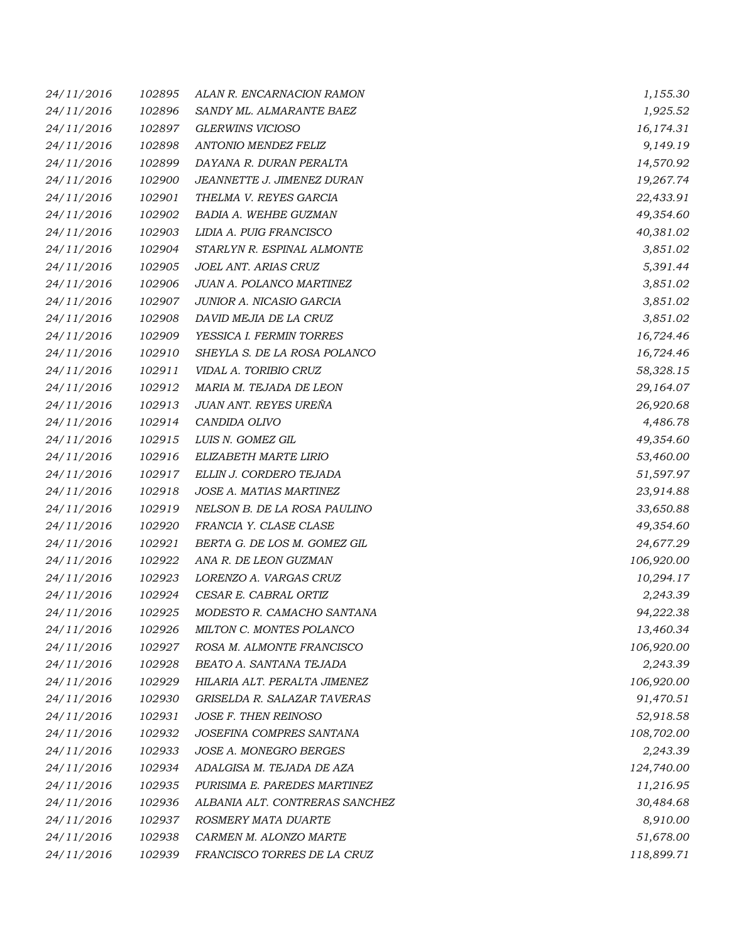| 24/11/2016 | 102895 | ALAN R. ENCARNACION RAMON      | 1,155.30   |
|------------|--------|--------------------------------|------------|
| 24/11/2016 | 102896 | SANDY ML. ALMARANTE BAEZ       | 1,925.52   |
| 24/11/2016 | 102897 | <b>GLERWINS VICIOSO</b>        | 16,174.31  |
| 24/11/2016 | 102898 | ANTONIO MENDEZ FELIZ           | 9,149.19   |
| 24/11/2016 | 102899 | DAYANA R. DURAN PERALTA        | 14,570.92  |
| 24/11/2016 | 102900 | JEANNETTE J. JIMENEZ DURAN     | 19,267.74  |
| 24/11/2016 | 102901 | THELMA V. REYES GARCIA         | 22,433.91  |
| 24/11/2016 | 102902 | BADIA A. WEHBE GUZMAN          | 49,354.60  |
| 24/11/2016 | 102903 | LIDIA A. PUIG FRANCISCO        | 40,381.02  |
| 24/11/2016 | 102904 | STARLYN R. ESPINAL ALMONTE     | 3,851.02   |
| 24/11/2016 | 102905 | JOEL ANT. ARIAS CRUZ           | 5,391.44   |
| 24/11/2016 | 102906 | JUAN A. POLANCO MARTINEZ       | 3,851.02   |
| 24/11/2016 | 102907 | JUNIOR A. NICASIO GARCIA       | 3,851.02   |
| 24/11/2016 | 102908 | DAVID MEJIA DE LA CRUZ         | 3,851.02   |
| 24/11/2016 | 102909 | YESSICA I. FERMIN TORRES       | 16,724.46  |
| 24/11/2016 | 102910 | SHEYLA S. DE LA ROSA POLANCO   | 16,724.46  |
| 24/11/2016 | 102911 | VIDAL A. TORIBIO CRUZ          | 58,328.15  |
| 24/11/2016 | 102912 | MARIA M. TEJADA DE LEON        | 29,164.07  |
| 24/11/2016 | 102913 | JUAN ANT. REYES UREÑA          | 26,920.68  |
| 24/11/2016 | 102914 | CANDIDA OLIVO                  | 4,486.78   |
| 24/11/2016 | 102915 | LUIS N. GOMEZ GIL              | 49,354.60  |
| 24/11/2016 | 102916 | ELIZABETH MARTE LIRIO          | 53,460.00  |
| 24/11/2016 | 102917 | ELLIN J. CORDERO TEJADA        | 51,597.97  |
| 24/11/2016 | 102918 | JOSE A. MATIAS MARTINEZ        | 23,914.88  |
| 24/11/2016 | 102919 | NELSON B. DE LA ROSA PAULINO   | 33,650.88  |
| 24/11/2016 | 102920 | FRANCIA Y. CLASE CLASE         | 49,354.60  |
| 24/11/2016 | 102921 | BERTA G. DE LOS M. GOMEZ GIL   | 24,677.29  |
| 24/11/2016 | 102922 | ANA R. DE LEON GUZMAN          | 106,920.00 |
| 24/11/2016 | 102923 | LORENZO A. VARGAS CRUZ         | 10,294.17  |
| 24/11/2016 | 102924 | CESAR E. CABRAL ORTIZ          | 2,243.39   |
| 24/11/2016 | 102925 | MODESTO R. CAMACHO SANTANA     | 94,222.38  |
| 24/11/2016 | 102926 | MILTON C. MONTES POLANCO       | 13,460.34  |
| 24/11/2016 | 102927 | ROSA M. ALMONTE FRANCISCO      | 106,920.00 |
| 24/11/2016 | 102928 | BEATO A. SANTANA TEJADA        | 2,243.39   |
| 24/11/2016 | 102929 | HILARIA ALT. PERALTA JIMENEZ   | 106,920.00 |
| 24/11/2016 | 102930 | GRISELDA R. SALAZAR TAVERAS    | 91,470.51  |
| 24/11/2016 | 102931 | <b>JOSE F. THEN REINOSO</b>    | 52,918.58  |
| 24/11/2016 | 102932 | JOSEFINA COMPRES SANTANA       | 108,702.00 |
| 24/11/2016 | 102933 | JOSE A. MONEGRO BERGES         | 2,243.39   |
| 24/11/2016 | 102934 | ADALGISA M. TEJADA DE AZA      | 124,740.00 |
| 24/11/2016 | 102935 | PURISIMA E. PAREDES MARTINEZ   | 11,216.95  |
| 24/11/2016 | 102936 | ALBANIA ALT. CONTRERAS SANCHEZ | 30,484.68  |
| 24/11/2016 | 102937 | ROSMERY MATA DUARTE            | 8,910.00   |
| 24/11/2016 | 102938 | CARMEN M. ALONZO MARTE         | 51,678.00  |
| 24/11/2016 | 102939 | FRANCISCO TORRES DE LA CRUZ    | 118,899.71 |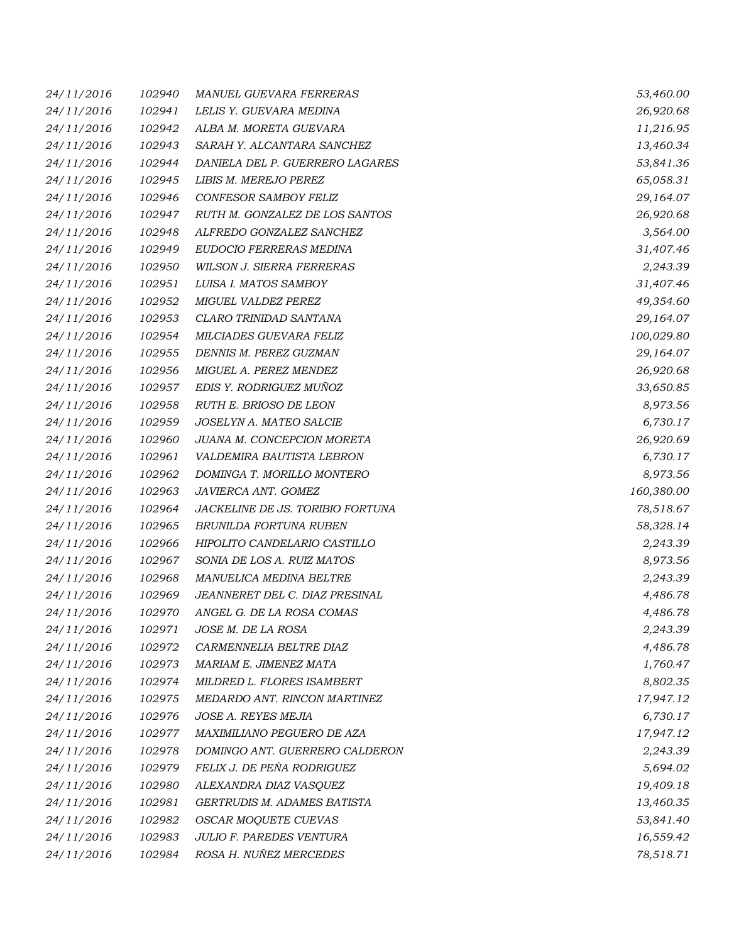| 24/11/2016 | 102940 | <b>MANUEL GUEVARA FERRERAS</b>   | 53,460.00  |
|------------|--------|----------------------------------|------------|
| 24/11/2016 | 102941 | LELIS Y. GUEVARA MEDINA          | 26,920.68  |
| 24/11/2016 | 102942 | ALBA M. MORETA GUEVARA           | 11,216.95  |
| 24/11/2016 | 102943 | SARAH Y. ALCANTARA SANCHEZ       | 13,460.34  |
| 24/11/2016 | 102944 | DANIELA DEL P. GUERRERO LAGARES  | 53,841.36  |
| 24/11/2016 | 102945 | LIBIS M. MEREJO PEREZ            | 65,058.31  |
| 24/11/2016 | 102946 | CONFESOR SAMBOY FELIZ            | 29,164.07  |
| 24/11/2016 | 102947 | RUTH M. GONZALEZ DE LOS SANTOS   | 26,920.68  |
| 24/11/2016 | 102948 | ALFREDO GONZALEZ SANCHEZ         | 3,564.00   |
| 24/11/2016 | 102949 | EUDOCIO FERRERAS MEDINA          | 31,407.46  |
| 24/11/2016 | 102950 | WILSON J. SIERRA FERRERAS        | 2,243.39   |
| 24/11/2016 | 102951 | LUISA I. MATOS SAMBOY            | 31,407.46  |
| 24/11/2016 | 102952 | MIGUEL VALDEZ PEREZ              | 49,354.60  |
| 24/11/2016 | 102953 | CLARO TRINIDAD SANTANA           | 29,164.07  |
| 24/11/2016 | 102954 | <b>MILCIADES GUEVARA FELIZ</b>   | 100,029.80 |
| 24/11/2016 | 102955 | DENNIS M. PEREZ GUZMAN           | 29,164.07  |
| 24/11/2016 | 102956 | MIGUEL A. PEREZ MENDEZ           | 26,920.68  |
| 24/11/2016 | 102957 | EDIS Y. RODRIGUEZ MUÑOZ          | 33,650.85  |
| 24/11/2016 | 102958 | RUTH E. BRIOSO DE LEON           | 8,973.56   |
| 24/11/2016 | 102959 | JOSELYN A. MATEO SALCIE          | 6,730.17   |
| 24/11/2016 | 102960 | JUANA M. CONCEPCION MORETA       | 26,920.69  |
| 24/11/2016 | 102961 | VALDEMIRA BAUTISTA LEBRON        | 6,730.17   |
| 24/11/2016 | 102962 | DOMINGA T. MORILLO MONTERO       | 8,973.56   |
| 24/11/2016 | 102963 | JAVIERCA ANT. GOMEZ              | 160,380.00 |
| 24/11/2016 | 102964 | JACKELINE DE JS. TORIBIO FORTUNA | 78,518.67  |
| 24/11/2016 | 102965 | BRUNILDA FORTUNA RUBEN           | 58,328.14  |
| 24/11/2016 | 102966 | HIPOLITO CANDELARIO CASTILLO     | 2,243.39   |
| 24/11/2016 | 102967 | SONIA DE LOS A. RUIZ MATOS       | 8,973.56   |
| 24/11/2016 | 102968 | MANUELICA MEDINA BELTRE          | 2,243.39   |
| 24/11/2016 | 102969 | JEANNERET DEL C. DIAZ PRESINAL   | 4,486.78   |
| 24/11/2016 | 102970 | ANGEL G. DE LA ROSA COMAS        | 4,486.78   |
| 24/11/2016 | 102971 | JOSE M. DE LA ROSA               | 2,243.39   |
| 24/11/2016 | 102972 | CARMENNELIA BELTRE DIAZ          | 4,486.78   |
| 24/11/2016 | 102973 | MARIAM E. JIMENEZ MATA           | 1,760.47   |
| 24/11/2016 | 102974 | MILDRED L. FLORES ISAMBERT       | 8,802.35   |
| 24/11/2016 | 102975 | MEDARDO ANT. RINCON MARTINEZ     | 17,947.12  |
| 24/11/2016 | 102976 | <b>JOSE A. REYES MEJIA</b>       | 6,730.17   |
| 24/11/2016 | 102977 | MAXIMILIANO PEGUERO DE AZA       | 17,947.12  |
| 24/11/2016 | 102978 | DOMINGO ANT. GUERRERO CALDERON   | 2,243.39   |
| 24/11/2016 | 102979 | FELIX J. DE PEÑA RODRIGUEZ       | 5,694.02   |
| 24/11/2016 | 102980 | ALEXANDRA DIAZ VASQUEZ           | 19,409.18  |
| 24/11/2016 | 102981 | GERTRUDIS M. ADAMES BATISTA      | 13,460.35  |
| 24/11/2016 | 102982 | OSCAR MOQUETE CUEVAS             | 53,841.40  |
| 24/11/2016 | 102983 | JULIO F. PAREDES VENTURA         | 16,559.42  |
| 24/11/2016 | 102984 | ROSA H. NUÑEZ MERCEDES           | 78,518.71  |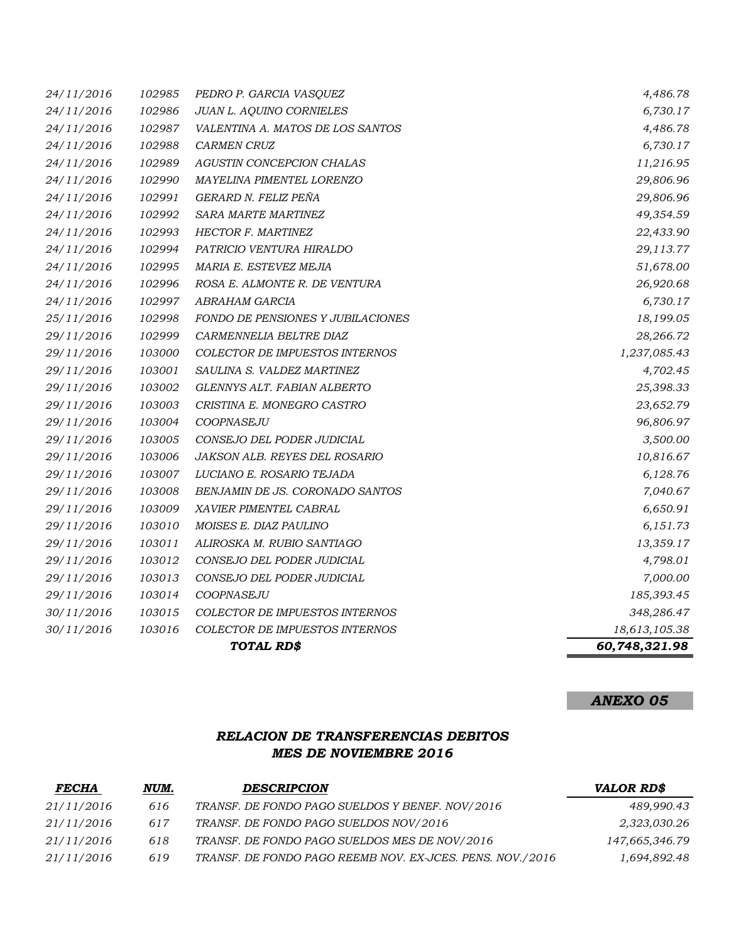|            |        | TOTAL RD\$                           | 60,748,321.98 |
|------------|--------|--------------------------------------|---------------|
| 30/11/2016 | 103016 | COLECTOR DE IMPUESTOS INTERNOS       | 18,613,105.38 |
| 30/11/2016 | 103015 | COLECTOR DE IMPUESTOS INTERNOS       | 348,286.47    |
| 29/11/2016 | 103014 | COOPNASEJU                           | 185,393.45    |
| 29/11/2016 | 103013 | CONSEJO DEL PODER JUDICIAL           | 7,000.00      |
| 29/11/2016 | 103012 | CONSEJO DEL PODER JUDICIAL           | 4,798.01      |
| 29/11/2016 | 103011 | ALIROSKA M. RUBIO SANTIAGO           | 13,359.17     |
| 29/11/2016 | 103010 | MOISES E. DIAZ PAULINO               | 6,151.73      |
| 29/11/2016 | 103009 | XAVIER PIMENTEL CABRAL               | 6,650.91      |
| 29/11/2016 | 103008 | BENJAMIN DE JS. CORONADO SANTOS      | 7,040.67      |
| 29/11/2016 | 103007 | LUCIANO E. ROSARIO TEJADA            | 6,128.76      |
| 29/11/2016 | 103006 | <i>JAKSON ALB. REYES DEL ROSARIO</i> | 10,816.67     |
| 29/11/2016 | 103005 | CONSEJO DEL PODER JUDICIAL           | 3,500.00      |
| 29/11/2016 | 103004 | COOPNASEJU                           | 96,806.97     |
| 29/11/2016 | 103003 | CRISTINA E. MONEGRO CASTRO           | 23,652.79     |
| 29/11/2016 | 103002 | GLENNYS ALT. FABIAN ALBERTO          | 25,398.33     |
| 29/11/2016 | 103001 | SAULINA S. VALDEZ MARTINEZ           | 4,702.45      |
| 29/11/2016 | 103000 | COLECTOR DE IMPUESTOS INTERNOS       | 1,237,085.43  |
| 29/11/2016 | 102999 | CARMENNELIA BELTRE DIAZ              | 28,266.72     |
| 25/11/2016 | 102998 | FONDO DE PENSIONES Y JUBILACIONES    | 18,199.05     |
| 24/11/2016 | 102997 | ABRAHAM GARCIA                       | 6,730.17      |
| 24/11/2016 | 102996 | ROSA E. ALMONTE R. DE VENTURA        | 26,920.68     |
| 24/11/2016 | 102995 | MARIA E. ESTEVEZ MEJIA               | 51,678.00     |
| 24/11/2016 | 102994 | PATRICIO VENTURA HIRALDO             | 29,113.77     |
| 24/11/2016 | 102993 | HECTOR F. MARTINEZ                   | 22,433.90     |
| 24/11/2016 | 102992 | SARA MARTE MARTINEZ                  | 49,354.59     |
| 24/11/2016 | 102991 | GERARD N. FELIZ PEÑA                 | 29,806.96     |
| 24/11/2016 | 102990 | MAYELINA PIMENTEL LORENZO            | 29,806.96     |
| 24/11/2016 | 102989 | AGUSTIN CONCEPCION CHALAS            | 11,216.95     |
| 24/11/2016 | 102988 | <b>CARMEN CRUZ</b>                   | 6,730.17      |
| 24/11/2016 | 102987 | VALENTINA A. MATOS DE LOS SANTOS     | 4,486.78      |
| 24/11/2016 | 102986 | JUAN L. AQUINO CORNIELES             | 6,730.17      |
| 24/11/2016 | 102985 | PEDRO P. GARCIA VASQUEZ              | 4,486.78      |

# *ANEXO 05*

### *RELACION DE TRANSFERENCIAS DEBITOS MES DE NOVIEMBRE 2016*

| <b>FECHA</b> | NUM. | <b>DESCRIPCION</b>                                        | <b>VALOR RD\$</b> |
|--------------|------|-----------------------------------------------------------|-------------------|
| 21/11/2016   | 616  | TRANSF. DE FONDO PAGO SUELDOS Y BENEF. NOV/2016           | 489,990.43        |
| 21/11/2016   | 617  | TRANSF. DE FONDO PAGO SUELDOS NOV/2016                    | 2,323,030.26      |
| 21/11/2016   | 618  | TRANSF. DE FONDO PAGO SUELDOS MES DE NOV/2016             | 147,665,346.79    |
| 21/11/2016   | 619  | TRANSF. DE FONDO PAGO REEMB NOV. EX-JCES. PENS. NOV./2016 | 1,694,892.48      |